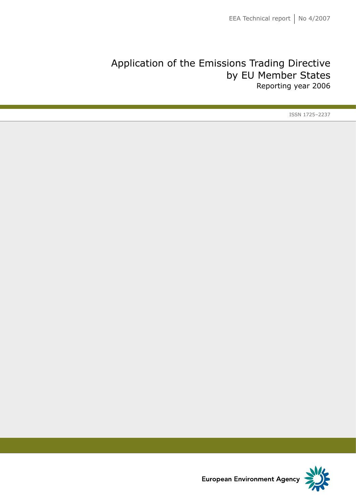## Application of the Emissions Trading Directive by EU Member States Reporting year 2006

ISSN 1725–2237

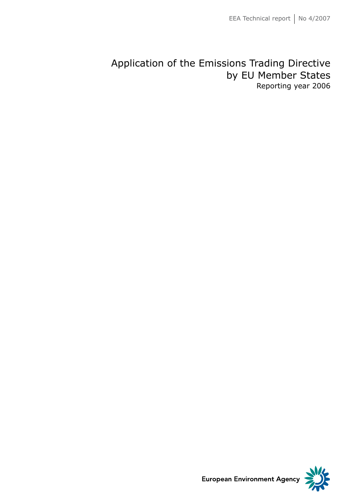## Application of the Emissions Trading Directive by EU Member States Reporting year 2006

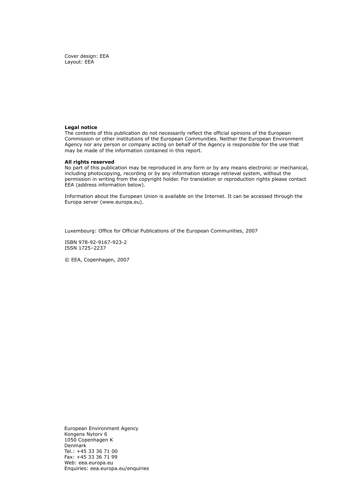Cover design: EEA Layout: EEA

#### **Legal notice**

The contents of this publication do not necessarily reflect the official opinions of the European Commission or other institutions of the European Communities. Neither the European Environment Agency nor any person or company acting on behalf of the Agency is responsible for the use that may be made of the information contained in this report.

#### **All rights reserved**

No part of this publication may be reproduced in any form or by any means electronic or mechanical, including photocopying, recording or by any information storage retrieval system, without the permission in writing from the copyright holder. For translation or reproduction rights please contact EEA (address information below).

Information about the European Union is available on the Internet. It can be accessed through the Europa server (www.europa.eu).

Luxembourg: Office for Official Publications of the European Communities, 2007

ISBN 978-92-9167-923-2 ISSN 1725–2237

© EEA, Copenhagen, 2007

European Environment Agency Kongens Nytorv 6 1050 Copenhagen K Denmark Tel.: +45 33 36 71 00 Fax: +45 33 36 71 99 Web: eea.europa.eu Enquiries: eea.europa.eu/enquiries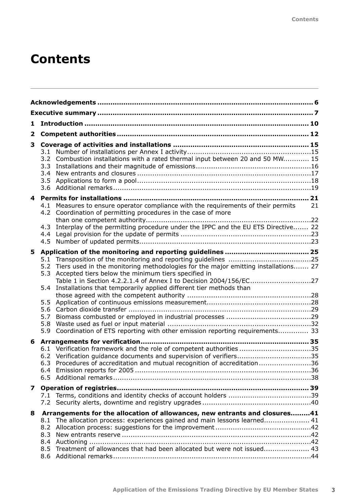# **Contents**

| 1                       |                                        |                                                                                                                                                                                                                                                                                      |  |
|-------------------------|----------------------------------------|--------------------------------------------------------------------------------------------------------------------------------------------------------------------------------------------------------------------------------------------------------------------------------------|--|
| 2                       |                                        |                                                                                                                                                                                                                                                                                      |  |
| 3                       | 3.1<br>3.3<br>3.4<br>3.5<br>3.6        | 3.2 Combustion installations with a rated thermal input between 20 and 50 MW 15                                                                                                                                                                                                      |  |
| 4                       | 4.1<br>4.2<br>4.3                      | Measures to ensure operator compliance with the requirements of their permits 21<br>Coordination of permitting procedures in the case of more<br>Interplay of the permitting procedure under the IPPC and the EU ETS Directive 22                                                    |  |
| 5                       | 4.4<br>4.5                             |                                                                                                                                                                                                                                                                                      |  |
|                         | 5.1<br>5.2<br>5.3<br>5.4               | Tiers used in the monitoring methodologies for the major emitting installations 27<br>Accepted tiers below the minimum tiers specified in<br>Table 1 in Section 4.2.2.1.4 of Annex I to Decision 2004/156/EC27<br>Installations that temporarily applied different tier methods than |  |
|                         | 5.5<br>5.6<br>5.7<br>5.8<br>5.9        | Coordination of ETS reporting with other emission reporting requirements 33                                                                                                                                                                                                          |  |
| 6                       | 6.3<br>6.4<br>6.5                      | 6.1 Verification framework and the role of competent authorities 35<br>6.2 Verification guidance documents and supervision of verifiers35<br>Procedures of accreditation and mutual recognition of accreditation36                                                                   |  |
| $\overline{\mathbf{z}}$ | 7.1                                    |                                                                                                                                                                                                                                                                                      |  |
| 8                       | 8.1<br>8.2<br>8.3<br>8.4<br>8.5<br>8.6 | Arrangements for the allocation of allowances, new entrants and closures41<br>The allocation process: experiences gained and main lessons learned 41<br>Treatment of allowances that had been allocated but were not issued 43                                                       |  |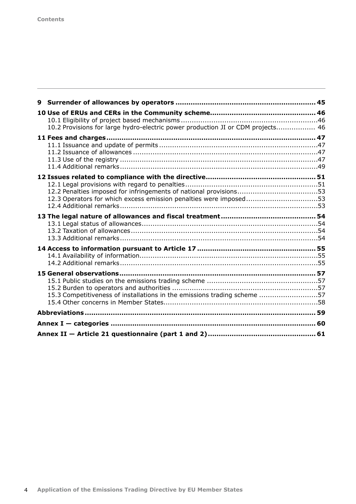| 10.2 Provisions for large hydro-electric power production JI or CDM projects 46 |
|---------------------------------------------------------------------------------|
|                                                                                 |
| 12.3 Operators for which excess emission penalties were imposed53               |
|                                                                                 |
|                                                                                 |
| 15.3 Competitiveness of installations in the emissions trading scheme 57        |
|                                                                                 |
|                                                                                 |
|                                                                                 |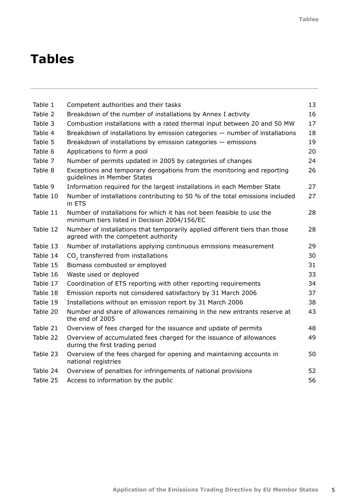| Table 1  | Competent authorities and their tasks                                                                                 | 13 |
|----------|-----------------------------------------------------------------------------------------------------------------------|----|
| Table 2  | Breakdown of the number of installations by Annex I activity                                                          | 16 |
|          |                                                                                                                       |    |
| Table 3  | Combustion installations with a rated thermal input between 20 and 50 MW                                              | 17 |
| Table 4  | Breakdown of installations by emission categories - number of installations                                           | 18 |
| Table 5  | Breakdown of installations by emission categories $-$ emissions                                                       | 19 |
| Table 6  | Applications to form a pool                                                                                           | 20 |
| Table 7  | Number of permits updated in 2005 by categories of changes                                                            | 24 |
| Table 8  | Exceptions and temporary derogations from the monitoring and reporting<br>quidelines in Member States                 | 26 |
| Table 9  | Information required for the largest installations in each Member State                                               | 27 |
| Table 10 | Number of installations contributing to 50 % of the total emissions included<br>in ETS                                | 27 |
| Table 11 | Number of installations for which it has not been feasible to use the<br>minimum tiers listed in Decision 2004/156/EC | 28 |
| Table 12 | Number of installations that temporarily applied different tiers than those<br>agreed with the competent authority    | 28 |
| Table 13 | Number of installations applying continuous emissions measurement                                                     | 29 |
| Table 14 | $CO2$ transferred from installations                                                                                  | 30 |
| Table 15 | Biomass combusted or employed                                                                                         | 31 |
| Table 16 | Waste used or deployed                                                                                                | 33 |
| Table 17 | Coordination of ETS reporting with other reporting requirements                                                       | 34 |
| Table 18 | Emission reports not considered satisfactory by 31 March 2006                                                         | 37 |
| Table 19 | Installations without an emission report by 31 March 2006                                                             | 38 |
| Table 20 | Number and share of allowances remaining in the new entrants reserve at<br>the end of 2005                            | 43 |
| Table 21 | Overview of fees charged for the issuance and update of permits                                                       | 48 |
| Table 22 | Overview of accumulated fees charged for the issuance of allowances<br>during the first trading period                | 49 |
| Table 23 | Overview of the fees charged for opening and maintaining accounts in<br>national registries                           | 50 |
| Table 24 | Overview of penalties for infringements of national provisions                                                        | 52 |
| Table 25 | Access to information by the public                                                                                   | 56 |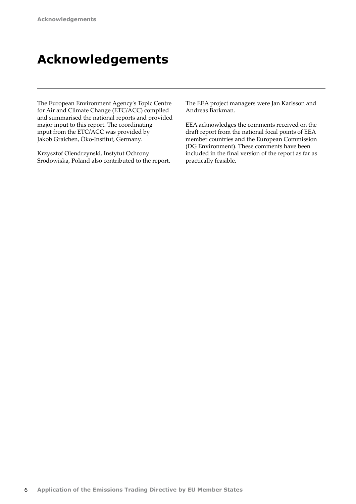## <span id="page-7-0"></span>**Acknowledgements**

The European Environment Agency's Topic Centre for Air and Climate Change (ETC/ACC) compiled and summarised the national reports and provided major input to this report. The coordinating input from the ETC/ACC was provided by Jakob Graichen, Öko-Institut, Germany.

Krzysztof Olendrzynski, Instytut Ochrony Srodowiska, Poland also contributed to the report. The EEA project managers were Jan Karlsson and Andreas Barkman.

EEA acknowledges the comments received on the draft report from the national focal points of EEA member countries and the European Commission (DG Environment). These comments have been included in the final version of the report as far as practically feasible.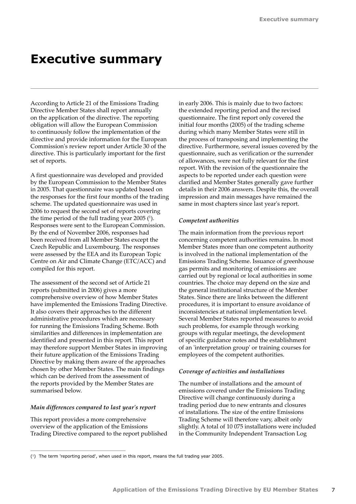## <span id="page-8-0"></span>**Executive summary**

According to Article 21 of the Emissions Trading Directive Member States shall report annually on the application of the directive. The reporting obligation will allow the European Commission to continuously follow the implementation of the directive and provide information for the European Commission's review report under Article 30 of the directive. This is particularly important for the first set of reports.

A first questionnaire was developed and provided by the European Commission to the Member States in 2005. That questionnaire was updated based on the responses for the first four months of the trading scheme. The updated questionnaire was used in 2006 to request the second set of reports covering the time period of the full trading year  $2005$   $(1)$ . Responses were sent to the European Commission. By the end of November 2006, responses had been received from all Member States except the Czech Republic and Luxembourg. The responses were assessed by the EEA and its European Topic Centre on Air and Climate Change (ETC/ACC) and compiled for this report.

The assessment of the second set of Article 21 reports (submitted in 2006) gives a more comprehensive overview of how Member States have implemented the Emissions Trading Directive. It also covers their approaches to the different administrative procedures which are necessary for running the Emissions Trading Scheme. Both similarities and differences in implementation are identified and presented in this report. This report may therefore support Member States in improving their future application of the Emissions Trading Directive by making them aware of the approaches chosen by other Member States. The main findings which can be derived from the assessment of the reports provided by the Member States are summarised below.

#### *Main differences compared to last year's report*

This report provides a more comprehensive overview of the application of the Emissions Trading Directive compared to the report published in early 2006. This is mainly due to two factors: the extended reporting period and the revised questionnaire. The first report only covered the initial four months (2005) of the trading scheme during which many Member States were still in the process of transposing and implementing the directive. Furthermore, several issues covered by the questionnaire, such as verification or the surrender of allowances, were not fully relevant for the first report. With the revision of the questionnaire the aspects to be reported under each question were clarified and Member States generally gave further details in their 2006 answers. Despite this, the overall impression and main messages have remained the same in most chapters since last year's report.

#### *Competent authorities*

The main information from the previous report concerning competent authorities remains. In most Member States more than one competent authority is involved in the national implementation of the Emissions Trading Scheme. Issuance of greenhouse gas permits and monitoring of emissions are carried out by regional or local authorities in some countries. The choice may depend on the size and the general institutional structure of the Member States. Since there are links between the different procedures, it is important to ensure avoidance of inconsistencies at national implementation level. Several Member States reported measures to avoid such problems, for example through working groups with regular meetings, the development of specific guidance notes and the establishment of an 'interpretation group' or training courses for employees of the competent authorities.

#### *Coverage of activities and installations*

The number of installations and the amount of emissions covered under the Emissions Trading Directive will change continuously during a trading period due to new entrants and closures of installations. The size of the entire Emissions Trading Scheme will therefore vary, albeit only slightly. A total of 10 075 installations were included in the Community Independent Transaction Log

<sup>(1)</sup> The term 'reporting period', when used in this report, means the full trading year 2005.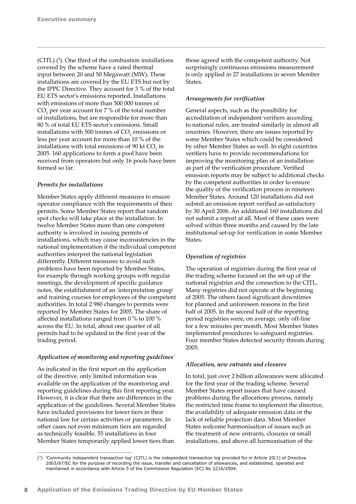$(CITL)$  ( $2$ ). One third of the combustion installations covered by the scheme have a rated thermal input between 20 and 50 Megawatt (MW). These installations are covered by the EU ETS but not by the IPPC Directive. They account for 3 % of the total EU ETS sector's emissions reported. Installations with emissions of more than 500 000 tonnes of  $\mathrm{CO}_2$  per year account for 7 % of the total number of installations, but are responsible for more than 80 % of total EU ETS sector's emissions. Small installations with 500 tonnes of  $\mathrm{CO}_2$  emissions or less per year account for more than 10 % of the installations with total emissions of 90 kt  $\mathrm{CO}_2^{\vphantom{\dagger}}$  in 2005. 160 applications to form a pool have been received from operators but only 16 pools have been formed so far.

## *Permits for installations*

Member States apply different measures to ensure operator compliance with the requirements of their permits. Some Member States report that random spot checks will take place at the installation. In twelve Member States more than one competent authority is involved in issuing permits of installations, which may cause inconsistencies in the national implementation if the individual competent authorities interpret the national legislation differently. Different measures to avoid such problems have been reported by Member States, for example through working groups with regular meetings, the development of specific guidance notes, the establishment of an 'interpretation group' and training courses for employees of the competent authorities. In total 2 980 changes to permits were reported by Member States for 2005. The share of affected installations ranged from 0 % to 100 % across the EU. In total, about one quarter of all permits had to be updated in the first year of the trading period.

## *Application of monitoring and reporting guidelines'*

As indicated in the first report on the application of the directive, only limited information was available on the application of the monitoring and reporting guidelines during this first reporting year. However, it is clear that there are differences in the application of the guidelines. Several Member States have included provisions for lower tiers in their national law for certain activities or parameters. In other cases not even minimum tiers are regarded as technically feasible. 55 installations in four Member States temporarily applied lower tiers than

those agreed with the competent authority. Not surprisingly continuous emissions measurement is only applied in 27 installations in seven Member States.

## *Arrangements for verification*

General aspects, such as the possibility for accreditation of independent verifiers according to national rules, are treated similarly in almost all countries. However, there are issues reported by some Member States which could be considered by other Member States as well. In eight countries verifiers have to provide recommendations for improving the monitoring plan of an installation as part of the verification procedure. Verified emission reports may be subject to additional checks by the competent authorities in order to ensure the quality of the verification process in nineteen Member States. Around 120 installations did not submit an emission report verified as satisfactory by 30 April 2006. An additional 160 installations did not submit a report at all. Most of these cases were solved within three months and caused by the late institutional set-up for verification in some Member States.

## *Operation of registries*

The operation of registries during the first year of the trading scheme focused on the set-up of the national registries and the connection to the CITL. Many registries did not operate at the beginning of 2005. The others faced significant downtimes for planned and unforeseen reasons in the first half of 2005. In the second half of the reporting period registries were, on average, only off-line for a few minutes per month. Most Member States implemented procedures to safeguard registries. Four member States detected security threats during 2005.

## *Allocation, new entrants and closures*

In total, just over 2 billion allowances were allocated for the first year of the trading scheme. Several Member States report issues that have caused problems during the allocations process, namely the restricted time frame to implement the directive, the availability of adequate emission data or the lack of reliable projection data. Most Member States welcome harmonisation of issues such as the treatment of new entrants, closures or small installations, and above all harmonisation of the

<sup>(2)</sup> 'Community independent transaction log' (CITL) is the independent transaction log provided for in Article 20(1) of Directive 2003/87/EC for the purpose of recording the issue, transfer and cancellation of allowances, and established, operated and maintained in accordance with Article 5 of the Commission Regulation (EC) No 2216/2004.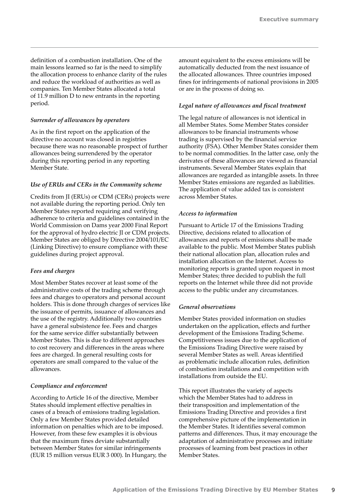definition of a combustion installation. One of the main lessons learned so far is the need to simplify the allocation process to enhance clarity of the rules and reduce the workload of authorities as well as companies. Ten Member States allocated a total of 11.9 million D to new entrants in the reporting period.

### *Surrender of allowances by operators*

As in the first report on the application of the directive no account was closed in registries because there was no reasonable prospect of further allowances being surrendered by the operator during this reporting period in any reporting Member State.

## *Use of ERUs and CERs in the Community scheme*

Credits from JI (ERUs) or CDM (CERs) projects were not available during the reporting period. Only ten Member States reported requiring and verifying adherence to criteria and guidelines contained in the World Commission on Dams year 2000 Final Report for the approval of hydro electric JI or CDM projects. Member States are obliged by Directive 2004/101/EC (Linking Directive) to ensure compliance with these guidelines during project approval.

## *Fees and charges*

Most Member States recover at least some of the administrative costs of the trading scheme through fees and charges to operators and personal account holders. This is done through charges of services like the issuance of permits, issuance of allowances and the use of the registry. Additionally two countries have a general subsistence fee. Fees and charges for the same service differ substantially between Member States. This is due to different approaches to cost recovery and differences in the areas where fees are charged. In general resulting costs for operators are small compared to the value of the allowances.

#### *Compliance and enforcement*

According to Article 16 of the directive, Member States should implement effective penalties in cases of a breach of emissions trading legislation. Only a few Member States provided detailed information on penalties which are to be imposed. However, from these few examples it is obvious that the maximum fines deviate substantially between Member States for similar infringements (EUR 15 million versus EUR 3 000). In Hungary, the

amount equivalent to the excess emissions will be automatically deducted from the next issuance of the allocated allowances. Three countries imposed fines for infringements of national provisions in 2005 or are in the process of doing so.

### *Legal nature of allowances and fiscal treatment*

The legal nature of allowances is not identical in all Member States. Some Member States consider allowances to be financial instruments whose trading is supervised by the financial service authority (FSA). Other Member States consider them to be normal commodities. In the latter case, only the derivates of these allowances are viewed as financial instruments. Several Member States explain that allowances are regarded as intangible assets. In three Member States emissions are regarded as liabilities. The application of value added tax is consistent across Member States.

## *Access to information*

Pursuant to Article 17 of the Emissions Trading Directive, decisions related to allocation of allowances and reports of emissions shall be made available to the public. Most Member States publish their national allocation plan, allocation rules and installation allocation on the Internet. Access to monitoring reports is granted upon request in most Member States; three decided to publish the full reports on the Internet while three did not provide access to the public under any circumstances.

## *General observations*

Member States provided information on studies undertaken on the application, effects and further development of the Emissions Trading Scheme. Competitiveness issues due to the application of the Emissions Trading Directive were raised by several Member States as well. Areas identified as problematic include allocation rules, definition of combustion installations and competition with installations from outside the EU.

This report illustrates the variety of aspects which the Member States had to address in their transposition and implementation of the Emissions Trading Directive and provides a first comprehensive picture of the implementation in the Member States. It identifies several common patterns and differences. Thus, it may encourage the adaptation of administrative processes and initiate processes of learning from best practices in other Member States.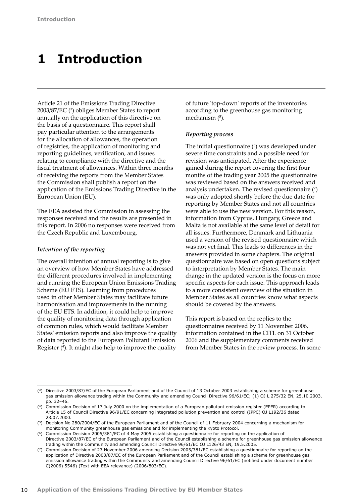# <span id="page-11-0"></span>**1 Introduction**

Article 21 of the Emissions Trading Directive 2003/87/EC (3 ) obliges Member States to report annually on the application of this directive on the basis of a questionnaire. This report shall pay particular attention to the arrangements for the allocation of allowances, the operation of registries, the application of monitoring and reporting guidelines, verification, and issues relating to compliance with the directive and the fiscal treatment of allowances. Within three months of receiving the reports from the Member States the Commission shall publish a report on the application of the Emissions Trading Directive in the European Union (EU).

The EEA assisted the Commission in assessing the responses received and the results are presented in this report. In 2006 no responses were received from the Czech Republic and Luxembourg.

## *Intention of the reporting*

The overall intention of annual reporting is to give an overview of how Member States have addressed the different procedures involved in implementing and running the European Union Emissions Trading Scheme (EU ETS). Learning from procedures used in other Member States may facilitate future harmonisation and improvements in the running of the EU ETS. In addition, it could help to improve the quality of monitoring data through application of common rules, which would facilitate Member States' emission reports and also improve the quality of data reported to the European Pollutant Emission Register (4 ). It might also help to improve the quality of future 'top-down' reports of the inventories according to the greenhouse gas monitoring mechanism (5).

## *Reporting process*

The initial questionnaire (<sup>6</sup>) was developed under severe time constraints and a possible need for revision was anticipated. After the experience gained during the report covering the first four months of the trading year 2005 the questionnaire was reviewed based on the answers received and analysis undertaken. The revised questionnaire  $(7)$ was only adopted shortly before the due date for reporting by Member States and not all countries were able to use the new version. For this reason, information from Cyprus, Hungary, Greece and Malta is not available at the same level of detail for all issues. Furthermore, Denmark and Lithuania used a version of the revised questionnaire which was not yet final. This leads to differences in the answers provided in some chapters. The original questionnaire was based on open questions subject to interpretation by Member States. The main change in the updated version is the focus on more specific aspects for each issue. This approach leads to a more consistent overview of the situation in Member States as all countries know what aspects should be covered by the answers.

This report is based on the replies to the questionnaires received by 11 November 2006, information contained in the CITL on 31 October 2006 and the supplementary comments received from Member States in the review process. In some

<sup>(3)</sup> Directive 2003/87/EC of the European Parliament and of the Council of 13 October 2003 establishing a scheme for greenhouse gas emission allowance trading within the Community and amending Council Directive 96/61/EC; (1) OJ L 275/32 EN, 25.10.2003, pp. 32–46.

<sup>(4)</sup> Commission Decision of 17 July 2000 on the implementation of a European pollutant emission register (EPER) according to Article 15 of Council Directive 96/91/EC concerning integrated pollution prevention and control (IPPC) OJ L192/36 dated 28.07.2000.

<sup>(5)</sup> Decision No 280/2004/EC of the European Parliament and of the Council of 11 February 2004 concerning a mechanism for monitoring Community greenhouse gas emissions and for implementing the Kyoto Protocol.

<sup>(6)</sup> Commission Decision 2005/381/EC of 4 May 2005 establishing a questionnaire for reporting on the application of Directive 2003/87/EC of the European Parliament and of the Council establishing a scheme for greenhouse gas emission allowance trading within the Community and amending Council Directive 96/61/EC OJ L126/43 EN, 19.5.2005.

<sup>(7)</sup> Commission Decision of 23 November 2006 amending Decision 2005/381/EC establishing a questionnaire for reporting on the application of Directive 2003/87/EC of the European Parliament and of the Council establishing a scheme for greenhouse gas emission allowance trading within the Community and amending Council Directive 96/61/EC (notified under document number C(2006) 5546) (Text with EEA relevance) (2006/803/EC).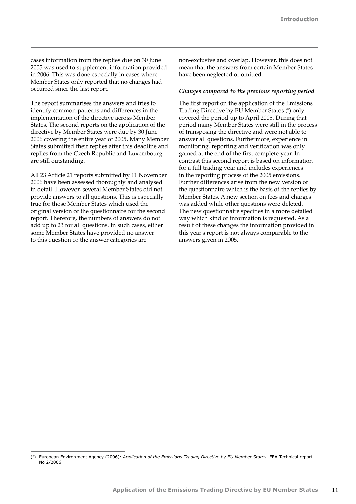cases information from the replies due on 30 June 2005 was used to supplement information provided in 2006. This was done especially in cases where Member States only reported that no changes had occurred since the last report.

The report summarises the answers and tries to identify common patterns and differences in the implementation of the directive across Member States. The second reports on the application of the directive by Member States were due by 30 June 2006 covering the entire year of 2005. Many Member States submitted their replies after this deadline and replies from the Czech Republic and Luxembourg are still outstanding.

All 23 Article 21 reports submitted by 11 November 2006 have been assessed thoroughly and analysed in detail. However, several Member States did not provide answers to all questions. This is especially true for those Member States which used the original version of the questionnaire for the second report. Therefore, the numbers of answers do not add up to 23 for all questions. In such cases, either some Member States have provided no answer to this question or the answer categories are

non-exclusive and overlap. However, this does not mean that the answers from certain Member States have been neglected or omitted.

#### *Changes compared to the previous reporting period*

The first report on the application of the Emissions Trading Directive by EU Member States (8 ) only covered the period up to April 2005. During that period many Member States were still in the process of transposing the directive and were not able to answer all questions. Furthermore, experience in monitoring, reporting and verification was only gained at the end of the first complete year. In contrast this second report is based on information for a full trading year and includes experiences in the reporting process of the 2005 emissions. Further differences arise from the new version of the questionnaire which is the basis of the replies by Member States. A new section on fees and charges was added while other questions were deleted. The new questionnaire specifies in a more detailed way which kind of information is requested. As a result of these changes the information provided in this year's report is not always comparable to the answers given in 2005.

<sup>(8)</sup> European Environment Agency (2006): *Application of the Emissions Trading Directive by EU Member States*. EEA Technical report No 2/2006.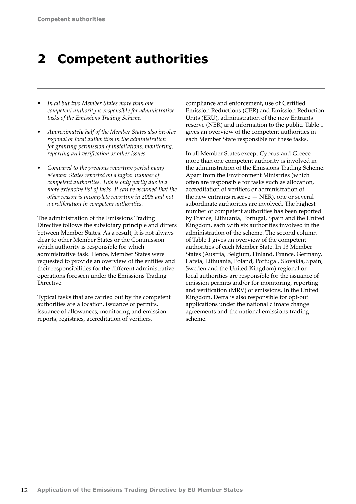## <span id="page-13-0"></span>**2 Competent authorities**

- *• In all but two Member States more than one competent authority is responsible for administrative tasks of the Emissions Trading Scheme.*
- *• Approximately half of the Member States also involve regional or local authorities in the administration for granting permission of installations, monitoring, reporting and verification or other issues.*
- *• Compared to the previous reporting period many Member States reported on a higher number of competent authorities. This is only partly due to a more extensive list of tasks. It can be assumed that the other reason is incomplete reporting in 2005 and not a proliferation in competent authorities.*

The administration of the Emissions Trading Directive follows the subsidiary principle and differs between Member States. As a result, it is not always clear to other Member States or the Commission which authority is responsible for which administrative task. Hence, Member States were requested to provide an overview of the entities and their responsibilities for the different administrative operations foreseen under the Emissions Trading Directive.

Typical tasks that are carried out by the competent authorities are allocation, issuance of permits, issuance of allowances, monitoring and emission reports, registries, accreditation of verifiers,

compliance and enforcement, use of Certified Emission Reductions (CER) and Emission Reduction Units (ERU), administration of the new Entrants reserve (NER) and information to the public. Table 1 gives an overview of the competent authorities in each Member State responsible for these tasks.

In all Member States except Cyprus and Greece more than one competent authority is involved in the administration of the Emissions Trading Scheme. Apart from the Environment Ministries (which often are responsible for tasks such as allocation, accreditation of verifiers or administration of the new entrants reserve  $-$  NER), one or several subordinate authorities are involved. The highest number of competent authorities has been reported by France, Lithuania, Portugal, Spain and the United Kingdom, each with six authorities involved in the administration of the scheme. The second column of Table 1 gives an overview of the competent authorities of each Member State. In 13 Member States (Austria, Belgium, Finland, France, Germany, Latvia, Lithuania, Poland, Portugal, Slovakia, Spain, Sweden and the United Kingdom) regional or local authorities are responsible for the issuance of emission permits and/or for monitoring, reporting and verification (MRV) of emissions. In the United Kingdom, Defra is also responsible for opt-out applications under the national climate change agreements and the national emissions trading scheme.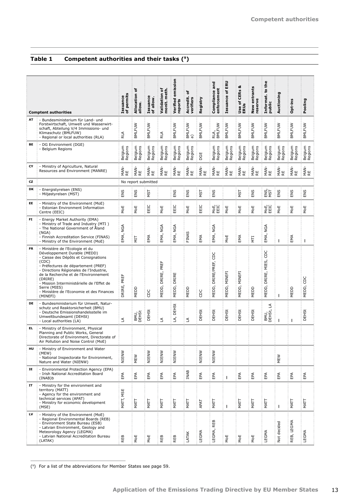**Table 1 Competent authorities and their tasks (9)**

|           |                                                                                                                                                                                                                                                                                                                                                                               | of permits<br>Issuance | Allocation of<br>allow. | Issuance<br>of allow. | Validation of<br>monit. meth. | Verified emission<br>reports | đ<br>Accredit.<br>verifiers | Registry     | <b>Compliance and</b><br>enforcement | <b>Issuance of ERU</b> | Use of CERs &<br>ERUs | New entrants<br>reserve | Informat. to the<br>public | Auctioning         | Opt-ins            | Pooling            |
|-----------|-------------------------------------------------------------------------------------------------------------------------------------------------------------------------------------------------------------------------------------------------------------------------------------------------------------------------------------------------------------------------------|------------------------|-------------------------|-----------------------|-------------------------------|------------------------------|-----------------------------|--------------|--------------------------------------|------------------------|-----------------------|-------------------------|----------------------------|--------------------|--------------------|--------------------|
| AT        | <b>Comptent authorities</b><br>- Bundesministerium für Land- und<br>Forstwirtschaft, Umwelt und Wasserwirt-<br>schaft, Abteilung V/4 Immissions- und<br>Klimaschutz (BMLFUW)<br>- Regional or local authorities (RLA)                                                                                                                                                         | RLA                    | BMLFUW                  | BMLFUW                | RLA                           | BMLFUW                       | BMLFUW<br>a)                | BMLFUW       | RLA,<br>BMLFUW                       | BMLFUW                 | BMLFUW                | BMLFUW                  | BMLFUW                     | BMLFUW             | BMLFUW             | BMLFUW             |
| BE        | - DG Environment (DGE)<br>- Belgium Regions                                                                                                                                                                                                                                                                                                                                   | Belgium<br>Regions     | Belgium<br>Regions      | Belgium<br>Regions    | Belgium<br>Regions            | Belgium<br>Regions           | Belgium<br>Regions          | DGE          | Belgium<br>Regions                   | Belgium<br>Regions     | Belgium<br>Regions    | Belgium<br>Regions      | Belgium<br>Regions         | Belgium<br>Regions | Belgium<br>Regions | Belgium<br>Regions |
| CY        | - Ministry of Agriculture, Natural<br>Resources and Environment (MANRE)                                                                                                                                                                                                                                                                                                       |                        | MAN-<br>RE              | MAN-<br>RE            | MAN-<br>RE                    | MAN-<br>RE                   | MAN-<br>RE                  | MAN-<br>RE   | MAN-<br>RE                           | MAN-<br>RE             | MAN-<br>RE            | MAN-<br>RE              | MAN-<br>RE                 | MAN-<br>RE         | MAN-<br>Æ          | MAN-<br>RE         |
| CZ        |                                                                                                                                                                                                                                                                                                                                                                               |                        |                         | No report submitted   |                               |                              |                             |              |                                      |                        |                       |                         |                            |                    |                    |                    |
| DK        | - Energistyrelsen (ENS)<br>- Miljøstyrelsen (MST)                                                                                                                                                                                                                                                                                                                             | ENS                    | ENS                     | NST                   |                               | ENS                          | ENS                         | NST          | ENS                                  |                        | NSТ                   | ENS                     | ENS,<br>MST                | ENS                | ENS                | ENS                |
| EE        | - Ministry of the Environment (MoE)<br>- Estonian Environment Information<br>Centre (EEIC)                                                                                                                                                                                                                                                                                    | MoE                    | MoE                     | EEIC                  | MoE                           | EEIC                         | MoE                         | EEIC         | MoE,<br>EEIC                         | MoE                    | MoE                   | MoE                     | MoE,<br>EEIC               | MoE                | MoE                | MoE                |
| FI        | - Energy Market Authority (EMA)<br>- Ministry of Trade and Industry (MTI)<br>- The National Government of Åland<br>(NGA)<br>- Finnish Accreditation Service (FINAS)<br>- Ministry of the Environment (MoE)                                                                                                                                                                    | EMA, NGA               | ZЫ                      | EMA                   | EMA, NGA                      | EMA, NGA                     | FINAS                       | EMA          | EMA, NGA                             | MoE                    | EMA                   | NTI                     | EMA, NGA                   | $\mathbf{I}$       | EMA                | $\mathsf{I}$       |
| <b>FR</b> | - Ministère de l'Ecologie et du<br>Développement Durable (MEDD)<br>- Caisse des Dépôts et Consignations<br>(CDC)<br>- Préfectures de département (PREF)<br>- Directions Régionales de l'Industrie,<br>de la Recherche et de l'Environnement<br>(DRIRE)<br>- Mission Interministérielle de l'Effet de<br>Serre (MIES)<br>- Ministère de l'Economie et des Finances<br>(MINEFI) | DRIRE, PREF            | MEDD                    | CDC                   | MEDD, DRIRE, PREF             | MEDD, DRIRE                  | MEDD                        | c<br>C       | MEDD, DRIRE/PREF, CDC                | MEDD, MINEFI           | MEDD, MINEFI          | MEDD                    | MEDD, DRIRE, MIES, CDC     | ı                  | MEDD               | MEDD, CDC          |
| DE        | - Bundesministerium für Umwelt, Natur-<br>schutz und Reaktorsicherheit (BMU)<br>- Deutsche Emissionshandelsstelle im<br>Umweltbundesamt (DEHSt)<br>- Local authorities (LA)                                                                                                                                                                                                   | ₹                      | BMU,<br>DEHSt           | <b>DEHSt</b>          | $\preceq$                     | <b>DEHSt</b><br>Š,           | $\preceq$                   | <b>DEHSt</b> | <b>DEHSt</b>                         | <b>DEHSt</b>           | <b>DEHSt</b>          | <b>DEHSt</b>            | ₹<br>BMU,<br>DEHSt,        |                    | ı                  | <b>DEHSt</b>       |
| EL.       | - Ministry of Environment, Physical<br>Planning and Public Works, General<br>Directorate of Environment, Directorate of<br>Air Pollution and Noise Control (MoE)                                                                                                                                                                                                              |                        |                         |                       |                               |                              |                             |              |                                      |                        |                       |                         |                            |                    |                    |                    |
| HU        | - Ministry of Environment and Water<br>(MEW)<br>- National Inspectorate for Environment,<br>Nature and Water (NIENW)                                                                                                                                                                                                                                                          | NIENW                  | MEW                     | NIENW                 | NIENW                         | NIENW                        |                             | NIENW        | NIENW                                |                        |                       |                         |                            | MEW                |                    |                    |
| IE        | - Environmental Protection Agency (EPA)<br>- Irish National Accreditation Board<br>(INAB)b                                                                                                                                                                                                                                                                                    | EPA                    | EPA                     | EPA                   | EPA                           | EPA                          | INAB                        | EPA          | EPA                                  |                        | EPA                   | EPA                     | EPA                        | EPA                | EPA                | EPA                |
| IT        | - Ministry for the environment and<br>territory (MATT)<br>- Agency for the environment and<br>technical services (APAT)<br>- Ministry for economic development<br>(MSE)                                                                                                                                                                                                       | MATT, MSE              | MATT                    | MATT                  | MATT                          | MATT                         | MATT                        | APAT         | MATT                                 | $\mathbf{I}$           | MATT                  | MATT                    | MATT                       | ı                  | MATT               | MATT               |
| LV        | - Ministry of the Environment (MoE)<br>- Regional Environmental Boards (REB)<br>- Environment State Bureau (ESB)<br>- Latvian Environment, Geology and<br>Meteorology Agency (LEGMA)<br>- Latvian National Accreditation Bureau<br>(LATAK)                                                                                                                                    | <b>REB</b>             | MoE                     | MoE                   | <b>REB</b>                    | <b>REB</b>                   | LATAK                       | LEGMA        | LEGMA, REB                           | MoE                    | MoE                   | MoE                     | LEGMA                      | Not decided        | REB, LEGMA         | LEGMA              |

(9) For a list of the abbreviations for Member States see page 59.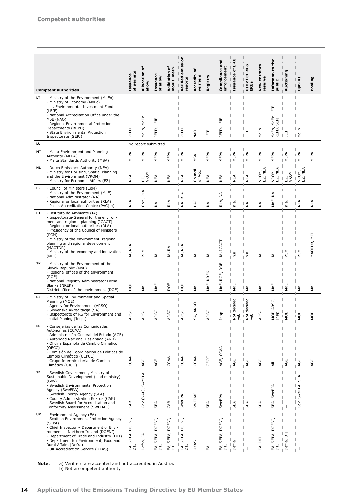|           |                                                                                                                                                                                                                                                                                                                                                              | of permits<br>Issuance | Allocation of<br>allow. | Issuance<br>of allow. | Validation of<br>monit. meth | Verified emission<br>reports | ٥<br>Accredit.<br>verifiers | Registry    | Compliance and<br>enforcement | Issuance of ERU  | ఱ<br><b>Use of CERs</b> | New entrants<br>reserve | Informat. to the<br>public            | Auctioning                         | Opt-ins                | Pooling     |
|-----------|--------------------------------------------------------------------------------------------------------------------------------------------------------------------------------------------------------------------------------------------------------------------------------------------------------------------------------------------------------------|------------------------|-------------------------|-----------------------|------------------------------|------------------------------|-----------------------------|-------------|-------------------------------|------------------|-------------------------|-------------------------|---------------------------------------|------------------------------------|------------------------|-------------|
|           | <b>Comptent authorities</b>                                                                                                                                                                                                                                                                                                                                  |                        |                         |                       |                              |                              |                             |             |                               |                  | ERUS                    |                         |                                       |                                    |                        |             |
| LT        | - Ministry of the Environment (MoEn)<br>- Ministry of Economy (MoEc)<br>- Lt. Environmental Investment Fund<br>(LEIF)<br>- National Accreditation Office under the<br>MoE (NAO)<br>- Regional Environmental Protection<br>Departments (REPD)<br>- State Environmental Protection<br>Inspectorate (SEPI)                                                      | REPD                   | MoEn, MoEc              | REPD, LEIF            |                              | REPD                         | <b>NAO</b>                  | LEIF        | REPD, LEIF                    |                  | 旨                       | MoEn                    | MoEc, LEIF,<br>SEPI<br>MoEn,<br>REPD, | 旨                                  | MoEn                   | I.          |
| LU        |                                                                                                                                                                                                                                                                                                                                                              |                        | No report submitted     |                       |                              |                              |                             |             |                               |                  |                         |                         |                                       |                                    |                        |             |
| MT        | - Malta Environment and Planning<br>Authority (MEPA)<br>- Malta Standards Authority (MSA)                                                                                                                                                                                                                                                                    | MEPA                   | MEPA                    | MEPA                  | MEPA                         | MEPA                         | MSA                         | MEPA        | MEPA                          | MEPA             | MEPA                    | MEPA                    | MEPA                                  | MEPA                               | MEPA                   | MEPA        |
| <b>NL</b> | - Dutch Emissions Authority (NEA)<br>- Ministry for Housing, Spatial Planning<br>and the Environment (VROM)<br>- Ministry for Economic Affairs (EZ)                                                                                                                                                                                                          | NEA                    | EZ,<br>VROM             | NEA                   | NEA                          | NEA                          | Council<br>of Acc.          | NEA         | NEA                           | NEA              | NEA                     | VROM,<br>EZ, NEA        | VROM,<br>EZ, NEA                      | EZ,<br>VROM                        | VROM,<br>EZ, NEA       | I.          |
| PL.       | - Council of Ministers (CoM)<br>- Ministry of the Environment (MoE)<br>- National Administrator (NA)<br>- Regional or local authorities (RLA)<br>- Polish Accreditation Centre (PAC) b)                                                                                                                                                                      | RLA                    | CoM, RLA                | ₹                     | RLA                          | <b>RLA</b><br>ΝA,            | PAC                         | ₹           | RLA, NA                       | n.a.             | $\lessgtr$              | ₹                       | MOE, NA                               | n.a.                               | RLA                    | <b>RLA</b>  |
| PТ        | - Instituto do Ambiente (IA)<br>- Inspectorate-General for the environ-<br>ment and regional planning (IGAOT)<br>- Regional or local authorities (RLA)<br>- Presidency of the Council of Ministers<br>(PCM)<br>- Ministry of the environment, regional<br>planning and regional development<br>(MAOTDR)<br>- Ministry of the economy and innovation<br>(MEI) | IA, RLA                | PCM                     | ₹                     | IA, RA                       | IA, RLA                      | $\preceq$                   | ₹           | IA, IGAOT                     | n.a.             | n.a                     | ₹                       | $\preceq$                             | PCM                                | PCM                    | MAOTDR, MEI |
| SΚ        | - Ministry of the Environment of the<br>Slovak Republic (MoE)<br>- Regional offices of the environment<br>(ROE)<br>- National Registry Administrator Dexia<br>Blanka (NREK)<br>District office of the environment (DOE)                                                                                                                                      | DOE                    | MoE                     | MoE                   | DOE                          | DOE                          | MoE                         | MOE, NREK   | ROE, DOE<br>MoE,              | MoE              | MoE                     | MoE                     | MoE                                   | MoE                                | MoE                    | MoE         |
| SI        | - Ministry of Environment and Spatial<br>Planning (MOE)<br>- Agency for Environment (ARSO)<br>- Slovenska Akreditacija (SA)<br>- Inspectorate of RS for Environment and<br>spatial Planing (Insp.)                                                                                                                                                           | R <sub>SO</sub>        | <b>ARSO</b>             | <b>RSO</b>            | <b>ARSO</b>                  | <b>RSO</b>                   | A, ARSO                     | <b>ARSO</b> | Insp                          | lot decided<br>ţ | lot decided<br>ť        | ARSO                    | MOP, ARSO,<br>Insp                    | MOE                                | MOE                    | MOE         |
| ES        | - Consejerías de las Comunidades<br>Autónomas (CCAA)<br>- Administración General del Estado (AGE)<br>- Autoridad Nacional Designada (AND)<br>- Oficina Española de Cambio Climático<br>(OECC)<br>- Comisión de Coordinación de Políticas de<br>Cambio Climático (CCPCC)<br>- Grupo Interministerial de Cambio<br>Climático (GICC)                            | CCAA                   | AGE                     | AGE                   | CCAA                         | CCAA                         | CCAA                        | OECC        | AGE, CCAA                     | AGE              | AGE                     | AGE                     | $\overline{\preccurlyeq}$             | AGE                                | AGE                    | AGE         |
| SE        | - Swedish Government, Ministry of<br>Sustainable Development (lead ministry)<br>(Gov)<br>- Swedish Environmental Protection<br>Agency (SweEPA)<br>- Swedish Energy Agency (SEA)<br>- County Administration Boards (CAB)<br>- Swedish Board for Accreditation and<br>Conformity Assessment (SWEDAC)                                                           | CAB                    | Gov (NAP), SweEPA       | SEA                   | CAB                          | SweEPA                       | SWEDAC                      | SEA         | SweEPA                        | SEA              | SEA                     | SEA                     | SweEPA<br>SEA,                        | H                                  | SEA<br>SweEPA,<br>Gov, | т           |
| UK        | - Environment Agency (EA)<br>- Scottish Environment Protection Agency<br>(SEPA)<br>- Chief Inspector - Department of Envi-<br>ronment - Northern Ireland (DOENI)<br>- Department of Trade and Industry (DTI)<br>- Department for Environment, Food and<br>Rural Affairs (Defra)<br>- UK Accreditation Service (UKAS)                                         | SEPA, DOENI,<br>EÃ,    | ₹<br>Defra,             | SEPA, DOENI,<br>ΕÃ,   | SEPA, DOENI,<br>EÃ,          | SEPA, DOENI,<br>EÃ,          | <b>UKAS</b>                 | 띥           | SEPA, DOENI,<br>EA,           | Defra            |                         | Бij<br>EA,              | SEPA, DOENI,<br>EÃ,                   | $\overline{\phantom{a}}$<br>Defra, |                        | ı           |

**Note**: a) Verifiers are accepted and not accredited in Austria. b) Not a competent authority.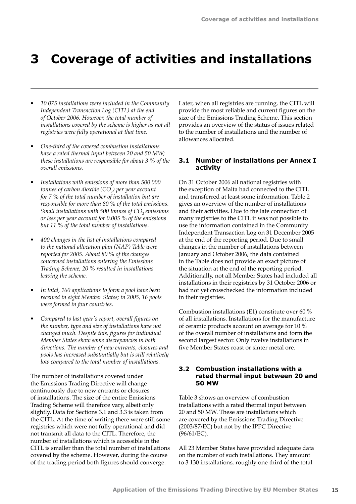## <span id="page-16-0"></span>**3 Coverage of activities and installations**

- *• 10 075 installations were included in the Community Independent Transaction Log (CITL) at the end of October 2006. However, the total number of installations covered by the scheme is higher as not all registries were fully operational at that time.*
- *• One-third of the covered combustion installations have a rated thermal input between 20 and 50 MW; these installations are responsible for about 3 % of the overall emissions.*
- *• Installations with emissions of more than 500 000 tonnes of carbon dioxide (CO2 ) per year account for 7 % of the total number of installation but are responsible for more than 80 % of the total emissions. Small installations with 500 tonnes of CO2 emissions or less per year account for 0.005 % of the emissions but 11 % of the total number of installations.*
- *• 400 changes in the list of installations compared to the national allocation plan (NAP) Table were reported for 2005. About 80 % of the changes concerned installations entering the Emissions Trading Scheme; 20 % resulted in installations leaving the scheme.*
- *• In total, 160 applications to form a pool have been received in eight Member States; in 2005, 16 pools were formed in four countries.*
- *• Compared to last year's report, overall figures on the number, type and size of installations have not changed much. Despite this, figures for individual Member States show some discrepancies in both directions. The number of new entrants, closures and pools has increased substantially but is still relatively low compared to the total number of installations.*

The number of installations covered under the Emissions Trading Directive will change continuously due to new entrants or closures of installations. The size of the entire Emissions Trading Scheme will therefore vary, albeit only slightly. Data for Sections 3.1 and 3.3 is taken from the CITL. At the time of writing there were still some registries which were not fully operational and did not transmit all data to the CITL. Therefore, the number of installations which is accessible in the CITL is smaller than the total number of installations covered by the scheme. However, during the course of the trading period both figures should converge.

Later, when all registries are running, the CITL will provide the most reliable and current figures on the size of the Emissions Trading Scheme. This section provides an overview of the status of issues related to the number of installations and the number of allowances allocated.

## **3.1 Number of installations per Annex I activity**

On 31 October 2006 all national registries with the exception of Malta had connected to the CITL and transferred at least some information. Table 2 gives an overview of the number of installations and their activities. Due to the late connection of many registries to the CITL it was not possible to use the information contained in the Community Independent Transaction Log on 31 December 2005 at the end of the reporting period. Due to small changes in the number of installations between January and October 2006, the data contained in the Table does not provide an exact picture of the situation at the end of the reporting period. Additionally, not all Member States had included all installations in their registries by 31 October 2006 or had not yet crosschecked the information included in their registries.

Combustion installations (E1) constitute over 60 % of all installations. Installations for the manufacture of ceramic products account on average for 10 % of the overall number of installations and form the second largest sector. Only twelve installations in five Member States roast or sinter metal ore.

## **3.2 Combustion installations with a rated thermal input between 20 and 50 MW**

Table 3 shows an overview of combustion installations with a rated thermal input between 20 and 50 MW. These are installations which are covered by the Emissions Trading Directive (2003/87/EC) but not by the IPPC Directive (96/61/EC).

All 23 Member States have provided adequate data on the number of such installations. They amount to 3 130 installations, roughly one third of the total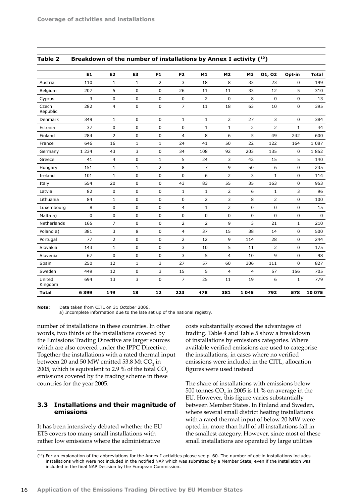|                   |         |                |                |                |                |                |                |                | $\overline{\phantom{a}}$ |              |              |
|-------------------|---------|----------------|----------------|----------------|----------------|----------------|----------------|----------------|--------------------------|--------------|--------------|
|                   | E1      | E2             | E <sub>3</sub> | F <sub>1</sub> | F <sub>2</sub> | M1             | <b>M2</b>      | <b>M3</b>      | 01, 02                   | Opt-in       | <b>Total</b> |
| Austria           | 110     | $\mathbf{1}$   | $\mathbf{1}$   | $\overline{2}$ | 3              | 18             | 8              | 33             | 23                       | 0            | 199          |
| Belgium           | 207     | 5              | $\mathbf 0$    | $\mathbf 0$    | 26             | 11             | 11             | 33             | 12                       | 5            | 310          |
| Cyprus            | 3       | $\mathbf 0$    | $\mathbf 0$    | $\mathbf 0$    | $\mathbf 0$    | $\overline{2}$ | $\mathbf 0$    | 8              | $\mathbf 0$              | 0            | 13           |
| Czech<br>Republic | 282     | $\overline{4}$ | $\mathbf 0$    | $\mathbf 0$    | $\overline{7}$ | 11             | 18             | 63             | 10                       | $\mathbf 0$  | 395          |
| Denmark           | 349     | $\mathbf{1}$   | $\mathbf 0$    | $\mathbf{0}$   | $\mathbf{1}$   | $\mathbf{1}$   | $\overline{2}$ | 27             | 3                        | $\mathbf 0$  | 384          |
| Estonia           | 37      | $\pmb{0}$      | $\mathbf 0$    | $\mathbf 0$    | $\mathbf 0$    | $\mathbf{1}$   | $\mathbf{1}$   | $\overline{2}$ | $\overline{2}$           | $\mathbf{1}$ | 44           |
| Finland           | 284     | $\overline{2}$ | $\mathbf 0$    | $\mathbf 0$    | $\overline{4}$ | 8              | 6              | 5              | 49                       | 242          | 600          |
| France            | 646     | 16             | $\mathbf{1}$   | $1\,$          | 24             | 41             | 50             | 22             | 122                      | 164          | 1 0 8 7      |
| Germany           | 1 2 3 4 | 43             | 3              | $\mathbf 0$    | 34             | 108            | 92             | 203            | 135                      | 0            | 1852         |
| Greece            | 41      | $\overline{4}$ | $\mathbf 0$    | $\mathbf{1}$   | 5              | 24             | 3              | 42             | 15                       | 5            | 140          |
| Hungary           | 151     | $\mathbf{1}$   | $\mathbf{1}$   | 2              | 8              | $\overline{7}$ | 9              | 50             | 6                        | $\mathbf 0$  | 235          |
| Ireland           | 101     | $\mathbf{1}$   | $\mathbf 0$    | $\mathbf 0$    | $\mathbf 0$    | 6              | $\overline{2}$ | 3              | $\mathbf{1}$             | 0            | 114          |
| Italy             | 554     | 20             | $\mathbf 0$    | $\mathbf 0$    | 43             | 83             | 55             | 35             | 163                      | $\mathbf 0$  | 953          |
| Latvia            | 82      | $\mathbf 0$    | $\mathbf 0$    | $\mathbf 0$    | $\mathbf{1}$   | $\mathbf{1}$   | $\overline{2}$ | 6              | $\mathbf{1}$             | 3            | 96           |
| Lithuania         | 84      | $\mathbf{1}$   | $\mathbf 0$    | $\mathbf 0$    | $\mathbf 0$    | $\overline{2}$ | 3              | 8              | $\overline{2}$           | $\mathbf 0$  | 100          |
| Luxembourg        | 8       | $\mathbf 0$    | $\mathbf 0$    | $\mathbf 0$    | $\overline{4}$ | $\mathbf{1}$   | $\overline{2}$ | $\mathbf 0$    | 0                        | 0            | 15           |
| Malta a)          | 0       | 0              | $\pmb{0}$      | $\mathbf 0$    | $\mathbf 0$    | 0              | 0              | $\mathbf 0$    | $\mathbf 0$              | $\pmb{0}$    | $\mathsf 0$  |
| Netherlands       | 165     | $\overline{7}$ | $\mathbf 0$    | $\mathbf 0$    | $\overline{2}$ | $\overline{2}$ | 9              | 3              | 21                       | $\mathbf{1}$ | 210          |
| Poland a)         | 381     | 3              | 8              | $\mathbf 0$    | $\overline{4}$ | 37             | 15             | 38             | 14                       | 0            | 500          |
| Portugal          | 77      | $\overline{2}$ | $\Omega$       | $\mathbf{0}$   | $\overline{2}$ | 12             | 9              | 114            | 28                       | 0            | 244          |
| Slovakia          | 143     | $\mathbf{1}$   | $\mathbf 0$    | $\mathbf 0$    | 3              | 10             | 5              | 11             | 2                        | $\mathbf 0$  | 175          |
| Slovenia          | 67      | $\Omega$       | $\mathbf 0$    | $\mathbf 0$    | 3              | 5              | 4              | 10             | 9                        | $\mathbf 0$  | 98           |
| Spain             | 250     | 12             | $\mathbf{1}$   | 3              | 27             | 57             | 60             | 306            | 111                      | $\mathbf 0$  | 827          |
| Sweden            | 449     | 12             | $\pmb{0}$      | 3              | 15             | 5              | $\overline{4}$ | $\overline{4}$ | 57                       | 156          | 705          |
| United<br>Kingdom | 694     | 13             | 3              | $\mathbf 0$    | $\overline{7}$ | 25             | 11             | 19             | 6                        | $\mathbf{1}$ | 779          |
| <b>Total</b>      | 6 3 9 9 | 149            | 18             | 12             | 223            | 478            | 381            | 1 0 4 5        | 792                      | 578          | 10 075       |

<span id="page-17-0"></span>

| Breakdown of the number of installations by Annex I activity $(10)$ | Table 2 |  |  |  |  |  |
|---------------------------------------------------------------------|---------|--|--|--|--|--|
|---------------------------------------------------------------------|---------|--|--|--|--|--|

**Note**: Data taken from CITL on 31 October 2006.

a) Incomplete information due to the late set up of the national registry.

number of installations in these countries. In other words, two thirds of the installations covered by the Emissions Trading Directive are larger sources which are also covered under the IPPC Directive. Together the installations with a rated thermal input between 20 and 50 MW emitted 53.8 Mt  $\mathrm{CO}_2^{\phantom{\dag}}$  in 2005, which is equivalent to 2.9 % of the total  $CO<sub>2</sub>$ emissions covered by the trading scheme in these countries for the year 2005.

## **3.3 Installations and their magnitude of emissions**

It has been intensively debated whether the EU ETS covers too many small installations with rather low emissions where the administrative

costs substantially exceed the advantages of trading. Table 4 and Table 5 show a breakdown of installations by emissions categories. Where available verified emissions are used to categorise the installations, in cases where no verified emissions were included in the CITL, allocation figures were used instead.

The share of installations with emissions below 500 tonnes  $CO_2$  in 2005 is 11 % on average in the EU. However, this figure varies substantially between Member States. In Finland and Sweden, where several small district heating installations with a rated thermal input of below 20 MW were opted in, more than half of all installations fall in the smallest category. However, since most of these small installations are operated by large utilities

<sup>(10)</sup> For an explanation of the abbreviations for the Annex I activities please see p. 60. The number of opt-in installations includes installations which were not included in the notified NAP which was submitted by a Member State, even if the installation was included in the final NAP Decision by the European Commission.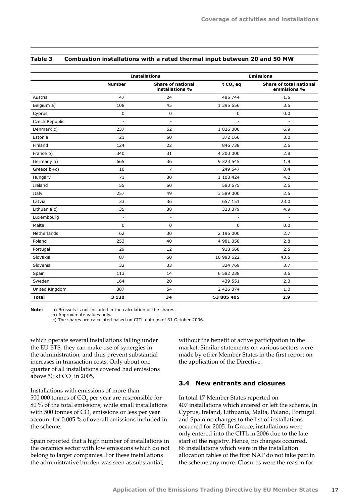|                |               | <b>Installations</b>                        |            | <b>Emissions</b>                              |
|----------------|---------------|---------------------------------------------|------------|-----------------------------------------------|
|                | <b>Number</b> | <b>Share of national</b><br>installations % | t $CO2$ eq | <b>Share of total national</b><br>emmisions % |
| Austria        | 47            | 24                                          | 485 744    | 1.5                                           |
| Belgium a)     | 108           | 45                                          | 1 395 656  | 3.5                                           |
| Cyprus         | 0             | 0                                           | 0          | 0.0                                           |
| Czech Republic | ä,            | $\overline{\phantom{a}}$                    |            | ÷.                                            |
| Denmark c)     | 237           | 62                                          | 1 826 000  | 6.9                                           |
| Estonia        | 21            | 50                                          | 372 166    | 3.0                                           |
| Finland        | 124           | 22                                          | 846 738    | 2.6                                           |
| France b)      | 340           | 31                                          | 4 200 000  | 2.8                                           |
| Germany b)     | 665           | 36                                          | 9 323 545  | 1.9                                           |
| Greece $b+c$ ) | 10            | $\overline{7}$                              | 249 647    | 0.4                                           |
| Hungary        | 71            | 30                                          | 1 103 424  | 4.2                                           |
| Ireland        | 55            | 50                                          | 580 675    | 2.6                                           |
| Italy          | 257           | 49                                          | 3 589 000  | 2.5                                           |
| Latvia         | 33            | 36                                          | 657 151    | 23.0                                          |
| Lithuania c)   | 35            | 38                                          | 323 379    | 4.9                                           |
| Luxembourg     | $\sim$        | $\frac{1}{2}$                               |            | $\overline{\phantom{a}}$                      |
| Malta          | 0             | 0                                           | 0          | 0.0                                           |
| Netherlands    | 62            | 30                                          | 2 196 000  | 2.7                                           |
| Poland         | 253           | 40                                          | 4 981 058  | 2.8                                           |
| Portugal       | 29            | 12                                          | 918 668    | 2.5                                           |
| Slovakia       | 87            | 50                                          | 10 983 622 | 43.5                                          |
| Slovenia       | 32            | 33                                          | 324 769    | 3.7                                           |
| Spain          | 113           | 14                                          | 6 582 238  | 3.6                                           |
| Sweden         | 164           | 20                                          | 439 551    | 2.3                                           |
| United Kingdom | 387           | 54                                          | 2 426 374  | 1.0                                           |
| <b>Total</b>   | 3 1 3 0       | 34                                          | 53 805 405 | 2.9                                           |

#### <span id="page-18-0"></span>**Table 3 Combustion installations with a rated thermal input between 20 and 50 MW**

**Note**: a) Brussels is not included in the calculation of the shares.

b) Approximate values only.

c) The shares are calculated based on CITL data as of 31 October 2006.

which operate several installations falling under the EU ETS, they can make use of synergies in the administration, and thus prevent substantial increases in transaction costs. Only about one quarter of all installations covered had emissions above 50 kt  $CO<sub>2</sub>$  in 2005.

Installations with emissions of more than 500 000 tonnes of  $CO<sub>2</sub>$  per year are responsible for 80 % of the total emissions, while small installations with 500 tonnes of  $CO<sub>2</sub>$  emissions or less per year account for 0.005 % of overall emissions included in the scheme.

Spain reported that a high number of installations in the ceramics sector with low emissions which do not belong to larger companies. For these installations the administrative burden was seen as substantial,

without the benefit of active participation in the market. Similar statements on various sectors were made by other Member States in the first report on the application of the Directive.

## **3.4 New entrants and closures**

In total 17 Member States reported on 407 installations which entered or left the scheme. In Cyprus, Ireland, Lithuania, Malta, Poland, Portugal and Spain no changes to the list of installations occurred for 2005. In Greece, installations were only entered into the CITL in 2006 due to the late start of the registry. Hence, no changes occurred. 86 installations which were in the installation allocation tables of the first NAP do not take part in the scheme any more. Closures were the reason for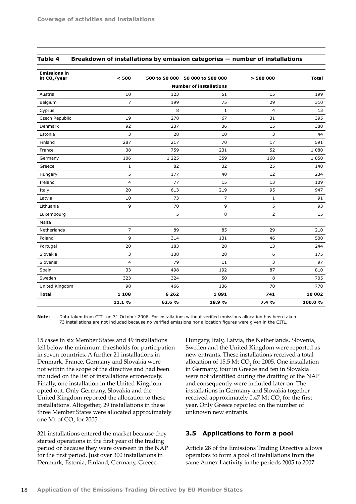| <b>Emissions in</b><br>kt $CO2/year$ | < 500          |         | 500 to 50 000 50 000 to 500 000 | > 500000       | <b>Total</b> |
|--------------------------------------|----------------|---------|---------------------------------|----------------|--------------|
|                                      |                |         | <b>Number of installations</b>  |                |              |
| Austria                              | 10             | 123     | 51                              | 15             | 199          |
| Belgium                              | $\overline{7}$ | 199     | 75                              | 29             | 310          |
| Cyprus                               |                | 8       | $\mathbf{1}$                    | $\overline{4}$ | 13           |
| Czech Republic                       | 19             | 278     | 67                              | 31             | 395          |
| Denmark                              | 92             | 237     | 36                              | 15             | 380          |
| Estonia                              | 3              | 28      | 10                              | 3              | 44           |
| Finland                              | 287            | 217     | 70                              | 17             | 591          |
| France                               | 38             | 759     | 231                             | 52             | 1 0 8 0      |
| Germany                              | 106            | 1 2 2 5 | 359                             | 160            | 1850         |
| Greece                               | $1\,$          | 82      | 32                              | 25             | 140          |
| Hungary                              | 5              | 177     | 40                              | 12             | 234          |
| Ireland                              | $\overline{4}$ | 77      | 15                              | 13             | 109          |
| Italy                                | 20             | 613     | 219                             | 95             | 947          |
| Latvia                               | 10             | 73      | 7                               | $\mathbf 1$    | 91           |
| Lithuania                            | 9              | 70      | 9                               | 5              | 93           |
| Luxembourg                           |                | 5       | 8                               | 2              | 15           |
| Malta                                |                |         |                                 |                |              |
| Netherlands                          | $\overline{7}$ | 89      | 85                              | 29             | 210          |
| Poland                               | 9              | 314     | 131                             | 46             | 500          |
| Portugal                             | 20             | 183     | 28                              | 13             | 244          |
| Slovakia                             | 3              | 138     | 28                              | 6              | 175          |
| Slovenia                             | $\overline{4}$ | 79      | 11                              | 3              | 97           |
| Spain                                | 33             | 498     | 192                             | 87             | 810          |
| Sweden                               | 323            | 324     | 50                              | 8              | 705          |
| United Kingdom                       | 98             | 466     | 136                             | 70             | 770          |
| <b>Total</b>                         | 1 1 0 8        | 6 2 6 2 | 1891                            | 741            | 10 002       |
|                                      | 11.1 %         | 62.6 %  | 18.9 %                          | 7.4 %          | 100.0%       |

#### <span id="page-19-0"></span>**Table 4 Breakdown of installations by emission categories — number of installations**

**Note**: Data taken from CITL on 31 October 2006. For installations without verified emissions allocation has been taken. 73 installations are not included because no verified emissions nor allocation figures were given in the CITL.

15 cases in six Member States and 49 installations fell below the minimum thresholds for participation in seven countries. A further 21 installations in Denmark, France, Germany and Slovakia were not within the scope of the directive and had been included on the list of installations erroneously. Finally, one installation in the United Kingdom opted out. Only Germany, Slovakia and the United Kingdom reported the allocation to these installations. Altogether, 29 installations in these three Member States were allocated approximately one Mt of  $CO<sub>2</sub>$  for 2005.

321 installations entered the market because they started operations in the first year of the trading period or because they were overseen in the NAP for the first period. Just over 300 installations in Denmark, Estonia, Finland, Germany, Greece,

Hungary, Italy, Latvia, the Netherlands, Slovenia, Sweden and the United Kingdom were reported as new entrants. These installations received a total allocation of 15.5 Mt  $CO<sub>2</sub>$  for 2005. One installation in Germany, four in Greece and ten in Slovakia were not identified during the drafting of the NAP and consequently were included later on. The installations in Germany and Slovakia together received approximately  $0.47$  Mt CO<sub>2</sub> for the first year. Only Greece reported on the number of unknown new entrants.

## **3.5 Applications to form a pool**

Article 28 of the Emissions Trading Directive allows operators to form a pool of installations from the same Annex I activity in the periods 2005 to 2007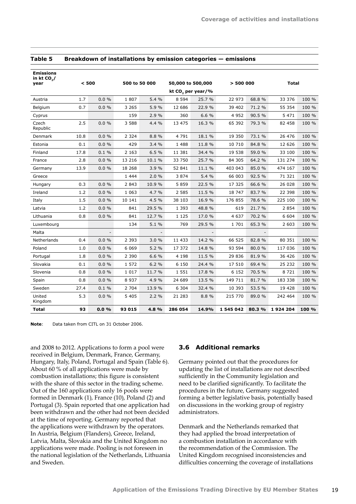| <b>Emissions</b><br>in kt $CO2/$<br>< 500 |      |          |               |        |                   |                          |           |        |              |       |
|-------------------------------------------|------|----------|---------------|--------|-------------------|--------------------------|-----------|--------|--------------|-------|
| year                                      |      |          | 500 to 50 000 |        | 50,000 to 500,000 |                          | > 500000  |        | <b>Total</b> |       |
|                                           |      |          |               |        | kt CO, per year/% |                          |           |        |              |       |
| Austria                                   | 1.7  | $0.0 \%$ | 1807          | 5.4 %  | 8 5 9 4           | 25.7 %                   | 22 973    | 68.8 % | 33 376       | 100 % |
| Belgium                                   | 0.7  | 0.0%     | 3 2 6 5       | 5.9 %  | 12 686            | 22.9 %                   | 39 402    | 71.2 % | 55 354       | 100 % |
| Cyprus                                    |      |          | 159           | 2.9 %  | 360               | 6.6 %                    | 4 9 5 2   | 90.5 % | 5 4 7 1      | 100 % |
| Czech<br>Republic                         | 2.5  | 0.0%     | 3 5 8 8       | 4.4 %  | 13 475            | 16.3 %                   | 65 392    | 79.3 % | 82 458       | 100 % |
| Denmark                                   | 10.8 | 0.0%     | 2 3 2 4       | 8.8 %  | 4 7 9 1           | 18.1 %                   | 19 350    | 73.1 % | 26 476       | 100 % |
| Estonia                                   | 0.1  | 0.0%     | 429           | 3.4%   | 1 4 8 8           | 11.8 %                   | 10 710    | 84.8%  | 12 6 26      | 100 % |
| Finland                                   | 17.8 | 0.1%     | 2 1 6 3       | 6.5%   | 11 381            | 34.4 %                   | 19 538    | 59.0 % | 33 100       | 100 % |
| France                                    | 2.8  | 0.0%     | 13 216        | 10.1 % | 33 750            | 25.7 %                   | 84 305    | 64.2 % | 131 274      | 100 % |
| Germany                                   | 13.9 | 0.0%     | 18 268        | 3.9 %  | 52 841            | 11.1 %                   | 403 043   | 85.0 % | 474 167      | 100 % |
| Greece                                    |      |          | 1 4 4 4       | 2.0%   | 3 8 7 4           | 5.4 %                    | 66 003    | 92.5 % | 71 321       | 100 % |
| Hungary                                   | 0.3  | 0.0%     | 2 8 4 3       | 10.9 % | 5 8 5 9           | 22.5 %                   | 17 325    | 66.6 % | 26 028       | 100 % |
| Ireland                                   | 1.2  | 0.0%     | 1 0 6 3       | 4.7 %  | 2 5 8 5           | 11.5 %                   | 18 747    | 83.7 % | 22 3 98      | 100 % |
| Italy                                     | 1.5  | 0.0%     | 10 141        | 4.5 %  | 38 103            | 16.9 %                   | 176 855   | 78.6 % | 225 100      | 100 % |
| Latvia                                    | 1.2  | 0.0%     | 841           | 29.5 % | 1 3 9 3           | 48.8%                    | 619       | 21.7 % | 2 8 5 4      | 100 % |
| Lithuania                                 | 0.8  | 0.0%     | 841           | 12.7 % | 1 1 2 5           | 17.0 %                   | 4 6 3 7   | 70.2 % | 6 604        | 100 % |
| Luxembourg                                |      |          | 134           | 5.1 %  | 769               | 29.5 %                   | 1 701     | 65.3 % | 2 603        | 100 % |
| Malta                                     |      |          |               |        |                   | $\overline{\phantom{a}}$ |           |        |              |       |
| Netherlands                               | 0.4  | 0.0%     | 2 3 9 3       | 3.0%   | 11 433            | 14.2 %                   | 66 525    | 82.8%  | 80 351       | 100 % |
| Poland                                    | 1.0  | 0.0%     | 6 0 6 9       | 5.2 %  | 17 372            | 14.8 %                   | 93 594    | 80.0%  | 117 036      | 100 % |
| Portugal                                  | 1.8  | 0.0 %    | 2 3 9 0       | 6.6 %  | 4 1 9 8           | 11.5 %                   | 29 836    | 81.9%  | 36 426       | 100 % |
| Slovakia                                  | 0.1  | 0.0%     | 1 5 7 2       | 6.2%   | 6 1 5 0           | 24.4 %                   | 17 510    | 69.4 % | 25 232       | 100 % |
| Slovenia                                  | 0.8  | 0.0%     | 1 0 1 7       | 11.7 % | 1 5 5 1           | 17.8 %                   | 6 1 5 2   | 70.5 % | 8721         | 100 % |
| Spain                                     | 0.8  | 0.0%     | 8937          | 4.9%   | 24 689            | 13.5 %                   | 149 711   | 81.7%  | 183 338      | 100 % |
| Sweden                                    | 27.4 | 0.1%     | 2 7 0 4       | 13.9 % | 6 3 0 4           | 32.4 %                   | 10 393    | 53.5 % | 19 4 28      | 100 % |
| United<br>Kingdom                         | 5.3  | 0.0%     | 5 4 0 5       | 2.2%   | 21 283            | 8.8 %                    | 215 770   | 89.0 % | 242 464      | 100 % |
| <b>Total</b>                              | 93   | 0.0%     | 93 015        | 4.8%   | 286 054           | 14.9%                    | 1 545 042 | 80.3 % | 1924 204     | 100 % |

#### <span id="page-20-0"></span>**Table 5 Breakdown of installations by emission categories — emissions**

**Note**: Data taken from CITL on 31 October 2006.

and 2008 to 2012. Applications to form a pool were received in Belgium, Denmark, France, Germany, Hungary, Italy, Poland, Portugal and Spain (Table 6). About 60 % of all applications were made by combustion installations; this figure is consistent with the share of this sector in the trading scheme. Out of the 160 applications only 16 pools were formed in Denmark (1), France (10), Poland (2) and Portugal (3). Spain reported that one application had been withdrawn and the other had not been decided at the time of reporting. Germany reported that the applications were withdrawn by the operators. In Austria, Belgium (Flanders), Greece, Ireland, Latvia, Malta, Slovakia and the United Kingdom no applications were made. Pooling is not foreseen in the national legislation of the Netherlands, Lithuania and Sweden.

### **3.6 Additional remarks**

Germany pointed out that the procedures for updating the list of installations are not described sufficiently in the Community legislation and need to be clarified significantly. To facilitate the procedures in the future, Germany suggested forming a better legislative basis, potentially based on discussions in the working group of registry administrators.

Denmark and the Netherlands remarked that they had applied the broad interpretation of a combustion installation in accordance with the recommendation of the Commission. The United Kingdom recognised inconsistencies and difficulties concerning the coverage of installations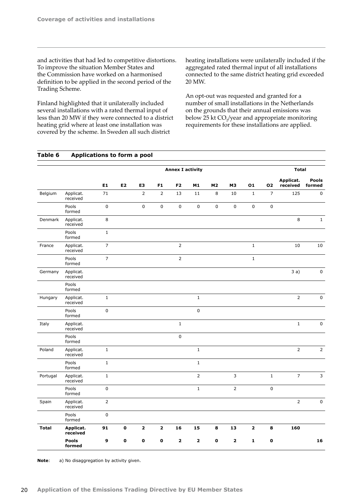and activities that had led to competitive distortions. To improve the situation Member States and the Commission have worked on a harmonised definition to be applied in the second period of the Trading Scheme.

Finland highlighted that it unilaterally included several installations with a rated thermal input of less than 20 MW if they were connected to a district heating grid where at least one installation was covered by the scheme. In Sweden all such district

heating installations were unilaterally included if the aggregated rated thermal input of all installations connected to the same district heating grid exceeded 20 MW.

An opt-out was requested and granted for a number of small installations in the Netherlands on the grounds that their annual emissions was below 25 kt CO<sub>2</sub>/year and appropriate monitoring requirements for these installations are applied.

| Table 6      | Applications to form a pool |                |                |                |                |                         |              |             |                |              |                |                       |                 |
|--------------|-----------------------------|----------------|----------------|----------------|----------------|-------------------------|--------------|-------------|----------------|--------------|----------------|-----------------------|-----------------|
|              |                             |                |                |                |                | <b>Annex I activity</b> |              |             |                |              |                | <b>Total</b>          |                 |
|              |                             | E1             | E <sub>2</sub> | E3             | F <sub>1</sub> | F <sub>2</sub>          | M1           | <b>M2</b>   | M <sub>3</sub> | 01           | 02             | Applicat.<br>received | Pools<br>formed |
| Belgium      | Applicat.<br>received       | 71             |                | $\overline{2}$ | $\mathbf 2$    | 13                      | 11           | 8           | 10             | $\mathbf{1}$ | $\overline{7}$ | 125                   | 0               |
|              | Pools<br>formed             | $\pmb{0}$      |                | $\mathbf 0$    | $\pmb{0}$      | $\pmb{0}$               | $\pmb{0}$    | $\pmb{0}$   | 0              | 0            | $\mathbf 0$    |                       |                 |
| Denmark      | Applicat.<br>received       | 8              |                |                |                |                         |              |             |                |              |                | 8                     | $\mathbf{1}$    |
|              | Pools<br>formed             | $\mathbf{1}$   |                |                |                |                         |              |             |                |              |                |                       |                 |
| France       | Applicat.<br>received       | $\overline{7}$ |                |                |                | $\overline{2}$          |              |             |                | $\mathbf{1}$ |                | 10                    | 10              |
|              | Pools<br>formed             | $\overline{7}$ |                |                |                | $\overline{2}$          |              |             |                | $1\,$        |                |                       |                 |
| Germany      | Applicat.<br>received       |                |                |                |                |                         |              |             |                |              |                | 3a)                   | $\mathbf 0$     |
|              | Pools<br>formed             |                |                |                |                |                         |              |             |                |              |                |                       |                 |
| Hungary      | Applicat.<br>received       | $\mathbf{1}$   |                |                |                |                         | $\mathbf 1$  |             |                |              |                | $\overline{2}$        | $\pmb{0}$       |
|              | Pools<br>formed             | 0              |                |                |                |                         | $\pmb{0}$    |             |                |              |                |                       |                 |
| Italy        | Applicat.<br>received       |                |                |                |                | $\mathbf 1$             |              |             |                |              |                | $\mathbf 1$           | $\mathbf 0$     |
|              | Pools<br>formed             |                |                |                |                | $\pmb{0}$               |              |             |                |              |                |                       |                 |
| Poland       | Applicat.<br>received       | $1\,$          |                |                |                |                         | $\mathbf 1$  |             |                |              |                | $\overline{2}$        | $\overline{2}$  |
|              | Pools<br>formed             | $\mathbf{1}$   |                |                |                |                         | $\mathbf 1$  |             |                |              |                |                       |                 |
| Portugal     | Applicat.<br>received       | $\mathbf{1}$   |                |                |                |                         | $\mathbf 2$  |             | 3              |              | $\mathbf 1$    | $\overline{7}$        | 3               |
|              | Pools<br>formed             | $\mathsf 0$    |                |                |                |                         | $\mathbf{1}$ |             | $\mathsf{2}$   |              | $\mathsf 0$    |                       |                 |
| Spain        | Applicat.<br>received       | $\overline{2}$ |                |                |                |                         |              |             |                |              |                | $\overline{2}$        | $\mathsf 0$     |
|              | Pools<br>formed             | $\mathbf 0$    |                |                |                |                         |              |             |                |              |                |                       |                 |
| <b>Total</b> | Applicat.<br>received       | 91             | $\mathbf 0$    | $\mathbf{2}$   | $\mathbf{2}$   | 16                      | 15           | 8           | 13             | $\mathbf{2}$ | 8              | 160                   |                 |
|              | <b>Pools</b><br>formed      | 9              | $\mathbf 0$    | $\mathbf 0$    | $\mathbf 0$    | $\overline{\mathbf{2}}$ | $\mathbf{z}$ | $\mathbf o$ | $\mathbf{2}$   | 1            | O              |                       | 16              |

**Note**: a) No disaggregation by activity given.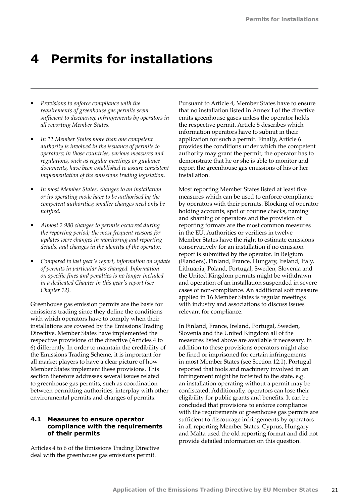## <span id="page-22-0"></span>**4 Permits for installations**

- *• Provisions to enforce compliance with the requirements of greenhouse gas permits seem sufficient to discourage infringements by operators in all reporting Member States.*
- *• In 12 Member States more than one competent authority is involved in the issuance of permits to operators; in those countries, various measures and regulations, such as regular meetings or guidance documents, have been established to assure consistent implementation of the emissions trading legislation.*
- *• In most Member States, changes to an installation or its operating mode have to be authorised by the competent authorities; smaller changes need only be notified.*
- *• Almost 2 980 changes to permits occurred during the reporting period; the most frequent reasons for updates were changes in monitoring and reporting details, and changes in the identity of the operator.*
- *• Compared to last year's report, information on update of permits in particular has changed. Information on specific fines and penalties is no longer included in a dedicated Chapter in this year's report (see Chapter 12).*

Greenhouse gas emission permits are the basis for emissions trading since they define the conditions with which operators have to comply when their installations are covered by the Emissions Trading Directive. Member States have implemented the respective provisions of the directive (Articles 4 to 6) differently. In order to maintain the credibility of the Emissions Trading Scheme, it is important for all market players to have a clear picture of how Member States implement these provisions. This section therefore addresses several issues related to greenhouse gas permits, such as coordination between permitting authorities, interplay with other environmental permits and changes of permits.

## **4.1 Measures to ensure operator compliance with the requirements of their permits**

Articles 4 to 6 of the Emissions Trading Directive deal with the greenhouse gas emissions permit.

Pursuant to Article 4, Member States have to ensure that no installation listed in Annex I of the directive emits greenhouse gases unless the operator holds the respective permit. Article 5 describes which information operators have to submit in their application for such a permit. Finally, Article 6 provides the conditions under which the competent authority may grant the permit; the operator has to demonstrate that he or she is able to monitor and report the greenhouse gas emissions of his or her installation.

Most reporting Member States listed at least five measures which can be used to enforce compliance by operators with their permits. Blocking of operator holding accounts, spot or routine checks, naming and shaming of operators and the provision of reporting formats are the most common measures in the EU. Authorities or verifiers in twelve Member States have the right to estimate emissions conservatively for an installation if no emission report is submitted by the operator. In Belgium (Flanders), Finland, France, Hungary, Ireland, Italy, Lithuania, Poland, Portugal, Sweden, Slovenia and the United Kingdom permits might be withdrawn and operation of an installation suspended in severe cases of non-compliance. An additional soft measure applied in 16 Member States is regular meetings with industry and associations to discuss issues relevant for compliance.

In Finland, France, Ireland, Portugal, Sweden, Slovenia and the United Kingdom all of the measures listed above are available if necessary. In addition to these provisions operators might also be fined or imprisoned for certain infringements in most Member States (see Section 12.1). Portugal reported that tools and machinery involved in an infringement might be forfeited to the state, e.g. an installation operating without a permit may be confiscated. Additionally, operators can lose their eligibility for public grants and benefits. It can be concluded that provisions to enforce compliance with the requirements of greenhouse gas permits are sufficient to discourage infringements by operators in all reporting Member States. Cyprus, Hungary and Malta used the old reporting format and did not provide detailed information on this question.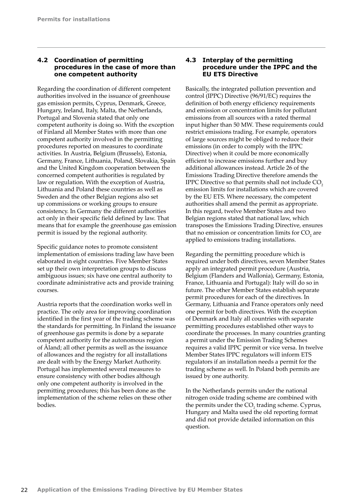## <span id="page-23-0"></span>**4.2 Coordination of permitting procedures in the case of more than one competent authority**

Regarding the coordination of different competent authorities involved in the issuance of greenhouse gas emission permits, Cyprus, Denmark, Greece, Hungary, Ireland, Italy, Malta, the Netherlands, Portugal and Slovenia stated that only one competent authority is doing so. With the exception of Finland all Member States with more than one competent authority involved in the permitting procedures reported on measures to coordinate activities. In Austria, Belgium (Brussels), Estonia, Germany, France, Lithuania, Poland, Slovakia, Spain and the United Kingdom cooperation between the concerned competent authorities is regulated by law or regulation. With the exception of Austria, Lithuania and Poland these countries as well as Sweden and the other Belgian regions also set up commissions or working groups to ensure consistency. In Germany the different authorities act only in their specific field defined by law. That means that for example the greenhouse gas emission permit is issued by the regional authority.

Specific guidance notes to promote consistent implementation of emissions trading law have been elaborated in eight countries. Five Member States set up their own interpretation groups to discuss ambiguous issues; six have one central authority to coordinate administrative acts and provide training courses.

Austria reports that the coordination works well in practice. The only area for improving coordination identified in the first year of the trading scheme was the standards for permitting. In Finland the issuance of greenhouse gas permits is done by a separate competent authority for the autonomous region of Åland; all other permits as well as the issuance of allowances and the registry for all installations are dealt with by the Energy Market Authority. Portugal has implemented several measures to ensure consistency with other bodies although only one competent authority is involved in the permitting procedures; this has been done as the implementation of the scheme relies on these other bodies.

## **4.3 Interplay of the permitting procedure under the IPPC and the EU ETS Directive**

Basically, the integrated pollution prevention and control (IPPC) Directive (96/91/EC) requires the definition of both energy efficiency requirements and emission or concentration limits for pollutant emissions from all sources with a rated thermal input higher than 50 MW. These requirements could restrict emissions trading. For example, operators of large sources might be obliged to reduce their emissions (in order to comply with the IPPC Directive) when it could be more economically efficient to increase emissions further and buy additional allowances instead. Article 26 of the Emissions Trading Directive therefore amends the IPPC Directive so that permits shall not include  $CO<sub>2</sub>$ emission limits for installations which are covered by the EU ETS. Where necessary, the competent authorities shall amend the permit as appropriate. In this regard, twelve Member States and two Belgian regions stated that national law, which transposes the Emissions Trading Directive, ensures that no emission or concentration limits for  $CO_{2}$  are applied to emissions trading installations.

Regarding the permitting procedure which is required under both directives, seven Member States apply an integrated permit procedure (Austria, Belgium (Flanders and Wallonia), Germany, Estonia, France, Lithuania and Portugal): Italy will do so in future. The other Member States establish separate permit procedures for each of the directives. In Germany, Lithuania and France operators only need one permit for both directives. With the exception of Denmark and Italy all countries with separate permitting procedures established other ways to coordinate the processes. In many countries granting a permit under the Emission Trading Schemes requires a valid IPPC permit or vice versa. In twelve Member States IPPC regulators will inform ETS regulators if an installation needs a permit for the trading scheme as well. In Poland both permits are issued by one authority.

In the Netherlands permits under the national nitrogen oxide trading scheme are combined with the permits under the  $CO<sub>2</sub>$  trading scheme. Cyprus, Hungary and Malta used the old reporting format and did not provide detailed information on this question.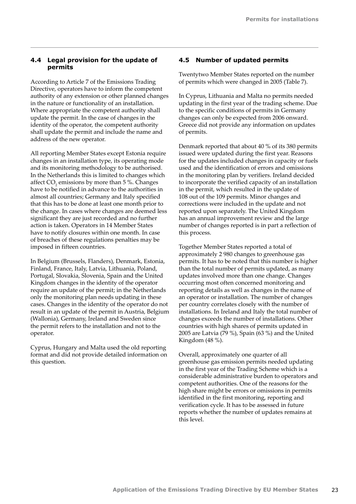## <span id="page-24-0"></span>**4.4 Legal provision for the update of permits**

According to Article 7 of the Emissions Trading Directive, operators have to inform the competent authority of any extension or other planned changes in the nature or functionality of an installation. Where appropriate the competent authority shall update the permit. In the case of changes in the identity of the operator, the competent authority shall update the permit and include the name and address of the new operator.

All reporting Member States except Estonia require changes in an installation type, its operating mode and its monitoring methodology to be authorised. In the Netherlands this is limited to changes which affect  $CO_2$  emissions by more than 5 %. Changes have to be notified in advance to the authorities in almost all countries; Germany and Italy specified that this has to be done at least one month prior to the change. In cases where changes are deemed less significant they are just recorded and no further action is taken. Operators in 14 Member States have to notify closures within one month. In case of breaches of these regulations penalties may be imposed in fifteen countries.

In Belgium (Brussels, Flanders), Denmark, Estonia, Finland, France, Italy, Latvia, Lithuania, Poland, Portugal, Slovakia, Slovenia, Spain and the United Kingdom changes in the identity of the operator require an update of the permit; in the Netherlands only the monitoring plan needs updating in these cases. Changes in the identity of the operator do not result in an update of the permit in Austria, Belgium (Wallonia), Germany, Ireland and Sweden since the permit refers to the installation and not to the operator.

Cyprus, Hungary and Malta used the old reporting format and did not provide detailed information on this question.

## **4.5 Number of updated permits**

Twentytwo Member States reported on the number of permits which were changed in 2005 (Table 7).

In Cyprus, Lithuania and Malta no permits needed updating in the first year of the trading scheme. Due to the specific conditions of permits in Germany changes can only be expected from 2006 onward. Greece did not provide any information on updates of permits.

Denmark reported that about 40 % of its 380 permits issued were updated during the first year. Reasons for the updates included changes in capacity or fuels used and the identification of errors and omissions in the monitoring plan by verifiers. Ireland decided to incorporate the verified capacity of an installation in the permit, which resulted in the update of 108 out of the 109 permits. Minor changes and corrections were included in the update and not reported upon separately. The United Kingdom has an annual improvement review and the large number of changes reported is in part a reflection of this process.

Together Member States reported a total of approximately 2 980 changes to greenhouse gas permits. It has to be noted that this number is higher than the total number of permits updated, as many updates involved more than one change. Changes occurring most often concerned monitoring and reporting details as well as changes in the name of an operator or installation. The number of changes per country correlates closely with the number of installations. In Ireland and Italy the total number of changes exceeds the number of installations. Other countries with high shares of permits updated in 2005 are Latvia (79 %), Spain (63 %) and the United Kingdom (48 %).

Overall, approximately one quarter of all greenhouse gas emission permits needed updating in the first year of the Trading Scheme which is a considerable administrative burden to operators and competent authorities. One of the reasons for the high share might be errors or omissions in permits identified in the first monitoring, reporting and verification cycle. It has to be assessed in future reports whether the number of updates remains at this level.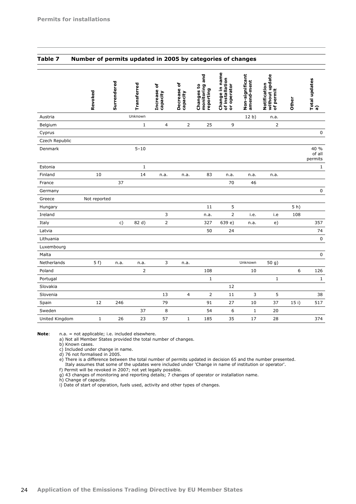| Table 7 |  |  | Number of permits updated in 2005 by categories of changes |  |
|---------|--|--|------------------------------------------------------------|--|
|         |  |  |                                                            |  |

|                | Revoked      | Surrendered    | Transferred    | Increase of<br>capacity | ەّ<br>Decrease<br>capacity | monitoring and<br>Changes to<br>reporting | Change in name<br>of installation<br>or operator | Non-significant<br>amend-ment | without update<br>Notification<br>permit<br>៵ | Other  | Total updates<br>a)       |
|----------------|--------------|----------------|----------------|-------------------------|----------------------------|-------------------------------------------|--------------------------------------------------|-------------------------------|-----------------------------------------------|--------|---------------------------|
| Austria        |              |                | Unknown        |                         |                            |                                           |                                                  | 12 <sub>b</sub>               | n.a.                                          |        |                           |
| Belgium        |              |                | $\mathbf 1$    | 4                       | $\overline{2}$             | 25                                        | 9                                                |                               | $\mathsf{2}\,$                                |        |                           |
| Cyprus         |              |                |                |                         |                            |                                           |                                                  |                               |                                               |        | $\pmb{0}$                 |
| Czech Republic |              |                |                |                         |                            |                                           |                                                  |                               |                                               |        |                           |
| Denmark        |              |                | $5 - 10$       |                         |                            |                                           |                                                  |                               |                                               |        | 40 %<br>of all<br>permits |
| Estonia        |              |                | $\mathbf{1}$   |                         |                            |                                           |                                                  |                               |                                               |        | $\mathbf 1$               |
| Finland        | 10           |                | 14             | n.a.                    | n.a.                       | 83                                        | n.a.                                             | n.a.                          | n.a.                                          |        |                           |
| France         |              | 37             |                |                         |                            |                                           | 70                                               | 46                            |                                               |        |                           |
| Germany        |              |                |                |                         |                            |                                           |                                                  |                               |                                               |        | $\mathsf 0$               |
| Greece         | Not reported |                |                |                         |                            |                                           |                                                  |                               |                                               |        |                           |
| Hungary        |              |                |                |                         |                            | 11                                        | 5                                                |                               |                                               | $5h$ ) |                           |
| Ireland        |              |                |                | 3                       |                            | n.a.                                      | $\overline{2}$                                   | i.e.                          | i.e                                           | 108    |                           |
| Italy          |              | $\mathsf{C}$ ) | 82 d)          | 2                       |                            | 327                                       | 639 e)                                           | n.a.                          | e)                                            |        | 357                       |
| Latvia         |              |                |                |                         |                            | 50                                        | 24                                               |                               |                                               |        | 74                        |
| Lithuania      |              |                |                |                         |                            |                                           |                                                  |                               |                                               |        | $\mathsf 0$               |
| Luxembourg     |              |                |                |                         |                            |                                           |                                                  |                               |                                               |        |                           |
| Malta          |              |                |                |                         |                            |                                           |                                                  |                               |                                               |        | $\mathsf 0$               |
| Netherlands    | 5f)          | n.a.           | n.a.           | 3                       | n.a.                       |                                           |                                                  | Unknown                       | 50 g)                                         |        |                           |
| Poland         |              |                | $\overline{2}$ |                         |                            | 108                                       |                                                  | 10                            |                                               | 6      | 126                       |
| Portugal       |              |                |                |                         |                            | $\mathbf 1$                               |                                                  |                               | $\mathbf 1$                                   |        | $\mathbf 1$               |
| Slovakia       |              |                |                |                         |                            |                                           | 12                                               |                               |                                               |        |                           |
| Slovenia       |              |                |                | 13                      | $\overline{4}$             | $\overline{2}$                            | 11                                               | 3                             | 5                                             |        | 38                        |
| Spain          | 12           | 246            |                | 79                      |                            | 91                                        | 27                                               | 10                            | 37                                            | 15i)   | 517                       |
| Sweden         |              |                | 37             | 8                       |                            | 54                                        | 6                                                | $\mathbf{1}$                  | 20                                            |        |                           |
| United Kingdom | 1            | 26             | 23             | 57                      | $\mathbf{1}$               | 185                                       | 35                                               | 17                            | 28                                            |        | 374                       |

**Note**: n.a. = not applicable; i.e. included elsewhere.

a) Not all Member States provided the total number of changes.

b) Known cases.

c) Included under change in name.

d) 76 not formalised in 2005.

e) There is a difference between the total number of permits updated in decision 65 and the number presented. Italy assumes that some of the updates were included under 'Change in name of institution or operator'.

f) Permit will be revoked in 2007; not yet legally possible.

g) 43 changes of monitoring and reporting details; 7 changes of operator or installation name.

h) Change of capacity.

i) Date of start of operation, fuels used, activity and other types of changes.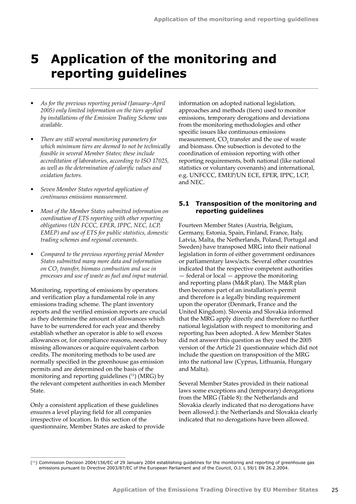## <span id="page-26-0"></span>**5 Application of the monitoring and reporting guidelines**

- *• As for the previous reporting period (January–April 2005) only limited information on the tiers applied by installations of the Emission Trading Scheme was available.*
- *• There are still several monitoring parameters for which minimum tiers are deemed to not be technically feasible in several Member States; these include accreditation of laboratories, according to ISO 17025, as well as the determination of calorific values and oxidation factors.*
- *• Seven Member States reported application of continuous emissions measurement.*
- *• Most of the Member States submitted information on coordination of ETS reporting with other reporting obligations (UN FCCC, EPER, IPPC, NEC, LCP, EMEP) and use of ETS for public statistics, domestic trading schemes and regional covenants.*
- *• Compared to the previous reporting period Member States submitted many more data and information on CO2 transfer, biomass combustion and use in processes and use of waste as fuel and input material.*

Monitoring, reporting of emissions by operators and verification play a fundamental role in any emissions trading scheme. The plant inventory reports and the verified emission reports are crucial as they determine the amount of allowances which have to be surrendered for each year and thereby establish whether an operator is able to sell excess allowances or, for compliance reasons, needs to buy missing allowances or acquire equivalent carbon credits. The monitoring methods to be used are normally specified in the greenhouse gas emission permits and are determined on the basis of the monitoring and reporting guidelines  $(11)$  (MRG) by the relevant competent authorities in each Member State.

Only a consistent application of these guidelines ensures a level playing field for all companies irrespective of location. In this section of the questionnaire, Member States are asked to provide information on adopted national legislation, approaches and methods (tiers) used to monitor emissions, temporary derogations and deviations from the monitoring methodologies and other specific issues like continuous emissions measurement,  $CO_2$  transfer and the use of waste and biomass. One subsection is devoted to the coordination of emission reporting with other reporting requirements, both national (like national statistics or voluntary covenants) and international, e.g. UNFCCC, EMEP/UN ECE, EPER, IPPC, LCP, and NEC.

## **5.1 Transposition of the monitoring and reporting guidelines**

Fourteen Member States (Austria, Belgium, Germany, Estonia, Spain, Finland, France, Italy, Latvia, Malta, the Netherlands, Poland, Portugal and Sweden) have transposed MRG into their national legislation in form of either government ordinances or parliamentary laws/acts. Several other countries indicated that the respective competent authorities — federal or local — approve the monitoring and reporting plans (M&R plan). The M&R plan then becomes part of an installation's permit and therefore is a legally binding requirement upon the operator (Denmark, France and the United Kingdom). Slovenia and Slovakia informed that the MRG apply directly and therefore no further national legislation with respect to monitoring and reporting has been adopted. A few Member States did not answer this question as they used the 2005 version of the Article 21 questionnaire which did not include the question on transposition of the MRG into the national law (Cyprus, Lithuania, Hungary and Malta).

Several Member States provided in their national laws some exceptions and (temporary) derogations from the MRG (Table 8): the Netherlands and Slovakia clearly indicated that no derogations have been allowed.): the Netherlands and Slovakia clearly indicated that no derogations have been allowed.

<sup>(11)</sup> Commission Decision 2004/156/EC of 29 January 2004 establishing guidelines for the monitoring and reporting of greenhouse gas emissions pursuant to Directive 2003/87/EC of the European Parliament and of the Council, O.J. L 59/1 EN 26.2.2004.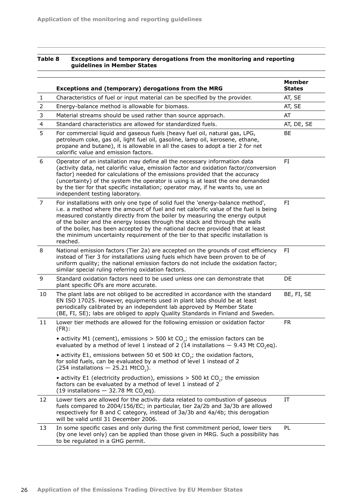## **Table 8 Exceptions and temporary derogations from the monitoring and reporting guidelines in Member States**

|                | <b>Exceptions and (temporary) derogations from the MRG</b>                                                                                                                                                                                                                                                                                                                                                                                                                                                             | <b>Member</b><br><b>States</b> |
|----------------|------------------------------------------------------------------------------------------------------------------------------------------------------------------------------------------------------------------------------------------------------------------------------------------------------------------------------------------------------------------------------------------------------------------------------------------------------------------------------------------------------------------------|--------------------------------|
| $\mathbf{1}$   | Characteristics of fuel or input material can be specified by the provider.                                                                                                                                                                                                                                                                                                                                                                                                                                            | AT, SE                         |
| $\overline{2}$ | Energy-balance method is allowable for biomass.                                                                                                                                                                                                                                                                                                                                                                                                                                                                        | AT, SE                         |
| $\mathbf{3}$   | Material streams should be used rather than source approach.                                                                                                                                                                                                                                                                                                                                                                                                                                                           | AT                             |
| $\overline{4}$ | Standard characteristics are allowed for standardized fuels.                                                                                                                                                                                                                                                                                                                                                                                                                                                           | AT, DE, SE                     |
| 5              | For commercial liquid and gaseous fuels (heavy fuel oil, natural gas, LPG,<br>petroleum coke, gas oil, light fuel oil, gasoline, lamp oil, kerosene, ethane,<br>propane and butane), it is allowable in all the cases to adopt a tier 2 for net<br>calorific value and emission factors.                                                                                                                                                                                                                               | BE                             |
| 6              | Operator of an installation may define all the necessary information data<br>(activity data, net calorific value, emission factor and oxidation factor/conversion<br>factor) needed for calculations of the emissions provided that the accuracy<br>(uncertainty) of the system the operator is using is at least the one demanded<br>by the tier for that specific installation; operator may, if he wants to, use an<br>independent testing laboratory.                                                              | FI.                            |
| $\overline{7}$ | For installations with only one type of solid fuel the 'energy-balance method',<br>i.e. a method where the amount of fuel and net calorific value of the fuel is being<br>measured constantly directly from the boiler by measuring the energy output<br>of the boiler and the energy losses through the stack and through the walls<br>of the boiler, has been accepted by the national decree provided that at least<br>the minimum uncertainty requirement of the tier to that specific installation is<br>reached. | FI                             |
| 8              | National emission factors (Tier 2a) are accepted on the grounds of cost efficiency<br>instead of Tier 3 for installations using fuels which have been proven to be of<br>uniform quality; the national emission factors do not include the oxidation factor;<br>similar special ruling referring oxidation factors.                                                                                                                                                                                                    | FI                             |
| 9              | Standard oxidation factors need to be used unless one can demonstrate that<br>plant specific OFs are more accurate.                                                                                                                                                                                                                                                                                                                                                                                                    | DE                             |
| 10             | The plant labs are not obliged to be accredited in accordance with the standard<br>EN ISO 17025. However, equipments used in plant labs should be at least<br>periodically calibrated by an independent lab approved by Member State<br>(BE, FI, SE); labs are obliged to apply Quality Standards in Finland and Sweden.                                                                                                                                                                                               | BE, FI, SE                     |
| 11             | Lower tier methods are allowed for the following emission or oxidation factor<br>$(FR)$ :                                                                                                                                                                                                                                                                                                                                                                                                                              | <b>FR</b>                      |
|                | • activity M1 (cement), emissions $>$ 500 kt CO <sub>2</sub> ; the emission factors can be<br>evaluated by a method of level 1 instead of 2 (14 installations $-$ 9.43 Mt CO <sub>2</sub> eq).                                                                                                                                                                                                                                                                                                                         |                                |
|                | • activity E1, emissions between 50 et 500 kt CO <sub>2</sub> ; the oxidation factors,<br>for solid fuels, can be evaluated by a method of level 1 instead of 2<br>$(254$ installations - 25.21 MtCO <sub>2</sub> ).                                                                                                                                                                                                                                                                                                   |                                |
|                | • activity E1 (electricity production), emissions > 500 kt CO <sub>2</sub> ; the emission<br>factors can be evaluated by a method of level 1 instead of 2<br>(19 installations $-$ 32.78 Mt CO <sub>2</sub> eq).                                                                                                                                                                                                                                                                                                       |                                |
| 12             | Lower tiers are allowed for the activity data related to combustion of gaseous<br>fuels compared to 2004/156/EC; in particular, tier 2a/2b and 3a/3b are allowed<br>respectively for B and C category, instead of 3a/3b and 4a/4b; this derogation<br>will be valid until 31 December 2006.                                                                                                                                                                                                                            | IT                             |
| 13             | In some specific cases and only during the first commitment period, lower tiers<br>(by one level only) can be applied than those given in MRG. Such a possibility has<br>to be regulated in a GHG permit.                                                                                                                                                                                                                                                                                                              | PL.                            |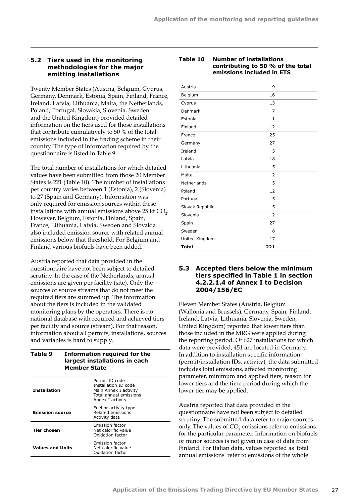**Table 10 Number of installations** 

## <span id="page-28-0"></span>**5.2 Tiers used in the monitoring methodologies for the major emitting installations**

Twenty Member States (Austria, Belgium, Cyprus, Germany, Denmark, Estonia, Spain, Finland, France, Ireland, Latvia, Lithuania, Malta, the Netherlands, Poland, Portugal, Slovakia, Slovenia, Sweden and the United Kingdom) provided detailed information on the tiers used for those installations that contribute cumulatively to 50 % of the total emissions included in the trading scheme in their country. The type of information required by the questionnaire is listed in Table 9.

The total number of installations for which detailed values have been submitted from those 20 Member States is 221 (Table 10). The number of installations per country varies between 1 (Estonia), 2 (Slovenia) to 27 (Spain and Germany). Information was only required for emission sources within these installations with annual emissions above 25 kt  $CO<sub>2</sub>$ . However, Belgium, Estonia, Finland, Spain, France, Lithuania, Latvia, Sweden and Slovakia also included emission source with related annual emissions below that threshold. For Belgium and Finland various biofuels have been added.

Austria reported that data provided in the questionnaire have not been subject to detailed scrutiny. In the case of the Netherlands, annual emissions are given per facility (site). Only the sources or source streams that do not meet the required tiers are summed up. The information about the tiers is included in the validated monitoring plans by the operators. There is no national database with required and achieved tiers per facility and source (stream). For that reason, information about all permits, installations, sources and variables is hard to supply.

**Table 9 Information required for the** 

| rabie 9<br>Information required for the<br>largest installations in each<br><b>Member State</b> |  |                                                                                                               |  |  |  |
|-------------------------------------------------------------------------------------------------|--|---------------------------------------------------------------------------------------------------------------|--|--|--|
| <b>Installation</b>                                                                             |  | Permit ID code<br>Installation ID code<br>Main Annex I activity<br>Total annual emissions<br>Annex I activity |  |  |  |
| <b>Emission source</b>                                                                          |  | Fuel or activity type<br>Related emissions<br>Activity data                                                   |  |  |  |
| <b>Tier chosen</b>                                                                              |  | Emission factor<br>Net calorific value<br>Oxidation factor                                                    |  |  |  |
| <b>Values and Units</b>                                                                         |  | Emission factor<br>Net calorific value<br>Oxidation factor                                                    |  |  |  |

|                 | contributing to 50 % of the total<br>emissions included in ETS |  |
|-----------------|----------------------------------------------------------------|--|
| Austria         | 9                                                              |  |
| Belgium         | 16                                                             |  |
| Cyprus          | 13                                                             |  |
| Denmark         | 7                                                              |  |
| Estonia         | $\mathbf{1}$                                                   |  |
| Finland         | 12                                                             |  |
| France          | 25                                                             |  |
| Germany         | 27                                                             |  |
| Ireland         | 5                                                              |  |
| Latvia          | 18                                                             |  |
| Lithuania       | 5                                                              |  |
| Malta           | $\overline{2}$                                                 |  |
| Netherlands     | 5                                                              |  |
| Poland          | 12                                                             |  |
| Portugal        | 5                                                              |  |
| Slovak Republic | 5                                                              |  |
| Slovenia        | $\overline{2}$                                                 |  |
| Spain           | 27                                                             |  |
| Sweden          | 8                                                              |  |
| United Kingdom  | 17                                                             |  |
| <b>Total</b>    | 221                                                            |  |

## **5.3 Accepted tiers below the minimum tiers specified in Table 1 in section 4.2.2.1.4 of Annex I to Decision 2004/156/EC**

Eleven Member States (Austria, Belgium (Wallonia and Brussels), Germany, Spain, Finland, Ireland, Latvia, Lithuania, Slovenia, Sweden, United Kingdom) reported that lower tiers than those included in the MRG were applied during the reporting period. Of 627 installations for which data were provided, 451 are located in Germany. In addition to installation specific information (permit/installation IDs, activity), the data submitted includes total emissions, affected monitoring parameter, minimum and applied tiers, reason for lower tiers and the time period during which the lower tier may be applied.

Austria reported that data provided in the questionnaire have not been subject to detailed scrutiny. The submitted data refer to major sources only. The values of  $CO<sub>2</sub>$  emissions refer to emissions for the particular parameter. Information on biofuels or minor sources is not given in case of data from Finland. For Italian data, values reported as 'total annual emissions' refer to emissions of the whole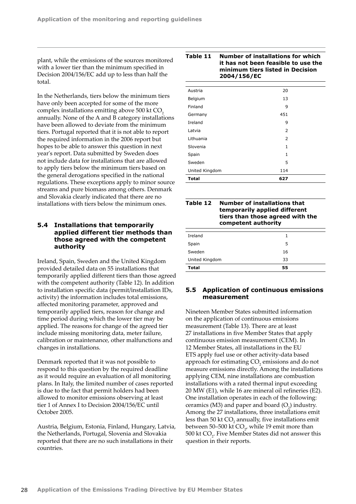<span id="page-29-0"></span>plant, while the emissions of the sources monitored with a lower tier than the minimum specified in Decision 2004/156/EC add up to less than half the total.

In the Netherlands, tiers below the minimum tiers have only been accepted for some of the more complex installations emitting above  $500$  kt  $CO<sub>2</sub>$ annually. None of the A and B category installations have been allowed to deviate from the minimum tiers. Portugal reported that it is not able to report the required information in the 2006 report but hopes to be able to answer this question in next year's report. Data submitted by Sweden does not include data for installations that are allowed to apply tiers below the minimum tiers based on the general derogations specified in the national regulations. These exceptions apply to minor source streams and pure biomass among others. Denmark and Slovakia clearly indicated that there are no installations with tiers below the minimum ones.

## **5.4 Installations that temporarily applied different tier methods than those agreed with the competent authority**

Ireland, Spain, Sweden and the United Kingdom provided detailed data on 55 installations that temporarily applied different tiers than those agreed with the competent authority (Table 12). In addition to installation specific data (permit/installation IDs, activity) the information includes total emissions, affected monitoring parameter, approved and temporarily applied tiers, reason for change and time period during which the lower tier may be applied. The reasons for change of the agreed tier include missing monitoring data, meter failure, calibration or maintenance, other malfunctions and changes in installations.

Denmark reported that it was not possible to respond to this question by the required deadline as it would require an evaluation of all monitoring plans. In Italy, the limited number of cases reported is due to the fact that permit holders had been allowed to monitor emissions observing at least tier 1 of Annex I to Decision 2004/156/EC until October 2005.

Austria, Belgium, Estonia, Finland, Hungary, Latvia, the Netherlands, Portugal, Slovenia and Slovakia reported that there are no such installations in their countries.

#### **Table 11 Number of installations for which it has not been feasible to use the minimum tiers listed in Decision 2004/156/EC**

| 20           |
|--------------|
| 13           |
| 9            |
| 451          |
| 9            |
| 2            |
| 2            |
| $\mathbf{1}$ |
| $\mathbf{1}$ |
| 5            |
| 114          |
| 627          |
|              |

| Table 12 | Number of installations that<br>temporarily applied different<br>tiers than those agreed with the<br>competent authority |  |  |  |  |
|----------|--------------------------------------------------------------------------------------------------------------------------|--|--|--|--|
|          |                                                                                                                          |  |  |  |  |
| Ireland  |                                                                                                                          |  |  |  |  |

| <b>Total</b>   | 55 |  |
|----------------|----|--|
| United Kingdom | 33 |  |
| Sweden         | 16 |  |
| Spain          | 5  |  |
| Ireland        |    |  |

## **5.5 Application of continuous emissions measurement**

Nineteen Member States submitted information on the application of continuous emissions measurement (Table 13). There are at least 27 installations in five Member States that apply continuous emission measurement (CEM). In 12 Member States, all installations in the EU ETS apply fuel use or other activity-data based approach for estimating  $CO<sub>2</sub>$  emissions and do not measure emissions directly. Among the installations applying CEM, nine installations are combustion installations with a rated thermal input exceeding 20 MW (E1), while 16 are mineral oil refineries (E2). One installation operates in each of the following: ceramics (M3) and paper and board  $(O_2)$  industry. Among the 27 installations, three installations emit less than 50 kt  $CO_2$  annually, five installations emit between 50–500 kt  $CO_{2'}$ , while 19 emit more than 500 kt  $CO<sub>2</sub>$ . Five Member States did not answer this question in their reports.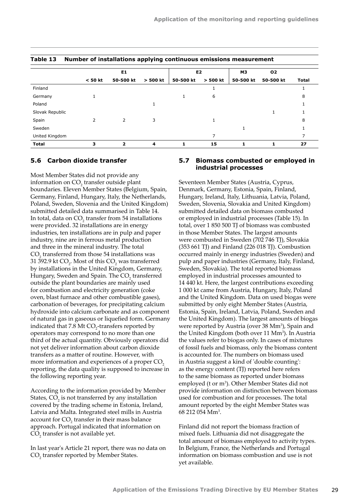|                 | E1        |           |            | E <sub>2</sub> |            | ΜЗ        | 02        |              |
|-----------------|-----------|-----------|------------|----------------|------------|-----------|-----------|--------------|
|                 | $<$ 50 kt | 50-500 kt | $>$ 500 kt | 50-500 kt      | $>$ 500 kt | 50-500 kt | 50-500 kt | <b>Total</b> |
| Finland         |           |           |            |                |            |           |           |              |
| Germany         | T         |           |            |                | 6          |           |           | 8            |
| Poland          |           |           |            |                |            |           |           |              |
| Slovak Republic |           |           |            |                |            |           |           |              |
| Spain           | 2         | 2         | 3          |                |            |           |           | 8            |
| Sweden          |           |           |            |                |            |           |           |              |
| United Kingdom  |           |           |            |                | 7          |           |           |              |
| <b>Total</b>    | 3         | 2         | 4          |                | 15         |           |           | 27           |

#### <span id="page-30-0"></span>**Table 13 Number of installations applying continuous emissions measurement**

## **5.6 Carbon dioxide transfer**

Most Member States did not provide any information on  $CO_2$  transfer outside plant boundaries. Eleven Member States (Belgium, Spain, Germany, Finland, Hungary, Italy, the Netherlands, Poland, Sweden, Slovenia and the United Kingdom) submitted detailed data summarised in Table 14. In total, data on  $CO_2$  transfer from 54 installations were provided. 32 installations are in energy industries, ten installations are in pulp and paper industry, nine are in ferrous metal production and three in the mineral industry. The total  $CO<sub>2</sub>$  transferred from those 54 installations was 31 392.9 kt  $\mathrm{CO}_2$ . Most of this  $\mathrm{CO}_2$  was transferred by installations in the United Kingdom, Germany, Hungary, Sweden and Spain. The  $\mathrm{CO}_2$  transferred outside the plant boundaries are mainly used for combustion and electricity generation (coke oven, blast furnace and other combustible gases), carbonation of beverages, for precipitating calcium hydroxide into calcium carbonate and as component of natural gas in gaseous or liquefied form. Germany indicated that  $7.8$  Mt  $CO_2$ -transfers reported by operators may correspond to no more than one third of the actual quantity. Obviously operators did not yet deliver information about carbon dioxide transfers as a matter of routine. However, with more information and experiences of a proper CO<sub>2</sub> reporting, the data quality is supposed to increase in the following reporting year.

According to the information provided by Member States,  $CO<sub>2</sub>$  is not transferred by any installation covered by the trading scheme in Estonia, Ireland, Latvia and Malta. Integrated steel mills in Austria account for  $CO<sub>2</sub>$  transfer in their mass balance approach. Portugal indicated that information on  $CO<sub>2</sub>$  transfer is not available yet.

In last year's Article 21 report, there was no data on CO<sub>2</sub> transfer reported by Member States.

## **5.7 Biomass combusted or employed in industrial processes**

Seventeen Member States (Austria, Cyprus, Denmark, Germany, Estonia, Spain, Finland, Hungary, Ireland, Italy, Lithuania, Latvia, Poland, Sweden, Slovenia, Slovakia and United Kingdom) submitted detailed data on biomass combusted or employed in industrial processes (Table 15). In total, over 1 850 500 TJ of biomass was combusted in those Member States. The largest amounts were combusted in Sweden (702 746 TJ), Slovakia (353 661 TJ) and Finland (226 018 TJ). Combustion occurred mainly in energy industries (Sweden) and pulp and paper industries (Germany, Italy, Finland, Sweden, Slovakia). The total reported biomass employed in industrial processes amounted to 14 440 kt. Here, the largest contributions exceeding 1 000 kt came from Austria, Hungary, Italy, Poland and the United Kingdom. Data on used biogas were submitted by only eight Member States (Austria, Estonia, Spain, Ireland, Latvia, Poland, Sweden and the United Kingdom). The largest amounts of biogas were reported by Austria (over 38 Mm<sup>3</sup>), Spain and the United Kingdom (both over 11 Mm<sup>3</sup>). In Austria the values refer to biogas only. In cases of mixtures of fossil fuels and biomass, only the biomass content is accounted for. The numbers on biomass used in Austria suggest a kind of 'double counting': as the energy content (TJ) reported here refers to the same biomass as reported under biomass employed (t or m<sup>3</sup>). Other Member States did not provide information on distinction between biomass used for combustion and for processes. The total amount reported by the eight Member States was 68 212 054 Mm<sup>3</sup>.

Finland did not report the biomass fraction of mixed fuels. Lithuania did not disaggregate the total amount of biomass employed to activity types. In Belgium, France, the Netherlands and Portugal information on biomass combustion and use is not yet available.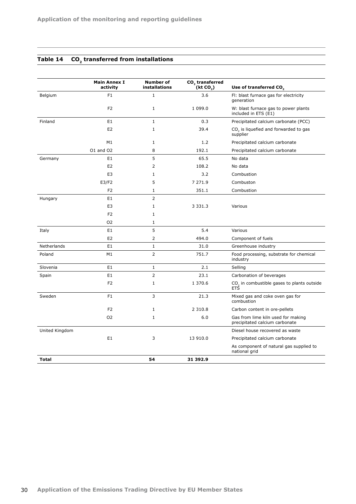## **Table 14 CO<sub>2</sub>** transferred from installations

|                | <b>Main Annex I</b><br>activity | Number of<br>installations | CO <sub>2</sub> transferred<br>(kt CO <sub>2</sub> ) | Use of transferred CO,                                               |
|----------------|---------------------------------|----------------------------|------------------------------------------------------|----------------------------------------------------------------------|
| Belgium        | F <sub>1</sub>                  | $\mathbf{1}$               | 3.6                                                  | FI: blast furnace gas for electricity<br>generation                  |
|                | F <sub>2</sub>                  | $\mathbf{1}$               | 1 099.0                                              | W: blast furnace gas to power plants<br>included in ETS (E1)         |
| Finland        | E <sub>1</sub>                  | $\mathbf{1}$               | 0.3                                                  | Precipitated calcium carbonate (PCC)                                 |
|                | E <sub>2</sub>                  | $\mathbf{1}$               | 39.4                                                 | CO <sub>2</sub> is liquefied and forwarded to gas<br>supplier        |
|                | M1                              | 1                          | 1.2                                                  | Precipitated calcium carbonate                                       |
|                | 01 and 02                       | 8                          | 192.1                                                | Precipitated calcium carbonate                                       |
| Germany        | E <sub>1</sub>                  | 5                          | 65.5                                                 | No data                                                              |
|                | E <sub>2</sub>                  | $\overline{2}$             | 108.2                                                | No data                                                              |
|                | E <sub>3</sub>                  | $\mathbf{1}$               | 3.2                                                  | Combustion                                                           |
|                | E3/F2                           | 5                          | 7 271.9                                              | Combuston                                                            |
|                | F <sub>2</sub>                  | $\mathbf{1}$               | 351.1                                                | Combustion                                                           |
| Hungary        | E <sub>1</sub>                  | $\overline{2}$             |                                                      |                                                                      |
|                | E <sub>3</sub>                  | $\mathbf{1}$               | 3 3 3 1 . 3                                          | Various                                                              |
|                | F <sub>2</sub>                  | $\mathbf{1}$               |                                                      |                                                                      |
|                | O <sub>2</sub>                  | 1                          |                                                      |                                                                      |
| Italy          | E <sub>1</sub>                  | 5                          | 5.4                                                  | Various                                                              |
|                | E <sub>2</sub>                  | $\overline{2}$             | 494.0                                                | Component of fuels                                                   |
| Netherlands    | E <sub>1</sub>                  | $\mathbf{1}$               | 31.0                                                 | Greenhouse industry                                                  |
| Poland         | M1                              | $\overline{2}$             | 751.7                                                | Food processing, substrate for chemical<br>industry                  |
| Slovenia       | E <sub>1</sub>                  | $\mathbf{1}$               | 2.1                                                  | Selling                                                              |
| Spain          | E <sub>1</sub>                  | $\overline{2}$             | 23.1                                                 | Carbonation of beverages                                             |
|                | F <sub>2</sub>                  | $\mathbf{1}$               | 1 370.6                                              | CO <sub>2</sub> in combustible gases to plants outside<br><b>ETS</b> |
| Sweden         | F <sub>1</sub>                  | 3                          | 21.3                                                 | Mixed gas and coke oven gas for<br>combustion                        |
|                | F <sub>2</sub>                  | 1                          | 2 3 1 0 . 8                                          | Carbon content in ore-pellets                                        |
|                | <b>O2</b>                       | $\mathbf{1}$               | 6.0                                                  | Gas from lime kiln used for making<br>precipitated calcium carbonate |
| United Kingdom |                                 |                            |                                                      | Diesel house recovered as waste                                      |
|                | E <sub>1</sub>                  | 3                          | 13 910.0                                             | Precipitated calcium carbonate                                       |
|                |                                 |                            |                                                      | As component of natural gas supplied to<br>national grid             |
| <b>Total</b>   |                                 | 54                         | 31 392.9                                             |                                                                      |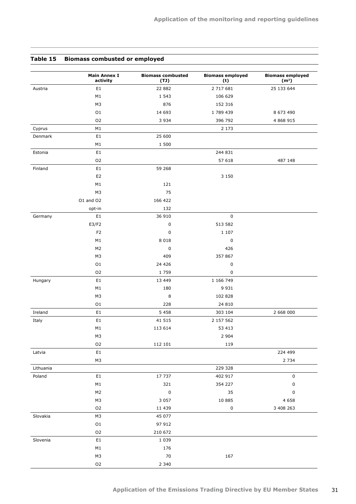## **Table 15 Biomass combusted or employed**

|           | <b>Main Annex I</b><br>activity | <b>Biomass combusted</b><br>(TJ) | <b>Biomass employed</b><br>(t) | <b>Biomass employed</b><br>(m <sup>3</sup> ) |
|-----------|---------------------------------|----------------------------------|--------------------------------|----------------------------------------------|
| Austria   | E <sub>1</sub>                  | 22 882                           | 2 717 681                      | 25 133 644                                   |
|           | M1                              | 1 5 4 3                          | 106 629                        |                                              |
|           | M3                              | 876                              | 152 316                        |                                              |
|           | O <sub>1</sub>                  | 14 693                           | 1 789 439                      | 8 673 490                                    |
|           | O <sub>2</sub>                  | 3 9 3 4                          | 396 792                        | 4 8 6 9 9 1 5                                |
| Cyprus    | M1                              |                                  | 2 1 7 3                        |                                              |
| Denmark   | E <sub>1</sub>                  | 25 600                           |                                |                                              |
|           | M1                              | 1 500                            |                                |                                              |
| Estonia   | E <sub>1</sub>                  |                                  | 244 831                        |                                              |
|           | O <sub>2</sub>                  |                                  | 57 618                         | 487 148                                      |
| Finland   | E1                              | 59 268                           |                                |                                              |
|           | E <sub>2</sub>                  |                                  | 3 1 5 0                        |                                              |
|           | M1                              | 121                              |                                |                                              |
|           | M3                              | 75                               |                                |                                              |
|           | 01 and 02                       | 166 422                          |                                |                                              |
|           | opt-in                          | 132                              |                                |                                              |
| Germany   | E1                              | 36 910                           | $\pmb{0}$                      |                                              |
|           | E3/F2                           | 0                                | 513 582                        |                                              |
|           | F <sub>2</sub>                  | 0                                | 1 107                          |                                              |
|           | M1                              | 8 0 1 8                          | 0                              |                                              |
|           | M <sub>2</sub>                  | 0                                | 426                            |                                              |
|           | M3                              | 409                              | 357 867                        |                                              |
|           | O <sub>1</sub>                  | 24 4 26                          | $\pmb{0}$                      |                                              |
|           | O <sub>2</sub>                  | 1759                             | 0                              |                                              |
| Hungary   | E1                              | 13 4 49                          | 1 166 749                      |                                              |
|           | M1                              | 180                              | 9 9 3 1                        |                                              |
|           | M <sub>3</sub>                  | 8                                | 102 828                        |                                              |
|           | 01                              | 228                              | 24 810                         |                                              |
| Ireland   | E <sub>1</sub>                  | 5 4 5 8                          | 303 104                        | 2 668 000                                    |
| Italy     | E1                              | 41 515                           | 2 157 562                      |                                              |
|           | M1                              | 113 614                          | 53 413                         |                                              |
|           | M3                              |                                  | 2 9 0 4                        |                                              |
|           | O <sub>2</sub>                  | 112 101                          | 119                            |                                              |
| Latvia    | E1                              |                                  |                                | 224 499                                      |
|           | M3                              |                                  |                                | 2 7 3 4                                      |
| Lithuania |                                 |                                  | 229 328                        |                                              |
| Poland    | E1                              | 17 737                           | 402 917                        | $\pmb{0}$                                    |
|           | M1                              | 321                              | 354 227                        | $\pmb{0}$                                    |
|           | M <sub>2</sub>                  | 0                                | 35                             | $\pmb{0}$                                    |
|           | M <sub>3</sub>                  | 3 0 5 7                          | 10 885                         | 4 6 5 8                                      |
|           | O <sub>2</sub>                  | 11 439                           | $\pmb{0}$                      | 3 408 263                                    |
| Slovakia  | M3                              | 45 077                           |                                |                                              |
|           | O1                              | 97 912                           |                                |                                              |
|           | O <sub>2</sub>                  | 210 672                          |                                |                                              |
| Slovenia  | E1                              | 1 0 3 9                          |                                |                                              |
|           | M1                              | 176                              |                                |                                              |
|           | M <sub>3</sub>                  | 70                               | 167                            |                                              |
|           | O <sub>2</sub>                  | 2 3 4 0                          |                                |                                              |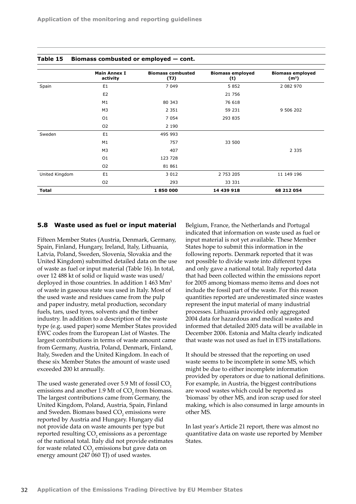|                |                                 | .                                |                                |                                              |
|----------------|---------------------------------|----------------------------------|--------------------------------|----------------------------------------------|
|                | <b>Main Annex I</b><br>activity | <b>Biomass combusted</b><br>(TJ) | <b>Biomass employed</b><br>(t) | <b>Biomass employed</b><br>(m <sup>3</sup> ) |
| Spain          | E <sub>1</sub>                  | 7 0 4 9                          | 5 8 5 2                        | 2 082 970                                    |
|                | E <sub>2</sub>                  |                                  | 21 756                         |                                              |
|                | M1                              | 80 343                           | 76 618                         |                                              |
|                | M3                              | 2 3 5 1                          | 59 231                         | 9 506 202                                    |
|                | O <sub>1</sub>                  | 7 0 5 4                          | 293 835                        |                                              |
|                | O <sub>2</sub>                  | 2 1 9 0                          |                                |                                              |
| Sweden         | E <sub>1</sub>                  | 495 993                          |                                |                                              |
|                | M1                              | 757                              | 33 500                         |                                              |
|                | M3                              | 407                              |                                | 2 3 3 5                                      |
|                | 01                              | 123 728                          |                                |                                              |
|                | O <sub>2</sub>                  | 81 861                           |                                |                                              |
| United Kingdom | E <sub>1</sub>                  | 3 0 1 2                          | 2 753 205                      | 11 149 196                                   |
|                | O <sub>2</sub>                  | 293                              | 33 331                         |                                              |
| <b>Total</b>   |                                 | 1850000                          | 14 439 918                     | 68 212 054                                   |
|                |                                 |                                  |                                |                                              |

#### <span id="page-33-0"></span>**Table 15 Biomass combusted or employed — cont.**

## **5.8 Waste used as fuel or input material**

Fifteen Member States (Austria, Denmark, Germany, Spain, Finland, Hungary, Ireland, Italy, Lithuania, Latvia, Poland, Sweden, Slovenia, Slovakia and the United Kingdom) submitted detailed data on the use of waste as fuel or input material (Table 16). In total, over 12 488 kt of solid or liquid waste was used/ deployed in those countries. In addition 1 463 Mm<sup>3</sup> of waste in gaseous state was used in Italy. Most of the used waste and residues came from the pulp and paper industry, metal production, secondary fuels, tars, used tyres, solvents and the timber industry. In addition to a description of the waste type (e.g. used paper) some Member States provided EWC codes from the European List of Wastes. The largest contributions in terms of waste amount came from Germany, Austria, Poland, Denmark, Finland, Italy, Sweden and the United Kingdom. In each of these six Member States the amount of waste used exceeded 200 kt annually.

The used waste generated over 5.9 Mt of fossil CO<sub>2</sub> emissions and another 1.9 Mt of  $CO<sub>2</sub>$  from biomass. The largest contributions came from Germany, the United Kingdom, Poland, Austria, Spain, Finland and Sweden. Biomass based  $CO<sub>2</sub>$  emissions were reported by Austria and Hungary. Hungary did not provide data on waste amounts per type but reported resulting  $CO<sub>2</sub>$  emissions as a percentage of the national total. Italy did not provide estimates for waste related  $\mathrm{CO}_2$  emissions but gave data on energy amount (247 060 TJ) of used wastes.

Belgium, France, the Netherlands and Portugal indicated that information on waste used as fuel or input material is not yet available. These Member States hope to submit this information in the following reports. Denmark reported that it was not possible to divide waste into different types and only gave a national total. Italy reported data that had been collected within the emissions report for 2005 among biomass memo items and does not include the fossil part of the waste. For this reason quantities reported are underestimated since wastes represent the input material of many industrial processes. Lithuania provided only aggregated 2004 data for hazardous and medical wastes and informed that detailed 2005 data will be available in December 2006. Estonia and Malta clearly indicated that waste was not used as fuel in ETS installations.

It should be stressed that the reporting on used waste seems to be incomplete in some MS, which might be due to either incomplete information provided by operators or due to national definitions. For example, in Austria, the biggest contributions are wood wastes which could be reported as 'biomass' by other MS, and iron scrap used for steel making, which is also consumed in large amounts in other MS.

In last year's Article 21 report, there was almost no quantitative data on waste use reported by Member States.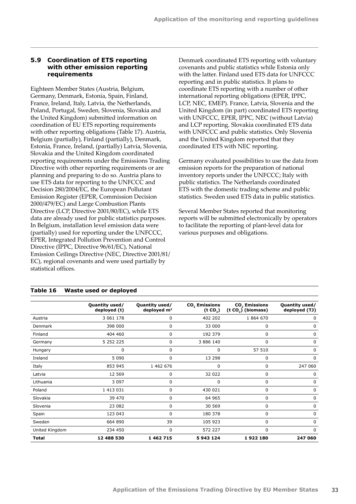## <span id="page-34-0"></span>**5.9 Coordination of ETS reporting with other emission reporting requirements**

Eighteen Member States (Austria, Belgium, Germany, Denmark, Estonia, Spain, Finland, France, Ireland, Italy, Latvia, the Netherlands, Poland, Portugal, Sweden, Slovenia, Slovakia and the United Kingdom) submitted information on coordination of EU ETS reporting requirements with other reporting obligations (Table 17). Austria, Belgium (partially), Finland (partially), Denmark, Estonia, France, Ireland, (partially) Latvia, Slovenia, Slovakia and the United Kingdom coordinated reporting requirements under the Emissions Trading Directive with other reporting requirements or are planning and preparing to do so. Austria plans to use ETS data for reporting to the UNFCCC and Decision 280/2004/EC, the European Pollutant Emission Register (EPER, Commission Decision 2000/479/EC) and Large Combustion Plants Directive (LCP, Directive 2001/80/EC), while ETS data are already used for public statistics purposes. In Belgium, installation level emission data were (partially) used for reporting under the UNFCCC, EPER, Integrated Pollution Prevention and Control Directive (IPPC, Directive 96/61/EC), National Emission Ceilings Directive (NEC, Directive 2001/81/ EC), regional covenants and were used partially by statistical offices.

Denmark coordinated ETS reporting with voluntary covenants and public statistics while Estonia only with the latter. Finland used ETS data for UNFCCC reporting and in public statistics. It plans to coordinate ETS reporting with a number of other international reporting obligations (EPER, IPPC, LCP, NEC, EMEP). France, Latvia, Slovenia and the United Kingdom (in part) coordinated ETS reporting with UNFCCC, EPER, IPPC, NEC (without Latvia) and LCP reporting. Slovakia coordinated ETS data with UNFCCC and public statistics. Only Slovenia and the United Kingdom reported that they coordinated ETS with NEC reporting.

Germany evaluated possibilities to use the data from emission reports for the preparation of national inventory reports under the UNFCCC; Italy with public statistics. The Netherlands coordinated ETS with the domestic trading scheme and public statistics. Sweden used ETS data in public statistics.

Several Member States reported that monitoring reports will be submitted electronically by operators to facilitate the reporting of plant-level data for various purposes and obligations.

|                | Quantity used/<br>deployed (t) | Quantity used/<br>deployed m <sup>3</sup> | CO <sub>2</sub> Emissions<br>(t CO <sub>2</sub> ) | <b>CO.</b> , Emissions<br>$(t CO2)$ (biomass) | Quantity used/<br>deployed (TJ) |
|----------------|--------------------------------|-------------------------------------------|---------------------------------------------------|-----------------------------------------------|---------------------------------|
| Austria        | 3 061 178                      | 0                                         | 402 202                                           | 1 864 670                                     | 0                               |
| Denmark        | 398 000                        | 0                                         | 33 000                                            | 0                                             | 0                               |
| Finland        | 404 460                        | 0                                         | 192 379                                           | 0                                             | 0                               |
| Germany        | 5 2 5 2 2 2 5                  | 0                                         | 3 886 140                                         | 0                                             | 0                               |
| Hungary        | 0                              | 0                                         | 0                                                 | 57 510                                        | 0                               |
| Ireland        | 5 0 9 0                        | 0                                         | 13 298                                            | 0                                             | 0                               |
| Italy          | 853 945                        | 1 462 676                                 | 0                                                 | 0                                             | 247 060                         |
| Latvia         | 12 569                         | 0                                         | 32 022                                            | 0                                             | 0                               |
| Lithuania      | 3 0 9 7                        | 0                                         | 0                                                 | 0                                             | 0                               |
| Poland         | 1 4 1 3 0 3 1                  | 0                                         | 430 021                                           | 0                                             | 0                               |
| Slovakia       | 39 470                         | 0                                         | 64 965                                            | 0                                             | 0                               |
| Slovenia       | 23 082                         | 0                                         | 30 569                                            | 0                                             | 0                               |
| Spain          | 123 043                        | 0                                         | 180 378                                           | 0                                             | 0                               |
| Sweden         | 664 890                        | 39                                        | 105 923                                           | 0                                             | 0                               |
| United Kingdom | 234 450                        | 0                                         | 572 227                                           | 0                                             | 0                               |
| <b>Total</b>   | 12 488 530                     | 1 462 715                                 | 5 943 124                                         | 1922180                                       | 247 060                         |

## **Table 16 Waste used or deployed**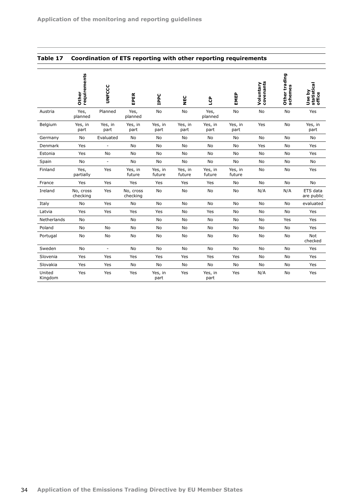|                   | requirements<br>Other | <b>UNFCCC</b>            | EPER                  | <b>IPPC</b>       | <b>NEC</b>        | ပြ                | EMEP              | covenants<br>Voluntary | Other trading<br>schemes | statistical<br>Use by<br>office |
|-------------------|-----------------------|--------------------------|-----------------------|-------------------|-------------------|-------------------|-------------------|------------------------|--------------------------|---------------------------------|
| Austria           | Yes,<br>planned       | Planned                  | Yes,<br>planned       | <b>No</b>         | No                | Yes,<br>planned   | No                | No                     | No                       | Yes                             |
| Belgium           | Yes, in<br>part       | Yes, in<br>part          | Yes, in<br>part       | Yes, in<br>part   | Yes, in<br>part   | Yes, in<br>part   | Yes, in<br>part   | Yes                    | No                       | Yes, in<br>part                 |
| Germany           | <b>No</b>             | Evaluated                | No                    | <b>No</b>         | <b>No</b>         | <b>No</b>         | <b>No</b>         | <b>No</b>              | <b>No</b>                | <b>No</b>                       |
| Denmark           | Yes                   | $\overline{\phantom{a}}$ | <b>No</b>             | <b>No</b>         | No                | <b>No</b>         | <b>No</b>         | Yes                    | No                       | Yes                             |
| Estonia           | Yes                   | <b>No</b>                | <b>No</b>             | No                | <b>No</b>         | <b>No</b>         | <b>No</b>         | <b>No</b>              | No                       | Yes                             |
| Spain             | No                    | $\sim$                   | No                    | No                | No                | No                | No                | No                     | No                       | No                              |
| Finland           | Yes,<br>partially     | Yes                      | Yes, in<br>future     | Yes, in<br>future | Yes, in<br>future | Yes, in<br>future | Yes, in<br>future | No                     | No                       | Yes                             |
| France            | Yes                   | Yes                      | Yes                   | Yes               | Yes               | Yes               | No                | <b>No</b>              | <b>No</b>                | No                              |
| Ireland           | No, cross<br>checking | Yes                      | No, cross<br>checking | No                | No                | No                | No                | N/A                    | N/A                      | ETS data<br>are public          |
| Italy             | No                    | Yes                      | No                    | No                | No                | No                | No                | No                     | <b>No</b>                | evaluated                       |
| Latvia            | Yes                   | Yes                      | Yes                   | Yes               | <b>No</b>         | Yes               | <b>No</b>         | <b>No</b>              | <b>No</b>                | Yes                             |
| Netherlands       | No                    |                          | No                    | No                | No                | No                | No                | No                     | Yes                      | Yes                             |
| Poland            | No                    | No                       | No                    | No                | No                | No                | No                | No                     | No                       | Yes                             |
| Portugal          | No                    | No                       | No                    | No                | No                | No                | No                | No                     | No                       | Not<br>checked                  |
| Sweden            | <b>No</b>             | $\overline{\phantom{a}}$ | <b>No</b>             | No                | No                | No                | <b>No</b>         | No                     | No                       | Yes                             |
| Slovenia          | Yes                   | Yes                      | Yes                   | Yes               | Yes               | Yes               | Yes               | No                     | No                       | Yes                             |
| Slovakia          | Yes                   | Yes                      | <b>No</b>             | No                | <b>No</b>         | <b>No</b>         | <b>No</b>         | <b>No</b>              | No                       | Yes                             |
| United<br>Kingdom | Yes                   | Yes                      | Yes                   | Yes, in<br>part   | Yes               | Yes, in<br>part   | Yes               | N/A                    | No                       | Yes                             |

## **Table 17 Coordination of ETS reporting with other reporting requirements**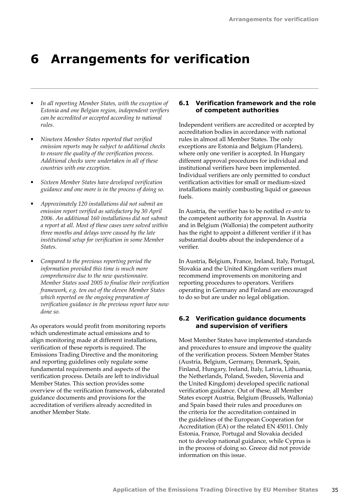## **6 Arrangements for verification**

- *• In all reporting Member States, with the exception of Estonia and one Belgian region, independent verifiers can be accredited or accepted according to national rules.*
- *• Nineteen Member States reported that verified emission reports may be subject to additional checks to ensure the quality of the verification process. Additional checks were undertaken in all of these countries with one exception.*
- *• Sixteen Member States have developed verification guidance and one more is in the process of doing so.*
- *• Approximately 120 installations did not submit an emission report verified as satisfactory by 30 April 2006. An additional 160 installations did not submit a report at all. Most of these cases were solved within three months and delays were caused by the late institutional setup for verification in some Member States.*
- *• Compared to the previous reporting period the information provided this time is much more comprehensive due to the new questionnaire. Member States used 2005 to finalise their verification framework, e.g. ten out of the eleven Member States which reported on the ongoing preparation of verification guidance in the previous report have now done so.*

As operators would profit from monitoring reports which underestimate actual emissions and to align monitoring made at different installations, verification of these reports is required. The Emissions Trading Directive and the monitoring and reporting guidelines only regulate some fundamental requirements and aspects of the verification process. Details are left to individual Member States. This section provides some overview of the verification framework, elaborated guidance documents and provisions for the accreditation of verifiers already accredited in another Member State.

## **6.1 Verification framework and the role of competent authorities**

Independent verifiers are accredited or accepted by accreditation bodies in accordance with national rules in almost all Member States. The only exceptions are Estonia and Belgium (Flanders), where only one verifier is accepted. In Hungary different approval procedures for individual and institutional verifiers have been implemented. Individual verifiers are only permitted to conduct verification activities for small or medium-sized installations mainly combusting liquid or gaseous fuels.

In Austria, the verifier has to be notified *ex-ante* to the competent authority for approval. In Austria and in Belgium (Wallonia) the competent authority has the right to appoint a different verifier if it has substantial doubts about the independence of a verifier.

In Austria, Belgium, France, Ireland, Italy, Portugal, Slovakia and the United Kingdom verifiers must recommend improvements on monitoring and reporting procedures to operators. Verifiers operating in Germany and Finland are encouraged to do so but are under no legal obligation.

## **6.2 Verification guidance documents and supervision of verifiers**

Most Member States have implemented standards and procedures to ensure and improve the quality of the verification process. Sixteen Member States (Austria, Belgium, Germany, Denmark, Spain, Finland, Hungary, Ireland, Italy, Latvia, Lithuania, the Netherlands, Poland, Sweden, Slovenia and the United Kingdom) developed specific national verification guidance. Out of these, all Member States except Austria, Belgium (Brussels, Wallonia) and Spain based their rules and procedures on the criteria for the accreditation contained in the guidelines of the European Cooperation for Accreditation (EA) or the related EN 45011. Only Estonia, France, Portugal and Slovakia decided not to develop national guidance, while Cyprus is in the process of doing so. Greece did not provide information on this issue.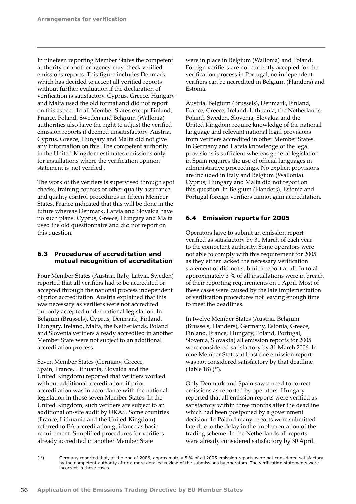In nineteen reporting Member States the competent authority or another agency may check verified emissions reports. This figure includes Denmark which has decided to accept all verified reports without further evaluation if the declaration of verification is satisfactory. Cyprus, Greece, Hungary and Malta used the old format and did not report on this aspect. In all Member States except Finland, France, Poland, Sweden and Belgium (Wallonia) authorities also have the right to adjust the verified emission reports if deemed unsatisfactory. Austria, Cyprus, Greece, Hungary and Malta did not give any information on this. The competent authority in the United Kingdom estimates emissions only for installations where the verification opinion statement is 'not verified'.

The work of the verifiers is supervised through spot checks, training courses or other quality assurance and quality control procedures in fifteen Member States. France indicated that this will be done in the future whereas Denmark, Latvia and Slovakia have no such plans. Cyprus, Greece, Hungary and Malta used the old questionnaire and did not report on this question.

## **6.3 Procedures of accreditation and mutual recognition of accreditation**

Four Member States (Austria, Italy, Latvia, Sweden) reported that all verifiers had to be accredited or accepted through the national process independent of prior accreditation. Austria explained that this was necessary as verifiers were not accredited but only accepted under national legislation. In Belgium (Brussels), Cyprus, Denmark, Finland, Hungary, Ireland, Malta, the Netherlands, Poland and Slovenia verifiers already accredited in another Member State were not subject to an additional accreditation process.

Seven Member States (Germany, Greece, Spain, France, Lithuania, Slovakia and the United Kingdom) reported that verifiers worked without additional accreditation, if prior accreditation was in accordance with the national legislation in those seven Member States. In the United Kingdom, such verifiers are subject to an additional on-site audit by UKAS. Some countries (France, Lithuania and the United Kingdom) referred to EA accreditation guidance as basic requirement. Simplified procedures for verifiers already accredited in another Member State

were in place in Belgium (Wallonia) and Poland. Foreign verifiers are not currently accepted for the verification process in Portugal; no independent verifiers can be accredited in Belgium (Flanders) and Estonia.

Austria, Belgium (Brussels), Denmark, Finland, France, Greece, Ireland, Lithuania, the Netherlands, Poland, Sweden, Slovenia, Slovakia and the United Kingdom require knowledge of the national language and relevant national legal provisions from verifiers accredited in other Member States. In Germany and Latvia knowledge of the legal provisions is sufficient whereas general legislation in Spain requires the use of official languages in administrative proceedings. No explicit provisions are included in Italy and Belgium (Wallonia). Cyprus, Hungary and Malta did not report on this question. In Belgium (Flanders), Estonia and Portugal foreign verifiers cannot gain accreditation.

#### **6.4 Emission reports for 2005**

Operators have to submit an emission report verified as satisfactory by 31 March of each year to the competent authority. Some operators were not able to comply with this requirement for 2005 as they either lacked the necessary verification statement or did not submit a report at all. In total approximately 3 % of all installations were in breach of their reporting requirements on 1 April. Most of these cases were caused by the late implementation of verification procedures not leaving enough time to meet the deadlines.

In twelve Member States (Austria, Belgium (Brussels, Flanders), Germany, Estonia, Greece, Finland, France, Hungary, Poland, Portugal, Slovenia, Slovakia) all emission reports for 2005 were considered satisfactory by 31 March 2006. In nine Member States at least one emission report was not considered satisfactory by that deadline (Table 18)  $(12)$ .

Only Denmark and Spain saw a need to correct emissions as reported by operators. Hungary reported that all emission reports were verified as satisfactory within three months after the deadline which had been postponed by a government decision. In Poland many reports were submitted late due to the delay in the implementation of the trading scheme. In the Netherlands all reports were already considered satisfactory by 30 April.

(12) Germany reported that, at the end of 2006, approximately 5 % of all 2005 emission reports were not considered satisfactory by the competent authority after a more detailed review of the submissions by operators. The verification statements were incorrect in these cases.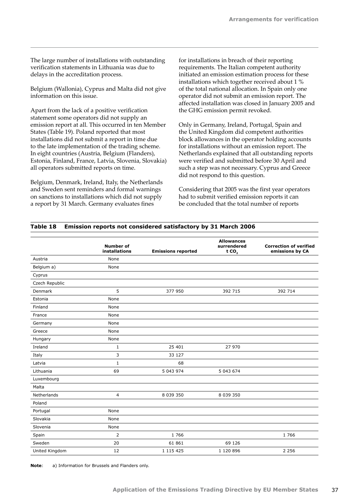The large number of installations with outstanding verification statements in Lithuania was due to delays in the accreditation process.

Belgium (Wallonia), Cyprus and Malta did not give information on this issue.

Apart from the lack of a positive verification statement some operators did not supply an emission report at all. This occurred in ten Member States (Table 19). Poland reported that most installations did not submit a report in time due to the late implementation of the trading scheme. In eight countries (Austria, Belgium (Flanders), Estonia, Finland, France, Latvia, Slovenia, Slovakia) all operators submitted reports on time.

Belgium, Denmark, Ireland, Italy, the Netherlands and Sweden sent reminders and formal warnings on sanctions to installations which did not supply a report by 31 March. Germany evaluates fines

for installations in breach of their reporting requirements. The Italian competent authority initiated an emission estimation process for these installations which together received about 1 % of the total national allocation. In Spain only one operator did not submit an emission report. The affected installation was closed in January 2005 and the GHG emission permit revoked.

Only in Germany, Ireland, Portugal, Spain and the United Kingdom did competent authorities block allowances in the operator holding accounts for installations without an emission report. The Netherlands explained that all outstanding reports were verified and submitted before 30 April and such a step was not necessary. Cyprus and Greece did not respond to this question.

Considering that 2005 was the first year operators had to submit verified emission reports it can be concluded that the total number of reports

#### **Table 18 Emission reports not considered satisfactory by 31 March 2006**

|                | <b>Number of</b><br>installations | <b>Emissions reported</b> | <b>Allowances</b><br>surrendered<br>tCO <sub>2</sub> | <b>Correction of verified</b><br>emissions by CA |
|----------------|-----------------------------------|---------------------------|------------------------------------------------------|--------------------------------------------------|
| Austria        | None                              |                           |                                                      |                                                  |
| Belgium a)     | None                              |                           |                                                      |                                                  |
| Cyprus         |                                   |                           |                                                      |                                                  |
| Czech Republic |                                   |                           |                                                      |                                                  |
| Denmark        | 5                                 | 377 950                   | 392 715                                              | 392 714                                          |
| Estonia        | None                              |                           |                                                      |                                                  |
| Finland        | None                              |                           |                                                      |                                                  |
| France         | None                              |                           |                                                      |                                                  |
| Germany        | None                              |                           |                                                      |                                                  |
| Greece         | None                              |                           |                                                      |                                                  |
| Hungary        | None                              |                           |                                                      |                                                  |
| Ireland        | 1                                 | 25 401                    | 27 970                                               |                                                  |
| Italy          | 3                                 | 33 127                    |                                                      |                                                  |
| Latvia         | $\mathbf{1}$                      | 68                        |                                                      |                                                  |
| Lithuania      | 69                                | 5 043 974                 | 5 043 674                                            |                                                  |
| Luxembourg     |                                   |                           |                                                      |                                                  |
| Malta          |                                   |                           |                                                      |                                                  |
| Netherlands    | 4                                 | 8 0 3 9 3 5 0             | 8 039 350                                            |                                                  |
| Poland         |                                   |                           |                                                      |                                                  |
| Portugal       | None                              |                           |                                                      |                                                  |
| Slovakia       | None                              |                           |                                                      |                                                  |
| Slovenia       | None                              |                           |                                                      |                                                  |
| Spain          | 2                                 | 1766                      |                                                      | 1766                                             |
| Sweden         | 20                                | 61 861                    | 69 126                                               |                                                  |
| United Kingdom | 12                                | 1 115 425                 | 1 120 896                                            | 2 2 5 6                                          |

**Note**: a) Information for Brussels and Flanders only.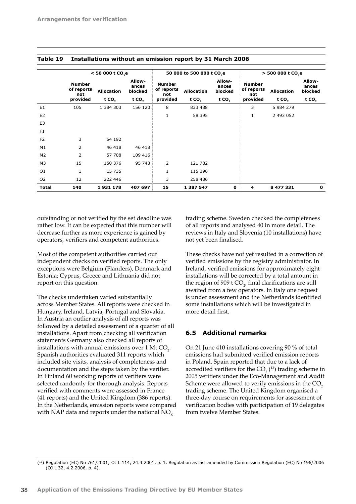|                |                                    | $< 50000$ t CO <sub>2</sub> e |                            |                                    | 50 000 to 500 000 t CO <sub>1</sub> e |                            | > 500 000 t CO <sub>2</sub> e      |                   |                            |  |
|----------------|------------------------------------|-------------------------------|----------------------------|------------------------------------|---------------------------------------|----------------------------|------------------------------------|-------------------|----------------------------|--|
|                | <b>Number</b><br>of reports<br>not | <b>Allocation</b>             | Allow-<br>ances<br>blocked | <b>Number</b><br>of reports<br>not | <b>Allocation</b>                     | Allow-<br>ances<br>blocked | <b>Number</b><br>of reports<br>not | <b>Allocation</b> | Allow-<br>ances<br>blocked |  |
|                | provided                           | tCO <sub>2</sub>              | t CO <sub>2</sub>          | provided                           | t CO <sub>2</sub>                     | tCO                        | provided                           | t CO <sub>2</sub> | tCO <sub>2</sub>           |  |
| E1             | 105                                | 1 384 303                     | 156 120                    | 8                                  | 833 488                               |                            | 3                                  | 5 984 279         |                            |  |
| E <sub>2</sub> |                                    |                               |                            | 1                                  | 58 395                                |                            | $\mathbf{1}$                       | 2 493 052         |                            |  |
| E <sub>3</sub> |                                    |                               |                            |                                    |                                       |                            |                                    |                   |                            |  |
| F1             |                                    |                               |                            |                                    |                                       |                            |                                    |                   |                            |  |
| F <sub>2</sub> | 3                                  | 54 192                        |                            |                                    |                                       |                            |                                    |                   |                            |  |
| M1             | $\overline{2}$                     | 46 418                        | 46 418                     |                                    |                                       |                            |                                    |                   |                            |  |
| M <sub>2</sub> | 2                                  | 57 708                        | 109 416                    |                                    |                                       |                            |                                    |                   |                            |  |
| M3             | 15                                 | 150 376                       | 95 743                     | $\overline{2}$                     | 121 782                               |                            |                                    |                   |                            |  |
| 01             | 1                                  | 15 735                        |                            | $\mathbf{1}$                       | 115 396                               |                            |                                    |                   |                            |  |
| O <sub>2</sub> | 12                                 | 222 446                       |                            | 3                                  | 258 486                               |                            |                                    |                   |                            |  |
| <b>Total</b>   | 140                                | 1931178                       | 407 697                    | 15                                 | 1 387 547                             | 0                          | 4                                  | 8 477 331         | $\mathbf 0$                |  |

|  | Table 19 Installations without an emission report by 31 March 2006 |  |  |  |
|--|--------------------------------------------------------------------|--|--|--|
|--|--------------------------------------------------------------------|--|--|--|

outstanding or not verified by the set deadline was rather low. It can be expected that this number will decrease further as more experience is gained by operators, verifiers and competent authorities.

Most of the competent authorities carried out independent checks on verified reports. The only exceptions were Belgium (Flanders), Denmark and Estonia; Cyprus, Greece and Lithuania did not report on this question.

The checks undertaken varied substantially across Member States. All reports were checked in Hungary, Ireland, Latvia, Portugal and Slovakia. In Austria an outlier analysis of all reports was followed by a detailed assessment of a quarter of all installations. Apart from checking all verification statements Germany also checked all reports of installations with annual emissions over 1 Mt  $CO<sub>2</sub>$ . Spanish authorities evaluated 311 reports which included site visits, analysis of completeness and documentation and the steps taken by the verifier. In Finland 60 working reports of verifiers were selected randomly for thorough analysis. Reports verified with comments were assessed in France (41 reports) and the United Kingdom (386 reports). In the Netherlands, emission reports were compared with NAP data and reports under the national  $NO<sub>x</sub>$ 

trading scheme. Sweden checked the completeness of all reports and analysed 40 in more detail. The reviews in Italy and Slovenia (10 installations) have not yet been finalised.

These checks have not yet resulted in a correction of verified emissions by the registry administrator. In Ireland, verified emissions for approximately eight installations will be corrected by a total amount in the region of 909 t  $CO_{2}$ , final clarifications are still awaited from a few operators. In Italy one request is under assessment and the Netherlands identified some installations which will be investigated in more detail first.

#### **6.5 Additional remarks**

On 21 June 410 installations covering 90 % of total emissions had submitted verified emission reports in Poland. Spain reported that due to a lack of accredited verifiers for the  $CO<sub>2</sub>$  (<sup>13</sup>) trading scheme in 2005 verifiers under the Eco-Management and Audit Scheme were allowed to verify emissions in the CO<sub>2</sub> trading scheme. The United Kingdom organised a three-day course on requirements for assessment of verification bodies with participation of 19 delegates from twelve Member States.

<sup>(13)</sup> Regulation (EC) No 761/2001; OJ L 114, 24.4.2001, p. 1. Regulation as last amended by Commission Regulation (EC) No 196/2006 (OJ L 32, 4.2.2006, p. 4).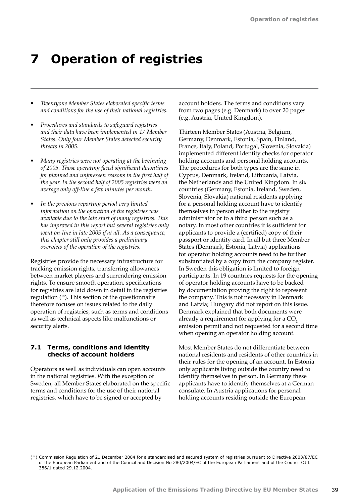# **7 Operation of registries**

- *• Twentyone Member States elaborated specific terms and conditions for the use of their national registries.*
- *• Procedures and standards to safeguard registries and their data have been implemented in 17 Member States. Only four Member States detected security threats in 2005.*
- *• Many registries were not operating at the beginning of 2005. Those operating faced significant downtimes for planned and unforeseen reasons in the first half of the year. In the second half of 2005 registries were on average only off-line a few minutes per month.*
- *• In the previous reporting period very limited information on the operation of the registries was available due to the late start of many registries. This has improved in this report but several registries only went on-line in late 2005 if at all. As a consequence, this chapter still only provides a preliminary overview of the operation of the registries.*

Registries provide the necessary infrastructure for tracking emission rights, transferring allowances between market players and surrendering emission rights. To ensure smooth operation, specifications for registries are laid down in detail in the registries regulation (14). This section of the questionnaire therefore focuses on issues related to the daily operation of registries, such as terms and conditions as well as technical aspects like malfunctions or security alerts.

#### **7.1 Terms, conditions and identity checks of account holders**

Operators as well as individuals can open accounts in the national registries. With the exception of Sweden, all Member States elaborated on the specific terms and conditions for the use of their national registries, which have to be signed or accepted by

account holders. The terms and conditions vary from two pages (e.g. Denmark) to over 20 pages (e.g. Austria, United Kingdom).

Thirteen Member States (Austria, Belgium, Germany, Denmark, Estonia, Spain, Finland, France, Italy, Poland, Portugal, Slovenia, Slovakia) implemented different identity checks for operator holding accounts and personal holding accounts. The procedures for both types are the same in Cyprus, Denmark, Ireland, Lithuania, Latvia, the Netherlands and the United Kingdom. In six countries (Germany, Estonia, Ireland, Sweden, Slovenia, Slovakia) national residents applying for a personal holding account have to identify themselves in person either to the registry administrator or to a third person such as a notary. In most other countries it is sufficient for applicants to provide a (certified) copy of their passport or identity card. In all but three Member States (Denmark, Estonia, Latvia) applications for operator holding accounts need to be further substantiated by a copy from the company register. In Sweden this obligation is limited to foreign participants. In 19 countries requests for the opening of operator holding accounts have to be backed by documentation proving the right to represent the company. This is not necessary in Denmark and Latvia; Hungary did not report on this issue. Denmark explained that both documents were already a requirement for applying for a  $CO<sub>2</sub>$ emission permit and not requested for a second time when opening an operator holding account.

Most Member States do not differentiate between national residents and residents of other countries in their rules for the opening of an account. In Estonia only applicants living outside the country need to identify themselves in person. In Germany these applicants have to identify themselves at a German consulate. In Austria applications for personal holding accounts residing outside the European

<sup>(14)</sup> Commission Regulation of 21 December 2004 for a standardised and secured system of registries pursuant to Directive 2003/87/EC of the European Parliament and of the Council and Decision No 280/2004/EC of the European Parliament and of the Council OJ L 386/1 dated 29.12.2004.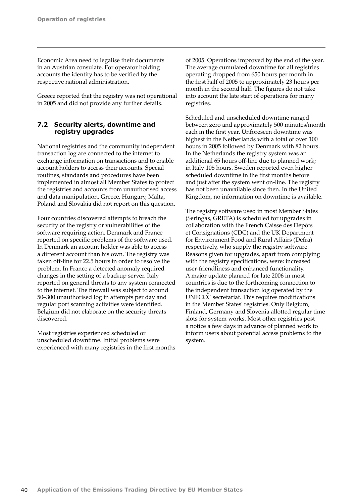Economic Area need to legalise their documents in an Austrian consulate. For operator holding accounts the identity has to be verified by the respective national administration.

Greece reported that the registry was not operational in 2005 and did not provide any further details.

#### **7.2 Security alerts, downtime and registry upgrades**

National registries and the community independent transaction log are connected to the internet to exchange information on transactions and to enable account holders to access their accounts. Special routines, standards and procedures have been implemented in almost all Member States to protect the registries and accounts from unauthorised access and data manipulation. Greece, Hungary, Malta, Poland and Slovakia did not report on this question.

Four countries discovered attempts to breach the security of the registry or vulnerabilities of the software requiring action. Denmark and France reported on specific problems of the software used. In Denmark an account holder was able to access a different account than his own. The registry was taken off-line for 22.5 hours in order to resolve the problem. In France a detected anomaly required changes in the setting of a backup server. Italy reported on general threats to any system connected to the internet. The firewall was subject to around 50–300 unauthorised log in attempts per day and regular port scanning activities were identified. Belgium did not elaborate on the security threats discovered.

Most registries experienced scheduled or unscheduled downtime. Initial problems were experienced with many registries in the first months of 2005. Operations improved by the end of the year. The average cumulated downtime for all registries operating dropped from 650 hours per month in the first half of 2005 to approximately 23 hours per month in the second half. The figures do not take into account the late start of operations for many registries.

Scheduled and unscheduled downtime ranged between zero and approximately 500 minutes/month each in the first year. Unforeseen downtime was highest in the Netherlands with a total of over 100 hours in 2005 followed by Denmark with 82 hours. In the Netherlands the registry system was an additional 65 hours off-line due to planned work; in Italy 105 hours. Sweden reported even higher scheduled downtime in the first months before and just after the system went on-line. The registry has not been unavailable since then. In the United Kingdom, no information on downtime is available.

The registry software used in most Member States (Seringas, GRETA) is scheduled for upgrades in collaboration with the French Caisse des Dépôts et Consignations (CDC) and the UK Department for Environment Food and Rural Affairs (Defra) respectively, who supply the registry software. Reasons given for upgrades, apart from complying with the registry specifications, were: increased user-friendliness and enhanced functionality. A major update planned for late 2006 in most countries is due to the forthcoming connection to the independent transaction log operated by the UNFCCC secretariat. This requires modifications in the Member States' registries. Only Belgium, Finland, Germany and Slovenia allotted regular time slots for system works. Most other registries post a notice a few days in advance of planned work to inform users about potential access problems to the system.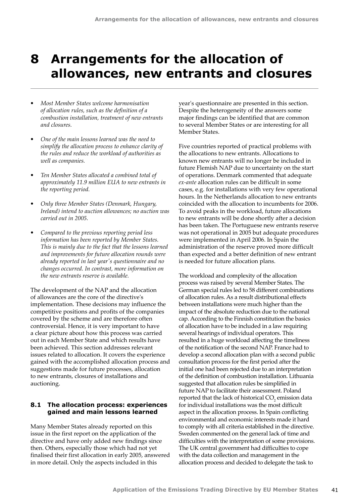## **8 Arrangements for the allocation of allowances, new entrants and closures**

- *• Most Member States welcome harmonisation of allocation rules, such as the definition of a combustion installation, treatment of new entrants and closures.*
- *• One of the main lessons learned was the need to simplify the allocation process to enhance clarity of the rules and reduce the workload of authorities as well as companies.*
- *• Ten Member States allocated a combined total of approximately 11.9 million EUA to new entrants in the reporting period.*
- *• Only three Member States (Denmark, Hungary, Ireland) intend to auction allowances; no auction was carried out in 2005.*
- *• Compared to the previous reporting period less information has been reported by Member States. This is mainly due to the fact that the lessons learned and improvements for future allocation rounds were already reported in last year's questionnaire and no changes occurred. In contrast, more information on the new entrants reserve is available.*

The development of the NAP and the allocation of allowances are the core of the directive's implementation. These decisions may influence the competitive positions and profits of the companies covered by the scheme and are therefore often controversial. Hence, it is very important to have a clear picture about how this process was carried out in each Member State and which results have been achieved. This section addresses relevant issues related to allocation. It covers the experience gained with the accomplished allocation process and suggestions made for future processes, allocation to new entrants, closures of installations and auctioning.

## **8.1 The allocation process: experiences gained and main lessons learned**

Many Member States already reported on this issue in the first report on the application of the directive and have only added new findings since then. Others, especially those which had not yet finalised their first allocation in early 2005, answered in more detail. Only the aspects included in this

year's questionnaire are presented in this section. Despite the heterogeneity of the answers some major findings can be identified that are common to several Member States or are interesting for all Member States.

Five countries reported of practical problems with the allocations to new entrants. Allocations to known new entrants will no longer be included in future Flemish NAP due to uncertainty on the start of operations. Denmark commented that adequate *ex-ante* allocation rules can be difficult in some cases, e.g. for installations with very few operational hours. In the Netherlands allocation to new entrants coincided with the allocation to incumbents for 2006. To avoid peaks in the workload, future allocations to new entrants will be done shortly after a decision has been taken. The Portuguese new entrants reserve was not operational in 2005 but adequate procedures were implemented in April 2006. In Spain the administration of the reserve proved more difficult than expected and a better definition of new entrant is needed for future allocation plans.

The workload and complexity of the allocation process was raised by several Member States. The German special rules led to 58 different combinations of allocation rules. As a result distributional effects between installations were much higher than the impact of the absolute reduction due to the national cap. According to the Finnish constitution the basics of allocation have to be included in a law requiring several hearings of individual operators. This resulted in a huge workload affecting the timeliness of the notification of the second NAP. France had to develop a second allocation plan with a second public consultation process for the first period after the initial one had been rejected due to an interpretation of the definition of combustion installation. Lithuania suggested that allocation rules be simplified in future NAP to facilitate their assessment. Poland reported that the lack of historical  $CO<sub>2</sub>$  emission data for individual installations was the most difficult aspect in the allocation process. In Spain conflicting environmental and economic interests made it hard to comply with all criteria established in the directive. Sweden commented on the general lack of time and difficulties with the interpretation of some provisions. The UK central government had difficulties to cope with the data collection and management in the allocation process and decided to delegate the task to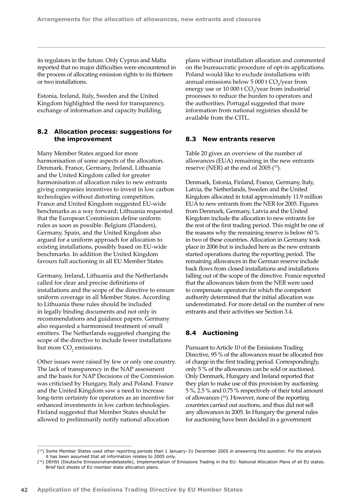its regulators in the future. Only Cyprus and Malta reported that no major difficulties were encountered in the process of allocating emission rights to its thirteen or two installations.

Estonia, Ireland, Italy, Sweden and the United Kingdom highlighted the need for transparency, exchange of information and capacity building.

## **8.2 Allocation process: suggestions for the improvement**

Many Member States argued for more harmonisation of some aspects of the allocation. Denmark, France, Germany, Ireland, Lithuania and the United Kingdom called for greater harmonisation of allocation rules to new entrants giving companies incentives to invest in low carbon technologies without distorting competition. France and United Kingdom suggested EU-wide benchmarks as a way forward; Lithuania requested that the European Commission define uniform rules as soon as possible. Belgium (Flanders), Germany, Spain, and the United Kingdom also argued for a uniform approach for allocation to existing installations, possibly based on EU-wide benchmarks. In addition the United Kingdom favours full auctioning in all EU Member States.

Germany, Ireland, Lithuania and the Netherlands called for clear and precise definitions of installations and the scope of the directive to ensure uniform coverage in all Member States. According to Lithuania these rules should be included in legally binding documents and not only in recommendations and guidance papers. Germany also requested a harmonised treatment of small emitters. The Netherlands suggested changing the scope of the directive to include fewer installations but more  $\mathrm{CO}_2$  emissions.

Other issues were raised by few or only one country. The lack of transparency in the NAP assessment and the basis for NAP Decisions of the Commission was criticised by Hungary, Italy and Poland. France and the United Kingdom saw a need to increase long-term certainty for operators as an incentive for enhanced investments in low carbon technologies. Finland suggested that Member States should be allowed to preliminarily notify national allocation

plans without installation allocation and commented on the bureaucratic procedure of opt-in applications. Poland would like to exclude installations with annual emissions below  $5000$  t CO<sub>2</sub>/year from energy use or 10 000 t CO<sub>2</sub>/year from industrial processes to reduce the burden to operators and the authorities. Portugal suggested that more information from national registries should be available from the CITL.

## **8.3 New entrants reserve**

Table 20 gives an overview of the number of allowances (EUA) remaining in the new entrants reserve (NER) at the end of 2005  $(15)$ .

Denmark, Estonia, Finland, France, Germany, Italy, Latvia, the Netherlands, Sweden and the United Kingdom allocated in total approximately 11.9 million EUA to new entrants from the NER for 2005. Figures from Denmark, Germany, Latvia and the United Kingdom include the allocation to new entrants for the rest of the first trading period. This might be one of the reasons why the remaining reserve is below 60 % in two of these countries. Allocation in Germany took place in 2006 but is included here as the new entrants started operations during the reporting period. The remaining allowances in the German reserve include back flows from closed installations and installations falling out of the scope of the directive. France reported that the allowances taken from the NER were used to compensate operators for which the competent authority determined that the initial allocation was underestimated. For more detail on the number of new entrants and their activities see Section 3.4.

## **8.4 Auctioning**

Pursuant to Article 10 of the Emissions Trading Directive, 95 % of the allowances must be allocated free of charge in the first trading period. Correspondingly, only 5 % of the allowances can be sold or auctioned. Only Denmark, Hungary and Ireland reported that they plan to make use of this provision by auctioning 5 %, 2.5 % and 0.75 % respectively of their total amount of allowances  $(16)$ . However, none of the reporting countries carried out auctions, and thus did not sell any allowances in 2005. In Hungary the general rules for auctioning have been decided in a government

<sup>(15)</sup> Some Member States used other reporting periods than 1 January–31 December 2005 in answering this question. For the analysis it has been assumed that all information relates to 2005 only.

<sup>(16)</sup> DEHSt (Deutsche Emissionshandelsstelle), Implementation of Emissions Trading in the EU: National Allocation Plans of all EU states. Brief fact sheets of EU member state allocation plans.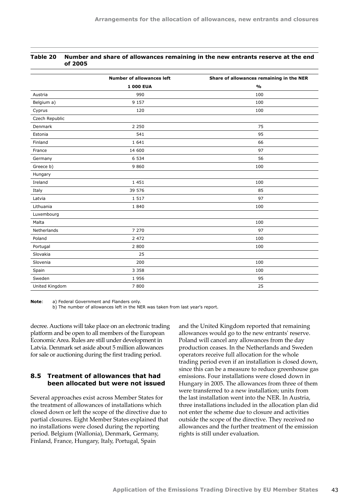|                | <b>Number of allowances left</b> |                                          |
|----------------|----------------------------------|------------------------------------------|
|                |                                  | Share of allowances remaining in the NER |
|                | <b>1 000 EUA</b>                 | $\frac{0}{0}$                            |
| Austria        | 990                              | 100                                      |
| Belgium a)     | 9 1 5 7                          | 100                                      |
| Cyprus         | 120                              | 100                                      |
| Czech Republic |                                  |                                          |
| Denmark        | 2 2 5 0                          | 75                                       |
| Estonia        | 541                              | 95                                       |
| Finland        | 1 641                            | 66                                       |
| France         | 14 600                           | 97                                       |
| Germany        | 6 5 3 4                          | 56                                       |
| Greece b)      | 9860                             | 100                                      |
| Hungary        |                                  |                                          |
| Ireland        | 1 4 5 1                          | 100                                      |
| Italy          | 39 576                           | 85                                       |
| Latvia         | 1 5 1 7                          | 97                                       |
| Lithuania      | 1840                             | 100                                      |
| Luxembourg     |                                  |                                          |
| Malta          |                                  | 100                                      |
| Netherlands    | 7 2 7 0                          | 97                                       |
| Poland         | 2 4 7 2                          | 100                                      |
| Portugal       | 2 8 0 0                          | 100                                      |
| Slovakia       | 25                               |                                          |
| Slovenia       | 200                              | 100                                      |
| Spain          | 3 3 5 8                          | 100                                      |
| Sweden         | 1956                             | 95                                       |
| United Kingdom | 7800                             | 25                                       |
|                |                                  |                                          |

#### **Table 20 Number and share of allowances remaining in the new entrants reserve at the end of 2005**

**Note**: a) Federal Government and Flanders only.

b) The number of allowances left in the NER was taken from last year's report.

decree. Auctions will take place on an electronic trading platform and be open to all members of the European Economic Area. Rules are still under development in Latvia. Denmark set aside about 5 million allowances for sale or auctioning during the first trading period.

#### **8.5 Treatment of allowances that had been allocated but were not issued**

Several approaches exist across Member States for the treatment of allowances of installations which closed down or left the scope of the directive due to partial closures. Eight Member States explained that no installations were closed during the reporting period. Belgium (Wallonia), Denmark, Germany, Finland, France, Hungary, Italy, Portugal, Spain

and the United Kingdom reported that remaining allowances would go to the new entrants' reserve. Poland will cancel any allowances from the day production ceases. In the Netherlands and Sweden operators receive full allocation for the whole trading period even if an installation is closed down, since this can be a measure to reduce greenhouse gas emissions. Four installations were closed down in Hungary in 2005. The allowances from three of them were transferred to a new installation; units from the last installation went into the NER. In Austria, three installations included in the allocation plan did not enter the scheme due to closure and activities outside the scope of the directive. They received no allowances and the further treatment of the emission rights is still under evaluation.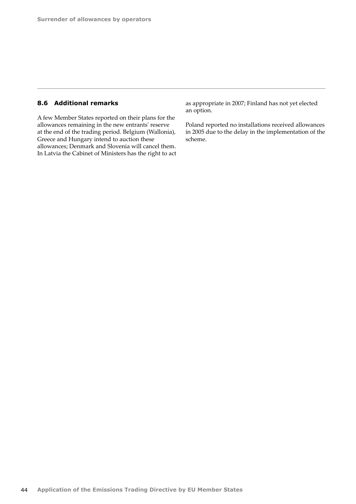## **8.6 Additional remarks**

A few Member States reported on their plans for the allowances remaining in the new entrants' reserve at the end of the trading period. Belgium (Wallonia), Greece and Hungary intend to auction these allowances; Denmark and Slovenia will cancel them. In Latvia the Cabinet of Ministers has the right to act as appropriate in 2007; Finland has not yet elected an option.

Poland reported no installations received allowances in 2005 due to the delay in the implementation of the scheme.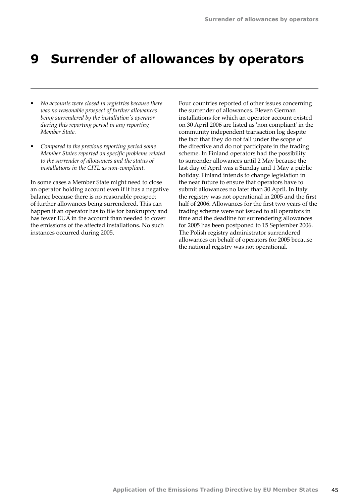## **9 Surrender of allowances by operators**

- *• No accounts were closed in registries because there was no reasonable prospect of further allowances being surrendered by the installation's operator during this reporting period in any reporting Member State.*
- *• Compared to the previous reporting period some Member States reported on specific problems related to the surrender of allowances and the status of installations in the CITL as non-compliant.*

In some cases a Member State might need to close an operator holding account even if it has a negative balance because there is no reasonable prospect of further allowances being surrendered. This can happen if an operator has to file for bankruptcy and has fewer EUA in the account than needed to cover the emissions of the affected installations. No such instances occurred during 2005.

Four countries reported of other issues concerning the surrender of allowances. Eleven German installations for which an operator account existed on 30 April 2006 are listed as 'non compliant' in the community independent transaction log despite the fact that they do not fall under the scope of the directive and do not participate in the trading scheme. In Finland operators had the possibility to surrender allowances until 2 May because the last day of April was a Sunday and 1 May a public holiday. Finland intends to change legislation in the near future to ensure that operators have to submit allowances no later than 30 April. In Italy the registry was not operational in 2005 and the first half of 2006. Allowances for the first two years of the trading scheme were not issued to all operators in time and the deadline for surrendering allowances for 2005 has been postponed to 15 September 2006. The Polish registry administrator surrendered allowances on behalf of operators for 2005 because the national registry was not operational.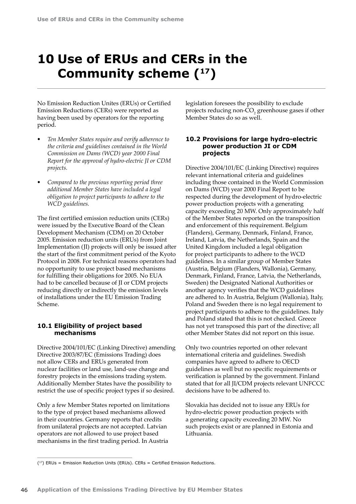# **10 Use of ERUs and CERs in the Community scheme (17)**

No Emission Reduction Unites (ERUs) or Certified Emission Reductions (CERs) were reported as having been used by operators for the reporting period.

- *• Ten Member States require and verify adherence to the criteria and guidelines contained in the World Commission on Dams (WCD) year 2000 Final Report for the approval of hydro-electric JI or CDM projects.*
- *• Compared to the previous reporting period three additional Member States have included a legal obligation to project participants to adhere to the WCD guidelines.*

The first certified emission reduction units (CERs) were issued by the Executive Board of the Clean Development Mechanism (CDM) on 20 October 2005. Emission reduction units (ERUs) from Joint Implementation (JI) projects will only be issued after the start of the first commitment period of the Kyoto Protocol in 2008. For technical reasons operators had no opportunity to use project based mechanisms for fulfilling their obligations for 2005. No EUA had to be cancelled because of JI or CDM projects reducing directly or indirectly the emission levels of installations under the EU Emission Trading Scheme.

#### **10.1 Eligibility of project based mechanisms**

Directive 2004/101/EC (Linking Directive) amending Directive 2003/87/EC (Emissions Trading) does not allow CERs and ERUs generated from nuclear facilities or land use, land-use change and forestry projects in the emissions trading system. Additionally Member States have the possibility to restrict the use of specific project types if so desired.

Only a few Member States reported on limitations to the type of project based mechanisms allowed in their countries. Germany reports that credits from unilateral projects are not accepted. Latvian operators are not allowed to use project based mechanisms in the first trading period. In Austria

legislation foresees the possibility to exclude projects reducing non- $\text{CO}_2$  greenhouse gases if other Member States do so as well.

#### **10.2 Provisions for large hydro-electric power production JI or CDM projects**

Directive 2004/101/EC (Linking Directive) requires relevant international criteria and guidelines including those contained in the World Commission on Dams (WCD) year 2000 Final Report to be respected during the development of hydro-electric power production projects with a generating capacity exceeding 20 MW. Only approximately half of the Member States reported on the transposition and enforcement of this requirement. Belgium (Flanders), Germany, Denmark, Finland, France, Ireland, Latvia, the Netherlands, Spain and the United Kingdom included a legal obligation for project participants to adhere to the WCD guidelines. In a similar group of Member States (Austria, Belgium (Flanders, Wallonia), Germany, Denmark, Finland, France, Latvia, the Netherlands, Sweden) the Designated National Authorities or another agency verifies that the WCD guidelines are adhered to. In Austria, Belgium (Wallonia), Italy, Poland and Sweden there is no legal requirement to project participants to adhere to the guidelines. Italy and Poland stated that this is not checked. Greece has not yet transposed this part of the directive; all other Member States did not report on this issue.

Only two countries reported on other relevant international criteria and guidelines. Swedish companies have agreed to adhere to OECD guidelines as well but no specific requirements or verification is planned by the government. Finland stated that for all JI/CDM projects relevant UNFCCC decisions have to be adhered to.

Slovakia has decided not to issue any ERUs for hydro-electric power production projects with a generating capacity exceeding 20 MW. No such projects exist or are planned in Estonia and Lithuania.

 $(17)$  ERUs = Emission Reduction Units (ERUs). CERs = Certified Emission Reductions.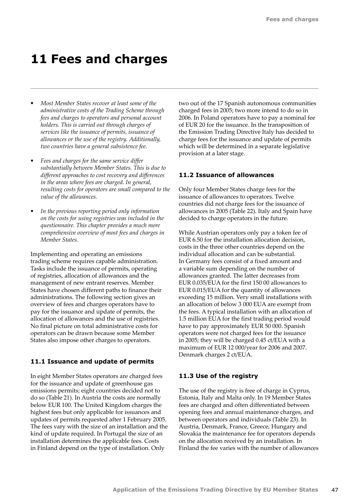## **11 Fees and charges**

- *• Most Member States recover at least some of the administrative costs of the Trading Scheme through fees and charges to operators and personal account holders. This is carried out through charges of services like the issuance of permits, issuance of allowances or the use of the registry. Additionally, two countries have a general subsistence fee.*
- *• Fees and charges for the same service differ substantially between Member States. This is due to different approaches to cost recovery and differences in the areas where fees are charged. In general, resulting costs for operators are small compared to the value of the allowances.*
- *• In the previous reporting period only information on the costs for using registries was included in the questionnaire. This chapter provides a much more comprehensive overview of most fees and charges in Member States.*

Implementing and operating an emissions trading scheme requires capable administration. Tasks include the issuance of permits, operating of registries, allocation of allowances and the management of new entrant reserves. Member States have chosen different paths to finance their administrations. The following section gives an overview of fees and charges operators have to pay for the issuance and update of permits, the allocation of allowances and the use of registries. No final picture on total administrative costs for operators can be drawn because some Member States also impose other charges to operators.

#### **11.1 Issuance and update of permits**

In eight Member States operators are charged fees for the issuance and update of greenhouse gas emissions permits; eight countries decided not to do so (Table 21). In Austria the costs are normally below EUR 100. The United Kingdom charges the highest fees but only applicable for issuances and updates of permits requested after 1 February 2005. The fees vary with the size of an installation and the kind of update required. In Portugal the size of an installation determines the applicable fees. Costs in Finland depend on the type of installation. Only

two out of the 17 Spanish autonomous communities charged fees in 2005; two more intend to do so in 2006. In Poland operators have to pay a nominal fee of EUR 20 for the issuance. In the transposition of the Emission Trading Directive Italy has decided to charge fees for the issuance and update of permits which will be determined in a separate legislative provision at a later stage.

#### **11.2 Issuance of allowances**

Only four Member States charge fees for the issuance of allowances to operators. Twelve countries did not charge fees for the issuance of allowances in 2005 (Table 22). Italy and Spain have decided to charge operators in the future.

While Austrian operators only pay a token fee of EUR 6.50 for the installation allocation decision, costs in the three other countries depend on the individual allocation and can be substantial. In Germany fees consist of a fixed amount and a variable sum depending on the number of allowances granted. The latter decreases from EUR 0.035/EUA for the first 150 00 allowances to EUR 0.015/EUA for the quantity of allowances exceeding 15 million. Very small installations with an allocation of below 3 000 EUA are exempt from the fees. A typical installation with an allocation of 1.5 million EUA for the first trading period would have to pay approximately EUR 50 000. Spanish operators were not charged fees for the issuance in 2005; they will be charged 0.45 ct/EUA with a maximum of EUR 12 000/year for 2006 and 2007. Denmark charges 2 ct/EUA.

#### **11.3 Use of the registry**

The use of the registry is free of charge in Cyprus, Estonia, Italy and Malta only. In 19 Member States fees are charged and often differentiated between opening fees and annual maintenance charges, and between operators and individuals (Table 23). In Austria, Denmark, France, Greece, Hungary and Slovakia the maintenance fee for operators depends on the allocation received by an installation. In Finland the fee varies with the number of allowances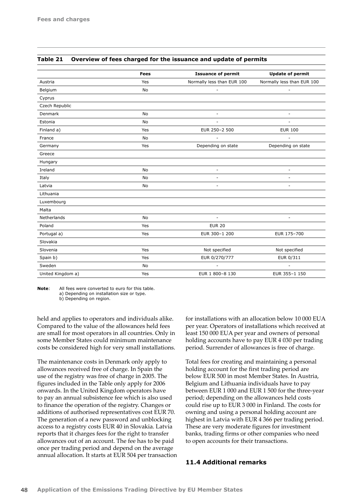|                   | <b>Fees</b> | <b>Issuance of permit</b>  | <b>Update of permit</b>    |
|-------------------|-------------|----------------------------|----------------------------|
| Austria           | Yes         | Normally less than EUR 100 | Normally less than EUR 100 |
| Belgium           | No          | L,                         | ä,                         |
| Cyprus            |             |                            |                            |
| Czech Republic    |             |                            |                            |
| Denmark           | <b>No</b>   | $\overline{\phantom{a}}$   | $\sim$                     |
| Estonia           | <b>No</b>   | $\overline{\phantom{a}}$   |                            |
| Finland a)        | Yes         | EUR 250-2 500              | <b>EUR 100</b>             |
| France            | <b>No</b>   | $\overline{\phantom{a}}$   | ÷.                         |
| Germany           | Yes         | Depending on state         | Depending on state         |
| Greece            |             |                            |                            |
| Hungary           |             |                            |                            |
| Ireland           | <b>No</b>   | $\overline{\phantom{a}}$   | $\sim$                     |
| Italy             | <b>No</b>   | ÷,                         | $\sim$                     |
| Latvia            | No          | ÷,                         | $\overline{\phantom{a}}$   |
| Lithuania         |             |                            |                            |
| Luxembourg        |             |                            |                            |
| Malta             |             |                            |                            |
| Netherlands       | <b>No</b>   | L,                         | $\overline{\phantom{a}}$   |
| Poland            | Yes         | <b>EUR 20</b>              |                            |
| Portugal a)       | Yes         | EUR 300-1 200              | EUR 175-700                |
| Slovakia          |             |                            |                            |
| Slovenia          | Yes         | Not specified              | Not specified              |
| Spain b)          | Yes         | EUR 0/270/777              | EUR 0/311                  |
| Sweden            | <b>No</b>   | ÷,                         | L,                         |
| United Kingdom a) | Yes         | EUR 1 800-8 130            | EUR 355-1 150              |

#### **Table 21 Overview of fees charged for the issuance and update of permits**

**Note**: All fees were converted to euro for this table. a) Depending on installation size or type. b) Depending on region.

held and applies to operators and individuals alike. Compared to the value of the allowances held fees are small for most operators in all countries. Only in some Member States could minimum maintenance costs be considered high for very small installations.

The maintenance costs in Denmark only apply to allowances received free of charge. In Spain the use of the registry was free of charge in 2005. The figures included in the Table only apply for 2006 onwards. In the United Kingdom operators have to pay an annual subsistence fee which is also used to finance the operation of the registry. Changes or additions of authorised representatives cost EUR 70. The generation of a new password and unblocking access to a registry costs EUR 40 in Slovakia. Latvia reports that it charges fees for the right to transfer allowances out of an account. The fee has to be paid once per trading period and depend on the average annual allocation. It starts at EUR 504 per transaction for installations with an allocation below 10 000 EUA per year. Operators of installations which received at least 150 000 EUA per year and owners of personal holding accounts have to pay EUR 4 030 per trading period. Surrender of allowances is free of charge.

Total fees for creating and maintaining a personal holding account for the first trading period are below EUR 500 in most Member States. In Austria, Belgium and Lithuania individuals have to pay between EUR 1 000 and EUR 1 500 for the three-year period; depending on the allowances held costs could rise up to EUR 3 000 in Finland. The costs for owning and using a personal holding account are highest in Latvia with EUR 4 366 per trading period. These are very moderate figures for investment banks, trading firms or other companies who need to open accounts for their transactions.

#### **11.4 Additional remarks**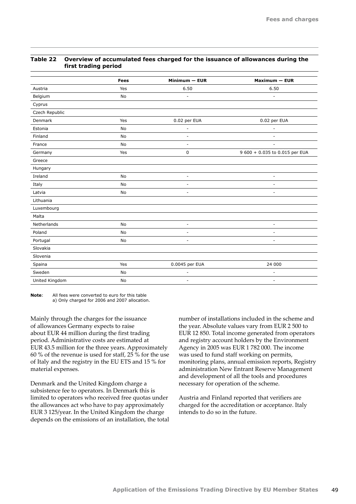|                | <b>Fees</b> | Minimum - EUR            | Maximum - EUR                  |
|----------------|-------------|--------------------------|--------------------------------|
| Austria        | Yes         | 6.50                     | 6.50                           |
| Belgium        | No          | ٠                        | ٠                              |
| Cyprus         |             |                          |                                |
| Czech Republic |             |                          |                                |
| Denmark        | Yes         | 0.02 per EUA             | 0.02 per EUA                   |
| Estonia        | No          | $\overline{a}$           | $\overline{a}$                 |
| Finland        | No          | ٠                        | ٠                              |
| France         | No          | $\overline{\phantom{a}}$ | $\overline{\phantom{a}}$       |
| Germany        | Yes         | $\mathbf 0$              | 9 600 + 0.035 to 0.015 per EUA |
| Greece         |             |                          |                                |
| Hungary        |             |                          |                                |
| Ireland        | No          | ٠                        | ٠                              |
| Italy          | No          | $\qquad \qquad -$        | $\overline{a}$                 |
| Latvia         | No          | ٠                        | ٠                              |
| Lithuania      |             |                          |                                |
| Luxembourg     |             |                          |                                |
| Malta          |             |                          |                                |
| Netherlands    | No          | $\overline{\phantom{a}}$ | $\overline{\phantom{a}}$       |
| Poland         | No          | $\overline{\phantom{a}}$ | ٠                              |
| Portugal       | No          | ٠                        | ٠                              |
| Slovakia       |             |                          |                                |
| Slovenia       |             |                          |                                |
| Spaina         | Yes         | 0.0045 per EUA           | 24 000                         |
| Sweden         | No          | ٠                        | ٠                              |
| United Kingdom | No          | ٠                        | ۰                              |
|                |             |                          |                                |

#### **Table 22 Overview of accumulated fees charged for the issuance of allowances during the first trading period**

**Note**: All fees were converted to euro for this table a) Only charged for 2006 and 2007 allocation.

Mainly through the charges for the issuance of allowances Germany expects to raise about EUR 44 million during the first trading period. Administrative costs are estimated at EUR 43.5 million for the three years. Approximately 60 % of the revenue is used for staff, 25 % for the use of Italy and the registry in the EU ETS and 15 % for material expenses.

Denmark and the United Kingdom charge a subsistence fee to operators. In Denmark this is limited to operators who received free quotas under the allowances act who have to pay approximately EUR 3 125/year. In the United Kingdom the charge depends on the emissions of an installation, the total number of installations included in the scheme and the year. Absolute values vary from EUR 2 500 to EUR 12 850. Total income generated from operators and registry account holders by the Environment Agency in 2005 was EUR 1 782 000. The income was used to fund staff working on permits, monitoring plans, annual emission reports, Registry administration New Entrant Reserve Management and development of all the tools and procedures necessary for operation of the scheme.

Austria and Finland reported that verifiers are charged for the accreditation or acceptance. Italy intends to do so in the future.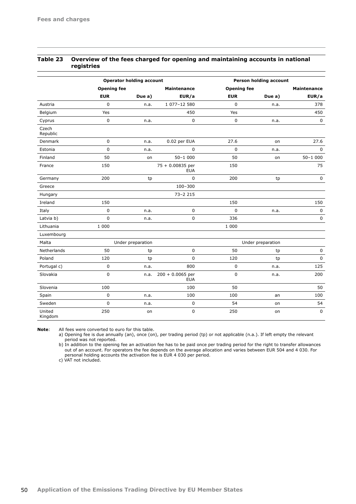|                   |                    | <b>Operator holding account</b> |                                |             | Person holding account |                    |
|-------------------|--------------------|---------------------------------|--------------------------------|-------------|------------------------|--------------------|
|                   | <b>Opening fee</b> |                                 | <b>Maintenance</b>             |             | <b>Opening fee</b>     | <b>Maintenance</b> |
|                   | <b>EUR</b>         | Due a)                          | EUR/a                          | <b>EUR</b>  | Due a)                 | EUR/a              |
| Austria           | 0                  | n.a.                            | 1 077-12 580                   | 0           | n.a.                   | 378                |
| Belgium           | Yes                |                                 | 450                            | Yes         |                        | 450                |
| Cyprus            | 0                  | n.a.                            | 0                              | $\mathbf 0$ | n.a.                   | 0                  |
| Czech<br>Republic |                    |                                 |                                |             |                        |                    |
| Denmark           | 0                  | n.a.                            | 0.02 per EUA                   | 27.6        | on                     | 27.6               |
| Estonia           | 0                  | n.a.                            | $\mathbf 0$                    | $\mathbf 0$ | n.a.                   | $\mathbf 0$        |
| Finland           | 50                 | on                              | $50 - 1000$                    | 50          | on                     | $50 - 1000$        |
| France            | 150                |                                 | 75 + 0.00835 per<br><b>EUA</b> | 150         |                        | 75                 |
| Germany           | 200                | tp                              | 200<br>$\mathbf 0$             |             | tp                     | $\mathbf 0$        |
| Greece            |                    |                                 | $100 - 300$                    |             |                        |                    |
| Hungary           |                    |                                 | $73 - 2215$                    |             |                        |                    |
| Ireland           | 150                |                                 |                                | 150         |                        | 150                |
| Italy             | 0                  | n.a.                            | $\pmb{0}$                      | $\mathbf 0$ | n.a.                   |                    |
| Latvia b)         | 0                  | n.a.                            | 0                              | 336         |                        | $\mathbf 0$        |
| Lithuania         | 1 0 0 0            |                                 |                                | 1 0 0 0     |                        |                    |
| Luxembourg        |                    |                                 |                                |             |                        |                    |
| Malta             |                    | Under preparation               |                                |             | Under preparation      |                    |
| Netherlands       | 50                 | tp                              | 0                              | 50          | tp                     | $\mathsf 0$        |
| Poland            | 120                | tp                              | $\mathbf 0$                    | 120         | tp                     | $\mathsf 0$        |
| Portugal c)       | 0                  | n.a.                            | 800                            | 0           | n.a.                   | 125                |
| Slovakia          | 0                  | n.a.                            | 200 + 0.0065 per<br><b>EUA</b> | $\pmb{0}$   | n.a.                   | 200                |
| Slovenia          | 100                |                                 | 100                            | 50          |                        | 50                 |
| Spain             | 0                  | n.a.                            | 100                            | 100         | an                     | 100                |
| Sweden            | 0                  | n.a.                            | $\mathbf 0$                    | 54          | on                     | 54                 |
| United<br>Kingdom | 250                | on                              | $\mathbf 0$                    | 250         | on                     | $\mathbf 0$        |

#### **Table 23 Overview of the fees charged for opening and maintaining accounts in national registries**

**Note**: All fees were converted to euro for this table.

a) Opening fee is due annually (an), once (on), per trading period (tp) or not applicable (n.a.). If left empty the relevant period was not reported.

b) In addition to the opening fee an activation fee has to be paid once per trading period for the right to transfer allowances out of an account. For operators the fee depends on the average allocation and varies between EUR 504 and 4 030. For personal holding accounts the activation fee is EUR 4 030 per period.

c) VAT not included.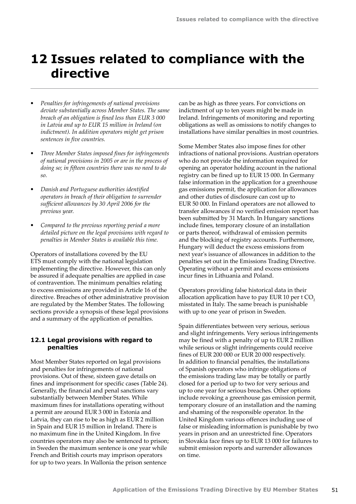## **12 Issues related to compliance with the directive**

- *• Penalties for infringements of national provisions deviate substantially across Member States. The same breach of an obligation is fined less than EUR 3 000 in Latvia and up to EUR 15 million in Ireland (on indictment). In addition operators might get prison sentences in five countries.*
- *• Three Member States imposed fines for infringements of national provisions in 2005 or are in the process of doing so; in fifteen countries there was no need to do so.*
- *• Danish and Portuguese authorities identified operators in breach of their obligation to surrender sufficient allowances by 30 April 2006 for the previous year.*
- *• Compared to the previous reporting period a more detailed picture on the legal provisions with regard to penalties in Member States is available this time.*

Operators of installations covered by the EU ETS must comply with the national legislation implementing the directive. However, this can only be assured if adequate penalties are applied in case of contravention. The minimum penalties relating to excess emissions are provided in Article 16 of the directive. Breaches of other administrative provision are regulated by the Member States. The following sections provide a synopsis of these legal provisions and a summary of the application of penalties.

#### **12.1 Legal provisions with regard to penalties**

Most Member States reported on legal provisions and penalties for infringements of national provisions. Out of these, sixteen gave details on fines and imprisonment for specific cases (Table 24). Generally, the financial and penal sanctions vary substantially between Member States. While maximum fines for installations operating without a permit are around EUR 3 000 in Estonia and Latvia, they can rise to be as high as EUR 2 million in Spain and EUR 15 million in Ireland. There is no maximum fine in the United Kingdom. In five countries operators may also be sentenced to prison; in Sweden the maximum sentence is one year while French and British courts may imprison operators for up to two years. In Wallonia the prison sentence

can be as high as three years. For convictions on indictment of up to ten years might be made in Ireland. Infringements of monitoring and reporting obligations as well as omissions to notify changes to installations have similar penalties in most countries.

Some Member States also impose fines for other infractions of national provisions. Austrian operators who do not provide the information required for opening an operator holding account in the national registry can be fined up to EUR 15 000. In Germany false information in the application for a greenhouse gas emissions permit, the application for allowances and other duties of disclosure can cost up to EUR 50 000. In Finland operators are not allowed to transfer allowances if no verified emission report has been submitted by 31 March. In Hungary sanctions include fines, temporary closure of an installation or parts thereof, withdrawal of emission permits and the blocking of registry accounts. Furthermore, Hungary will deduct the excess emissions from next year's issuance of allowances in addition to the penalties set out in the Emissions Trading Directive. Operating without a permit and excess emissions incur fines in Lithuania and Poland.

Operators providing false historical data in their allocation application have to pay EUR 10 per t  $CO<sub>2</sub>$ misstated in Italy. The same breach is punishable with up to one year of prison in Sweden.

Spain differentiates between very serious, serious and slight infringements. Very serious infringements may be fined with a penalty of up to EUR 2 million while serious or slight infringements could receive fines of EUR 200 000 or EUR 20 000 respectively. In addition to financial penalties, the installations of Spanish operators who infringe obligations of the emissions trading law may be totally or partly closed for a period up to two for very serious and up to one year for serious breaches. Other options include revoking a greenhouse gas emission permit, temporary closure of an installation and the naming and shaming of the responsible operator. In the United Kingdom various offences including use of false or misleading information is punishable by two years in prison and an unrestricted fine. Operators in Slovakia face fines up to EUR 13 000 for failures to submit emission reports and surrender allowances on time.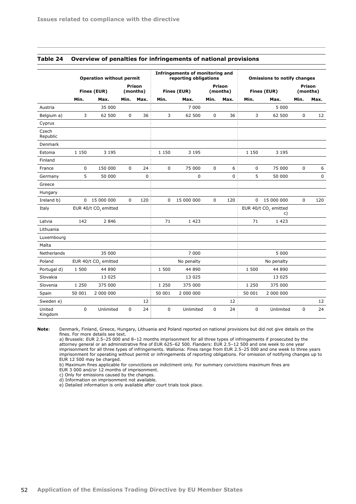|                   |                                   | <b>Operation without permit</b>  |                                   |      |             | Infringements of monitoring and<br>reporting obligations |             |             |             | <b>Omissions to notify changes</b>     |             |      |
|-------------------|-----------------------------------|----------------------------------|-----------------------------------|------|-------------|----------------------------------------------------------|-------------|-------------|-------------|----------------------------------------|-------------|------|
|                   | Prison<br>Fines (EUR)<br>(months) |                                  | Prison<br>Fines (EUR)<br>(months) |      |             |                                                          |             | Fines (EUR) |             | Prison<br>(months)                     |             |      |
|                   | Min.                              | Max.                             | Min.                              | Max. | Min.        | Max.                                                     | Min.        | Max.        | Min.        | Max.                                   | Min.        | Max. |
| Austria           |                                   | 35 000                           |                                   |      |             | 7 000                                                    |             |             |             | 5 0 0 0                                |             |      |
| Belgium a)        | 3                                 | 62 500                           | 0                                 | 36   | 3           | 62 500                                                   | 0           | 36          | 3           | 62 500                                 | 0           | 12   |
| Cyprus            |                                   |                                  |                                   |      |             |                                                          |             |             |             |                                        |             |      |
| Czech<br>Republic |                                   |                                  |                                   |      |             |                                                          |             |             |             |                                        |             |      |
| Denmark           |                                   |                                  |                                   |      |             |                                                          |             |             |             |                                        |             |      |
| Estonia           | 1 1 5 0                           | 3 1 9 5                          |                                   |      | 1 1 5 0     | 3 1 9 5                                                  |             |             | 1 1 5 0     | 3 1 9 5                                |             |      |
| Finland           |                                   |                                  |                                   |      |             |                                                          |             |             |             |                                        |             |      |
| France            | $\mathbf 0$                       | 150 000                          | 0                                 | 24   | $\mathbf 0$ | 75 000                                                   | $\mathbf 0$ | 6           | $\mathbf 0$ | 75 000                                 | $\mathbf 0$ | 6    |
| Germany           | 5                                 | 50 000                           |                                   | 0    |             | 0                                                        |             | 0           | 5           | 50 000                                 |             | 0    |
| Greece            |                                   |                                  |                                   |      |             |                                                          |             |             |             |                                        |             |      |
| Hungary           |                                   |                                  |                                   |      |             |                                                          |             |             |             |                                        |             |      |
| Ireland b)        | $\Omega$                          | 15 000 000                       | $\Omega$                          | 120  | 0           | 15 000 000                                               | 0           | 120         | $\Omega$    | 15 000 000                             | $\mathbf 0$ | 120  |
| Italy             |                                   | EUR 40/t CO <sub>2</sub> emitted |                                   |      |             |                                                          |             |             |             | EUR 40/t CO <sub>2</sub> emitted<br>C) |             |      |
| Latvia            | 142                               | 2 8 4 6                          |                                   |      | 71          | 1 4 2 3                                                  |             |             | 71          | 1 4 2 3                                |             |      |
| Lithuania         |                                   |                                  |                                   |      |             |                                                          |             |             |             |                                        |             |      |
| Luxembourg        |                                   |                                  |                                   |      |             |                                                          |             |             |             |                                        |             |      |
| Malta             |                                   |                                  |                                   |      |             |                                                          |             |             |             |                                        |             |      |
| Netherlands       |                                   | 35 000                           |                                   |      |             | 7 000                                                    |             |             |             | 5 0 0 0                                |             |      |
| Poland            |                                   | EUR 40/t CO <sub>2</sub> emitted |                                   |      |             | No penalty                                               |             |             |             | No penalty                             |             |      |
| Portugal d)       | 1 500                             | 44 890                           |                                   |      | 1 500       | 44 890                                                   |             |             | 1 500       | 44 890                                 |             |      |
| Slovakia          |                                   | 13 0 25                          |                                   |      |             | 13 0 25                                                  |             |             |             | 13 0 25                                |             |      |
| Slovenia          | 1 2 5 0                           | 375 000                          |                                   |      | 1 2 5 0     | 375 000                                                  |             |             | 1 2 5 0     | 375 000                                |             |      |
| Spain             | 50 001                            | 2 000 000                        |                                   |      | 50 001      | 2 000 000                                                |             |             | 50 001      | 2 000 000                              |             |      |
| Sweden e)         |                                   |                                  |                                   | 12   |             |                                                          |             | 12          |             |                                        |             | 12   |
| United<br>Kingdom | $\mathbf 0$                       | Unlimited                        | $\mathbf 0$                       | 24   | 0           | Unlimited                                                | $\mathbf 0$ | 24          | $\mathbf 0$ | Unlimited                              | $\Omega$    | 24   |

#### **Table 24 Overview of penalties for infringements of national provisions**

**Note**: Denmark, Finland, Greece, Hungary, Lithuania and Poland reported on national provisions but did not give details on the fines. For more details see text.

a) Brussels: EUR 2.5–25 000 and 8–12 months imprisonment for all three types of infringements if prosecuted by the attorney general or an administrative fine of EUR 625–62 500. Flanders: EUR 2.5–12 500 and one week to one year imprisonment for all three types of infringements. Wallonia: Fines range from EUR 2.5–25 000 and one week to three years imprisonment for operating without permit or infringements of reporting obligations. For omission of notifying changes up to EUR 12 500 may be charged.

b) Maximum fines applicable for convictions on indictment only. For summary convictions maximum fines are EUR 3 000 and/or 12 months of imprisonment.

c) Only for emissions caused by the changes.

d) Information on imprisonment not available.

e) Detailed information is only available after court trials took place.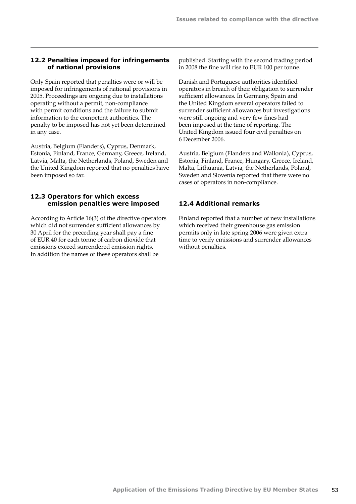## **12.2 Penalties imposed for infringements of national provisions**

Only Spain reported that penalties were or will be imposed for infringements of national provisions in 2005. Proceedings are ongoing due to installations operating without a permit, non-compliance with permit conditions and the failure to submit information to the competent authorities. The penalty to be imposed has not yet been determined in any case.

Austria, Belgium (Flanders), Cyprus, Denmark, Estonia, Finland, France, Germany, Greece, Ireland, Latvia, Malta, the Netherlands, Poland, Sweden and the United Kingdom reported that no penalties have been imposed so far.

## **12.3 Operators for which excess emission penalties were imposed**

According to Article 16(3) of the directive operators which did not surrender sufficient allowances by 30 April for the preceding year shall pay a fine of EUR 40 for each tonne of carbon dioxide that emissions exceed surrendered emission rights. In addition the names of these operators shall be

published. Starting with the second trading period in 2008 the fine will rise to EUR 100 per tonne.

Danish and Portuguese authorities identified operators in breach of their obligation to surrender sufficient allowances. In Germany, Spain and the United Kingdom several operators failed to surrender sufficient allowances but investigations were still ongoing and very few fines had been imposed at the time of reporting. The United Kingdom issued four civil penalties on 6 December 2006.

Austria, Belgium (Flanders and Wallonia), Cyprus, Estonia, Finland, France, Hungary, Greece, Ireland, Malta, Lithuania, Latvia, the Netherlands, Poland, Sweden and Slovenia reported that there were no cases of operators in non-compliance.

## **12.4 Additional remarks**

Finland reported that a number of new installations which received their greenhouse gas emission permits only in late spring 2006 were given extra time to verify emissions and surrender allowances without penalties.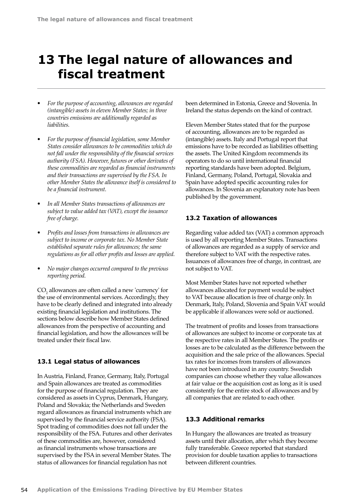## **13 The legal nature of allowances and fiscal treatment**

- *• For the purpose of accounting, allowances are regarded (intangible) assets in eleven Member States; in three countries emissions are additionally regarded as liabilities.*
- *• For the purpose of financial legislation, some Member States consider allowances to be commodities which do not fall under the responsibility of the financial services authority (FSA). However, futures or other derivates of these commodities are regarded as financial instruments and their transactions are supervised by the FSA. In other Member States the allowance itself is considered to be a financial instrument.*
- *• In all Member States transactions of allowances are subject to value added tax (VAT), except the issuance free of charge.*
- *• Profits and losses from transactions in allowances are subject to income or corporate tax. No Member State established separate rules for allowances; the same regulations as for all other profits and losses are applied.*
- *• No major changes occurred compared to the previous reporting period.*

 $\mathrm{CO}_2$  allowances are often called a new 'currency' for the use of environmental services. Accordingly, they have to be clearly defined and integrated into already existing financial legislation and institutions. The sections below describe how Member States defined allowances from the perspective of accounting and financial legislation, and how the allowances will be treated under their fiscal law.

## **13.1 Legal status of allowances**

In Austria, Finland, France, Germany, Italy, Portugal and Spain allowances are treated as commodities for the purpose of financial regulation. They are considered as assets in Cyprus, Denmark, Hungary, Poland and Slovakia; the Netherlands and Sweden regard allowances as financial instruments which are supervised by the financial service authority (FSA). Spot trading of commodities does not fall under the responsibility of the FSA. Futures and other derivates of these commodities are, however, considered as financial instruments whose transactions are supervised by the FSA in several Member States. The status of allowances for financial regulation has not

been determined in Estonia, Greece and Slovenia. In Ireland the status depends on the kind of contract.

Eleven Member States stated that for the purpose of accounting, allowances are to be regarded as (intangible) assets. Italy and Portugal report that emissions have to be recorded as liabilities offsetting the assets. The United Kingdom recommends its operators to do so until international financial reporting standards have been adopted. Belgium, Finland, Germany, Poland, Portugal, Slovakia and Spain have adopted specific accounting rules for allowances. In Slovenia an explanatory note has been published by the government.

#### **13.2 Taxation of allowances**

Regarding value added tax (VAT) a common approach is used by all reporting Member States. Transactions of allowances are regarded as a supply of service and therefore subject to VAT with the respective rates. Issuances of allowances free of charge, in contrast, are not subject to VAT.

Most Member States have not reported whether allowances allocated for payment would be subject to VAT because allocation is free of charge only. In Denmark, Italy, Poland, Slovenia and Spain VAT would be applicable if allowances were sold or auctioned.

The treatment of profits and losses from transactions of allowances are subject to income or corporate tax at the respective rates in all Member States. The profits or losses are to be calculated as the difference between the acquisition and the sale price of the allowances. Special tax rates for incomes from transfers of allowances have not been introduced in any country. Swedish companies can choose whether they value allowances at fair value or the acquisition cost as long as it is used consistently for the entire stock of allowances and by all companies that are related to each other.

#### **13.3 Additional remarks**

In Hungary the allowances are treated as treasury assets until their allocation, after which they become fully transferable. Greece reported that standard provision for double taxation applies to transactions between different countries.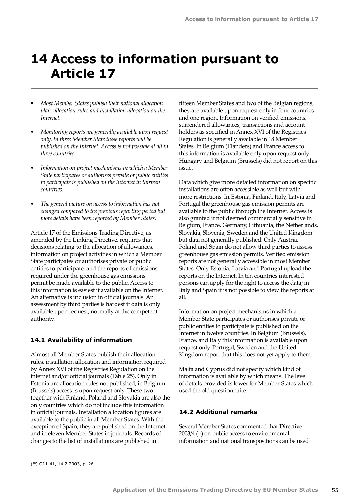# **14 Access to information pursuant to Article 17**

- *• Most Member States publish their national allocation plan, allocation rules and installation allocation on the Internet.*
- *• Monitoring reports are generally available upon request only. In three Member State these reports will be published on the Internet. Access is not possible at all in three countries.*
- *• Information on project mechanisms in which a Member State participates or authorises private or public entities to participate is published on the Internet in thirteen countries.*
- *• The general picture on access to information has not changed compared to the previous reporting period but more details have been reported by Member States.*

Article 17 of the Emissions Trading Directive, as amended by the Linking Directive, requires that decisions relating to the allocation of allowances, information on project activities in which a Member State participates or authorises private or public entities to participate, and the reports of emissions required under the greenhouse gas emissions permit be made available to the public. Access to this information is easiest if available on the Internet. An alternative is inclusion in official journals. An assessment by third parties is hardest if data is only available upon request, normally at the competent authority.

## **14.1 Availability of information**

Almost all Member States publish their allocation rules, installation allocation and information required by Annex XVI of the Registries Regulation on the internet and/or official journals (Table 25). Only in Estonia are allocation rules not published; in Belgium (Brussels) access is upon request only. These two together with Finland, Poland and Slovakia are also the only countries which do not include this information in official journals. Installation allocation figures are available to the public in all Member States. With the exception of Spain, they are published on the Internet and in eleven Member States in journals. Records of changes to the list of installations are published in

fifteen Member States and two of the Belgian regions; they are available upon request only in four countries and one region. Information on verified emissions, surrendered allowances, transactions and account holders as specified in Annex XVI of the Registries Regulation is generally available in 18 Member States. In Belgium (Flanders) and France access to this information is available only upon request only. Hungary and Belgium (Brussels) did not report on this issue.

Data which give more detailed information on specific installations are often accessible as well but with more restrictions. In Estonia, Finland, Italy, Latvia and Portugal the greenhouse gas emission permits are available to the public through the Internet. Access is also granted if not deemed commercially sensitive in Belgium, France, Germany, Lithuania, the Netherlands, Slovakia, Slovenia, Sweden and the United Kingdom but data not generally published. Only Austria, Poland and Spain do not allow third parties to assess greenhouse gas emission permits. Verified emission reports are not generally accessible in most Member States. Only Estonia, Latvia and Portugal upload the reports on the Internet. In ten countries interested persons can apply for the right to access the data; in Italy and Spain it is not possible to view the reports at all.

Information on project mechanisms in which a Member State participates or authorises private or public entities to participate is published on the Internet in twelve countries. In Belgium (Brussels), France, and Italy this information is available upon request only. Portugal, Sweden and the United Kingdom report that this does not yet apply to them.

Malta and Cyprus did not specify which kind of information is available by which means. The level of details provided is lower for Member States which used the old questionnaire.

## **14.2 Additional remarks**

Several Member States commented that Directive 2003/4 (18) on public access to environmental information and national transpositions can be used

<sup>(18)</sup> OJ L 41, 14.2.2003, p. 26.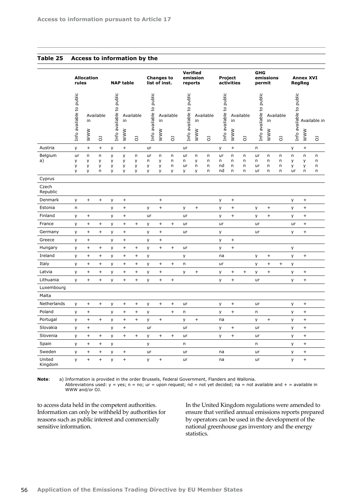| Table 25 |  |  | Access to information by the |  |  |
|----------|--|--|------------------------------|--|--|
|----------|--|--|------------------------------|--|--|

|                   | <b>Allocation</b><br>rules |                   | <b>NAP table</b>                 |                          |                                  |                  | Verified<br>emission<br><b>Changes to</b><br>list of inst.<br>reports |                                  |                                  |                                          |                   | Project<br>activities  |                             |                                   | <b>GHG</b><br>emissions<br>permit |                               |                                  | <b>Annex XVI</b><br><b>RegReg</b> |                             |                                  |                  |
|-------------------|----------------------------|-------------------|----------------------------------|--------------------------|----------------------------------|------------------|-----------------------------------------------------------------------|----------------------------------|----------------------------------|------------------------------------------|-------------------|------------------------|-----------------------------|-----------------------------------|-----------------------------------|-------------------------------|----------------------------------|-----------------------------------|-----------------------------|----------------------------------|------------------|
|                   | Info available to public   | in                | Available                        | Info available to public | in                               | Available        | public<br>g<br>Info available                                         | in                               | Available                        | public<br>$\mathbf{S}$<br>Info available | in                | Available              | public<br>Info available to | in                                | Available                         | public<br>g<br>Info available | in                               | Available                         | to public<br>Info available |                                  | Available in     |
|                   |                            | <b>WWW</b>        | G                                |                          | <b>WWW</b>                       | 5                |                                                                       | <b>WWW</b>                       | 5                                |                                          | <b>WWW</b>        | $\overline{c}$         |                             | <b>WWW</b>                        | 5                                 |                               | <b>WWW</b>                       | 5                                 |                             | <b>WWW</b>                       | 5                |
| Austria           | y                          | $\ddot{}$         | $\begin{array}{c} + \end{array}$ | у                        | $\qquad \qquad +$                |                  | ur                                                                    |                                  |                                  | ur                                       |                   |                        | у                           | $\qquad \qquad +$                 |                                   | n                             |                                  |                                   | у                           | $\begin{array}{c} + \end{array}$ |                  |
| Belgium<br>a)     | ur<br>у<br>y<br>У          | n<br>y<br>y<br>у  | n<br>y<br>у<br>n                 | y<br>у<br>y<br>У         | y<br>у<br>y<br>y                 | n<br>y<br>у<br>у | ur<br>n<br>у<br>у                                                     | n<br>У<br>y<br>у                 | n<br>n<br>n<br>у                 | ur<br>n<br>ur<br>у                       | n<br>y<br>n<br>у  | $\sf n$<br>n<br>n<br>n | ur<br>n<br>nd<br>nd         | $\sf n$<br>n<br>n<br>$\mathsf{n}$ | n<br>n<br>n<br>n                  | ur<br>n<br>ur<br>ur           | n<br>n<br>n<br>n                 | n<br>n<br>n<br>n                  | n<br>у<br>У<br>ur           | n<br>У<br>y<br>n                 | n<br>n<br>n<br>n |
| Cyprus            |                            |                   |                                  |                          |                                  |                  |                                                                       |                                  |                                  |                                          |                   |                        |                             |                                   |                                   |                               |                                  |                                   |                             |                                  |                  |
| Czech<br>Republic |                            |                   |                                  |                          |                                  |                  |                                                                       |                                  |                                  |                                          |                   |                        |                             |                                   |                                   |                               |                                  |                                   |                             |                                  |                  |
| Denmark           | y                          | $\ddot{}$         | $\begin{array}{c} + \end{array}$ | y                        | $\! + \!\!\!\!$                  |                  |                                                                       | $\qquad \qquad +$                |                                  |                                          |                   |                        | y                           | $\! + \!\!\!\!$                   |                                   |                               |                                  |                                   | у                           | $^{+}$                           |                  |
| Estonia           | n                          |                   |                                  | y                        | $^{+}$                           |                  | y                                                                     | $\qquad \qquad +$                |                                  | y                                        | $\qquad \qquad +$ |                        | y                           | $\begin{array}{c} + \end{array}$  |                                   | y                             | $\begin{array}{c} + \end{array}$ |                                   | y                           | $\, +$                           |                  |
| Finland           | y                          | $\ddot{}$         |                                  | y                        | $\begin{array}{c} + \end{array}$ |                  | ur                                                                    |                                  |                                  | ur                                       |                   |                        | y                           | $^{+}$                            |                                   | y                             | $^{+}$                           |                                   | У                           | $^{+}$                           |                  |
| France            | y                          | $^{+}$            | $^{+}$                           | y                        | $^{+}$                           | $^{+}$           | У                                                                     | $^{+}$                           | $\begin{array}{c} + \end{array}$ | ur                                       |                   |                        | ur                          |                                   |                                   | ur                            |                                  |                                   | ur                          | $\ddot{}$                        |                  |
| Germany           | y                          | $^{+}$            | $^{+}$                           | y                        | $^{+}$                           |                  | y                                                                     | $^{+}$                           |                                  | ur                                       |                   |                        | y                           |                                   |                                   | ur                            |                                  |                                   | у                           | $^{+}$                           |                  |
| Greece            | У                          | $^{+}$            |                                  | y                        | $^{+}$                           |                  | У                                                                     | $\ddot{}$                        |                                  |                                          |                   |                        | y                           | $^{+}$                            |                                   |                               |                                  |                                   |                             |                                  |                  |
| Hungary           | y                          | $^{+}$            | $^{+}$                           | У                        | $^{+}$                           | $^{+}$           | у                                                                     | $^{+}$                           | $\ddot{}$                        | ur                                       |                   |                        | y                           | $^{+}$                            |                                   |                               |                                  |                                   | у                           |                                  |                  |
| Ireland           | у                          | $\ddot{}$         | $^{+}$                           | у                        | $\ddot{}$                        | $\ddot{}$        | у                                                                     |                                  |                                  | у                                        |                   |                        | na                          |                                   |                                   | у                             | $\ddot{}$                        |                                   | у                           | $\ddot{}$                        |                  |
| Italy             | у                          | $\ddot{}$         | $^{+}$                           | у                        | $\ddot{}$                        | $\ddot{}$        | у                                                                     | $\ddot{}$                        | $\ddot{}$                        | n                                        |                   |                        | ur                          |                                   |                                   | у                             | $^{+}$                           | $^{+}$                            | у                           |                                  |                  |
| Latvia            | y                          | $+$               | $^{+}$                           | у                        | $\ddot{}$                        | $\ddot{}$        | у                                                                     | $\ddot{}$                        |                                  | у                                        | $\! + \!$         |                        | у                           | $\begin{array}{c} + \end{array}$  | $\begin{array}{c} + \end{array}$  | у                             | $\ddot{}$                        |                                   | у                           | $\, +$                           |                  |
| Lithuania         | y                          | $+$               | $^{+}$                           | y                        | $^{+}$                           | $\ddot{}$        | У                                                                     | $^{+}$                           | $\ddot{}$                        |                                          |                   |                        | y                           | $\ddot{}$                         |                                   | ur                            |                                  |                                   | y                           | $\ddot{}$                        |                  |
| Luxembourg        |                            |                   |                                  |                          |                                  |                  |                                                                       |                                  |                                  |                                          |                   |                        |                             |                                   |                                   |                               |                                  |                                   |                             |                                  |                  |
| Malta             |                            |                   |                                  |                          |                                  |                  |                                                                       |                                  |                                  |                                          |                   |                        |                             |                                   |                                   |                               |                                  |                                   |                             |                                  |                  |
| Netherlands       | y                          | $\qquad \qquad +$ | $^{+}$                           | y                        | $\ddot{}$                        | $^{+}$           | y                                                                     | $\begin{array}{c} + \end{array}$ | $^{+}$                           | ur                                       |                   |                        | y                           | $\begin{array}{c} + \end{array}$  |                                   | ur                            |                                  |                                   | у                           | $\, +$                           |                  |
| Poland            | У                          | $\ddot{}$         |                                  | y                        | $\ddot{}$                        | $^{+}$           | y                                                                     |                                  | $^{+}$                           | n                                        |                   |                        | y                           | $\begin{array}{c} + \end{array}$  |                                   | n                             |                                  |                                   | у                           | $\, +$                           |                  |
| Portugal          | У                          | $^{+}$            | $^{+}$                           | y                        | $\ddot{}$                        | $\ddot{}$        | У                                                                     | $^{+}$                           |                                  | y                                        | $^{+}$            |                        | na                          |                                   |                                   | y                             | $\begin{array}{c} + \end{array}$ |                                   | у                           | $\begin{array}{c} + \end{array}$ |                  |
| Slovakia          | У                          | $\ddot{}$         |                                  | y                        | $^{+}$                           |                  | ur                                                                    |                                  |                                  | ur                                       |                   |                        | y                           | $^{+}$                            |                                   | ur                            |                                  |                                   | у                           | $\begin{array}{c} + \end{array}$ |                  |
| Slovenia          | y                          | $\ddot{}$         | $^{+}$                           | y                        | $^{+}$                           | $^{+}$           | У                                                                     | $^{+}$                           | $^{+}$                           | ur                                       |                   |                        | y                           | $\ddot{}$                         |                                   | ur                            |                                  |                                   | y                           | $\begin{array}{c} + \end{array}$ |                  |
| Spain             | y                          | $\ddot{}$         | $^{+}$                           | y                        |                                  |                  | y                                                                     |                                  |                                  | n                                        |                   |                        |                             |                                   |                                   | n                             |                                  |                                   | y                           | $\ddot{}$                        |                  |
| Sweden            | y                          | $^{+}$            | $^{+}$                           | y                        | $\ddot{}$                        |                  | ur                                                                    |                                  |                                  | ur                                       |                   |                        | na                          |                                   |                                   | ur                            |                                  |                                   | y                           | $\begin{array}{c} + \end{array}$ |                  |
| United<br>Kingdom | y                          | $+$               | $^{+}$                           | y                        | $\ddot{}$                        |                  | y                                                                     | $\begin{array}{c} + \end{array}$ |                                  | ur                                       |                   |                        | na                          |                                   |                                   | ur                            |                                  |                                   | y                           | $^{+}$                           |                  |

**Note**: a) Information is provided in the order Brussels, Federal Government, Flanders and Wallonia. Abbreviations used:  $y = yes$ ; n = no; ur = upon request; nd = not yet decided; na = not available and + = available in WWW and/or OJ.

to access data held in the competent authorities. Information can only be withheld by authorities for reasons such as public interest and commercially sensitive information.

In the United Kingdom regulations were amended to ensure that verified annual emissions reports prepared by operators can be used in the development of the national greenhouse gas inventory and the energy statistics.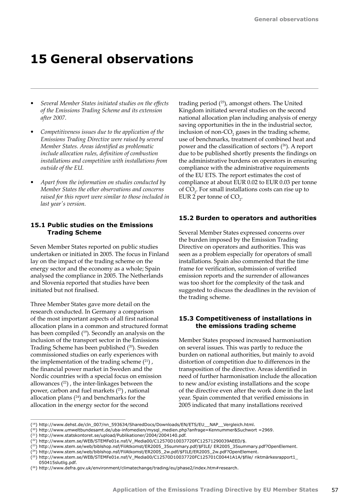## **15 General observations**

- *• Several Member States initiated studies on the effects of the Emissions Trading Scheme and its extension after 2007.*
- *• Competitiveness issues due to the application of the Emissions Trading Directive were raised by several Member States. Areas identified as problematic include allocation rules, definition of combustion installations and competition with installations from outside of the EU.*
- *• Apart from the information on studies conducted by Member States the other observations and concerns raised for this report were similar to those included in last year's version.*

### **15.1 Public studies on the Emissions Trading Scheme**

Seven Member States reported on public studies undertaken or initiated in 2005. The focus in Finland lay on the impact of the trading scheme on the energy sector and the economy as a whole; Spain analysed the compliance in 2005. The Netherlands and Slovenia reported that studies have been initiated but not finalised.

Three Member States gave more detail on the research conducted. In Germany a comparison of the most important aspects of all first national allocation plans in a common and structured format has been compiled (<sup>19</sup>). Secondly an analysis on the inclusion of the transport sector in the Emissions Trading Scheme has been published (20). Sweden commissioned studies on early experiences with the implementation of the trading scheme  $(^{21})$ , the financial power market in Sweden and the Nordic countries with a special focus on emission allowances  $(22)$ , the inter-linkages between the power, carbon and fuel markets  $(23)$ , national allocation plans  $(24)$  and benchmarks for the allocation in the energy sector for the second

trading period (25), amongst others. The United Kingdom initiated several studies on the second national allocation plan including analysis of energy saving opportunities in the in the industrial sector, inclusion of non- $CO<sub>2</sub>$  gases in the trading scheme, use of benchmarks, treatment of combined heat and power and the classification of sectors (<sup>26</sup>). A report due to be published shortly presents the findings on the administrative burdens on operators in ensuring compliance with the administrative requirements of the EU ETS. The report estimates the cost of compliance at about EUR 0.02 to EUR 0.03 per tonne of  $CO<sub>2</sub>$ . For small installations costs can rise up to EUR 2 per tonne of  $CO<sub>2</sub>$ .

#### **15.2 Burden to operators and authorities**

Several Member States expressed concerns over the burden imposed by the Emission Trading Directive on operators and authorities. This was seen as a problem especially for operators of small installations. Spain also commented that the time frame for verification, submission of verified emission reports and the surrender of allowances was too short for the complexity of the task and suggested to discuss the deadlines in the revision of the trading scheme.

## **15.3 Competitiveness of installations in the emissions trading scheme**

Member States proposed increased harmonisation on several issues. This was partly to reduce the burden on national authorities, but mainly to avoid distortion of competition due to differences in the transposition of the directive. Areas identified in need of further harmonisation include the allocation to new and/or existing installations and the scope of the directive even after the work done in the last year. Spain commented that verified emissions in 2005 indicated that many installations received

<sup>(19)</sup> http://www.dehst.de/cln\_007/nn\_593634/SharedDocs/Downloads/EN/ETS/EU\_\_NAP\_\_Vergleich.html.

<sup>(20)</sup> http://www.umweltbundesamt.de/uba-infomedien/mysql\_medien.php?anfrage=Kennummer&Suchwort =2969.

<sup>(21)</sup> http://www.statskontoret.se/upload/Publikationer/2004/2004140.pdf.

<sup>(22)</sup> http://www.stem.se/WEB/STEMFe01e.nsf/V\_Media00/C12570D10037720FC12571290039AEED/\$.

<sup>(23)</sup> http://www.stem.se/web/biblshop.nsf/FilAtkomst/ER2005\_35summary.pdf/\$FILE/ ER2005\_35summary.pdf?OpenElement.

<sup>(24)</sup> http://www.stem.se/web/biblshop.nsf/FilAtkomst/ER2005\_2w.pdf/\$FILE/ER2005\_2w.pdf?OpenElement.

<sup>(25)</sup> http://www.stem.se/WEB/STEMFe01e.nsf/V\_Media00/C12570D10037720FC125701C00441A1A/\$file/ riktmärkesrapport1\_

<sup>050415</sup>slutlig.pdf.

<sup>(26)</sup> http://www.defra.gov.uk/environment/climatechange/trading/eu/phase2/index.htm#research.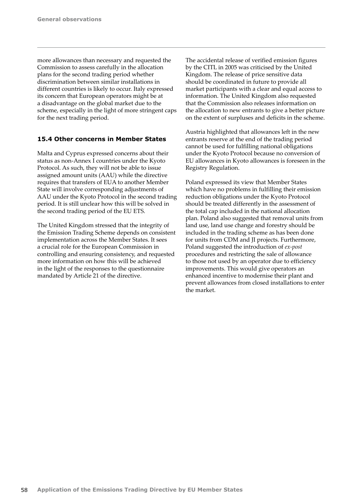more allowances than necessary and requested the Commission to assess carefully in the allocation plans for the second trading period whether discrimination between similar installations in different countries is likely to occur. Italy expressed its concern that European operators might be at a disadvantage on the global market due to the scheme, especially in the light of more stringent caps for the next trading period.

## **15.4 Other concerns in Member States**

Malta and Cyprus expressed concerns about their status as non-Annex I countries under the Kyoto Protocol. As such, they will not be able to issue assigned amount units (AAU) while the directive requires that transfers of EUA to another Member State will involve corresponding adjustments of AAU under the Kyoto Protocol in the second trading period. It is still unclear how this will be solved in the second trading period of the EU ETS.

The United Kingdom stressed that the integrity of the Emission Trading Scheme depends on consistent implementation across the Member States. It sees a crucial role for the European Commission in controlling and ensuring consistency, and requested more information on how this will be achieved in the light of the responses to the questionnaire mandated by Article 21 of the directive.

The accidental release of verified emission figures by the CITL in 2005 was criticised by the United Kingdom. The release of price sensitive data should be coordinated in future to provide all market participants with a clear and equal access to information. The United Kingdom also requested that the Commission also releases information on the allocation to new entrants to give a better picture on the extent of surpluses and deficits in the scheme.

Austria highlighted that allowances left in the new entrants reserve at the end of the trading period cannot be used for fulfilling national obligations under the Kyoto Protocol because no conversion of EU allowances in Kyoto allowances is foreseen in the Registry Regulation.

Poland expressed its view that Member States which have no problems in fulfilling their emission reduction obligations under the Kyoto Protocol should be treated differently in the assessment of the total cap included in the national allocation plan. Poland also suggested that removal units from land use, land use change and forestry should be included in the trading scheme as has been done for units from CDM and JI projects. Furthermore, Poland suggested the introduction of *ex-post* procedures and restricting the sale of allowance to those not used by an operator due to efficiency improvements. This would give operators an enhanced incentive to modernise their plant and prevent allowances from closed installations to enter the market.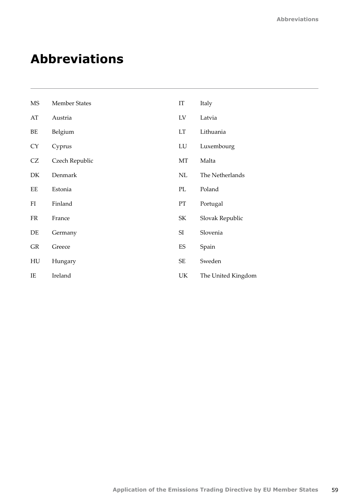# **Abbreviations**

| MS        | <b>Member States</b> | IT                                | Italy              |
|-----------|----------------------|-----------------------------------|--------------------|
| AT        | Austria              | LV                                | Latvia             |
| BE        | Belgium              | LT                                | Lithuania          |
| <b>CY</b> | Cyprus               | LU                                | Luxembourg         |
| CZ        | Czech Republic       | MT                                | Malta              |
| DK        | Denmark              | NL                                | The Netherlands    |
| EE        | Estonia              | PL                                | Poland             |
| FI        | Finland              | PT                                | Portugal           |
| <b>FR</b> | France               | $\ensuremath{\mathsf{SK}}\xspace$ | Slovak Republic    |
| DE        | Germany              | SI                                | Slovenia           |
| GR        | Greece               | ES                                | Spain              |
| HU        | Hungary              | $\ensuremath{\mathsf{SE}}$        | Sweden             |
| IE        | Ireland              | UK                                | The United Kingdom |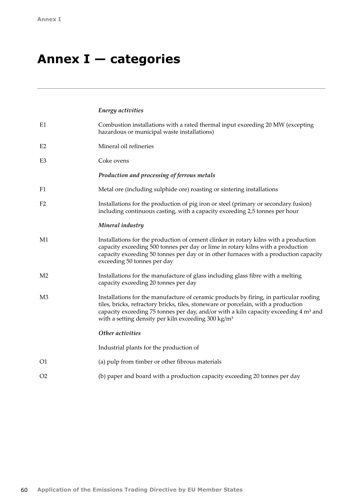# **Annex I — categories**

|                | Energy activities                                                                                                                                                                                                                                                                                                                                  |
|----------------|----------------------------------------------------------------------------------------------------------------------------------------------------------------------------------------------------------------------------------------------------------------------------------------------------------------------------------------------------|
| E1             | Combustion installations with a rated thermal input exceeding 20 MW (excepting<br>hazardous or municipal waste installations)                                                                                                                                                                                                                      |
| E <sub>2</sub> | Mineral oil refineries                                                                                                                                                                                                                                                                                                                             |
| E3             | Coke ovens                                                                                                                                                                                                                                                                                                                                         |
|                | Production and processing of ferrous metals                                                                                                                                                                                                                                                                                                        |
| F1             | Metal ore (including sulphide ore) roasting or sintering installations                                                                                                                                                                                                                                                                             |
| F <sub>2</sub> | Installations for the production of pig iron or steel (primary or secondary fusion)<br>including continuous casting, with a capacity exceeding 2,5 tonnes per hour                                                                                                                                                                                 |
|                | Mineral industry                                                                                                                                                                                                                                                                                                                                   |
| M1             | Installations for the production of cement clinker in rotary kilns with a production<br>capacity exceeding 500 tonnes per day or lime in rotary kilns with a production<br>capacity exceeding 50 tonnes per day or in other furnaces with a production capacity<br>exceeding 50 tonnes per day                                                     |
| M <sub>2</sub> | Installations for the manufacture of glass including glass fibre with a melting<br>capacity exceeding 20 tonnes per day                                                                                                                                                                                                                            |
| M <sub>3</sub> | Installations for the manufacture of ceramic products by firing, in particular roofing<br>tiles, bricks, refractory bricks, tiles, stoneware or porcelain, with a production<br>capacity exceeding 75 tonnes per day, and/or with a kiln capacity exceeding $4 \text{ m}^3$ and<br>with a setting density per kiln exceeding 300 kg/m <sup>3</sup> |
|                | Other activities                                                                                                                                                                                                                                                                                                                                   |
|                | Industrial plants for the production of                                                                                                                                                                                                                                                                                                            |
| O <sub>1</sub> | (a) pulp from timber or other fibrous materials                                                                                                                                                                                                                                                                                                    |
| O <sub>2</sub> | (b) paper and board with a production capacity exceeding 20 tonnes per day                                                                                                                                                                                                                                                                         |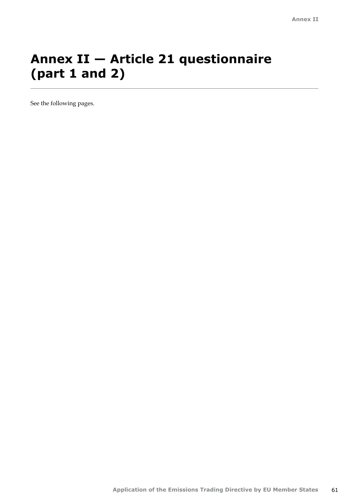# **Annex II — Article 21 questionnaire (part 1 and 2)**

See the following pages.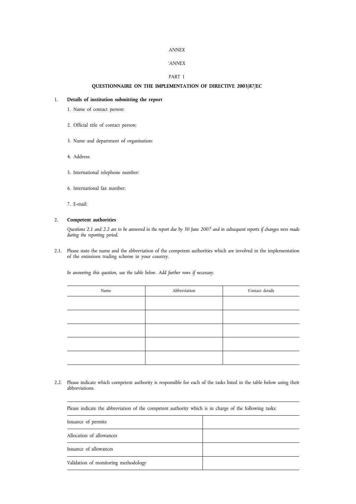#### *ANNEX*

## *'ANNEX*

## PART 1

#### **QUESTIONNAIRE ON THE IMPLEMENTATION OF DIRECTIVE 2003/87/EC**

#### 1. **Details of institution submitting the report**

- 1. Name of contact person:
- 2. Official title of contact person:
- 3. Name and department of organisation:
- 4. Address:
- 5. International telephone number:
- 6. International fax number:
- 7. E-mail:

#### 2. **Competent authorities**

*Questions 2.1 and 2.2 are to be answered in the report due by 30 June 2007 and in subsequent reports if changes were made during the reporting period.*

2.1. Please state the name and the abbreviation of the competent authorities which are involved in the implementation of the emissions trading scheme in your country.

*In answering this question, use the table below. Add further rows if necessary.*

| Name | Abbreviation | Contact details |
|------|--------------|-----------------|
|      |              |                 |
|      |              |                 |
|      |              |                 |
|      |              |                 |
|      |              |                 |

2.2. Please indicate which competent authority is responsible for each of the tasks listed in the table below using their abbreviations.

| Please indicate the abbreviation of the competent authority which is in charge of the following tasks: |  |  |
|--------------------------------------------------------------------------------------------------------|--|--|
| Issuance of permits                                                                                    |  |  |
| Allocation of allowances                                                                               |  |  |
| Issuance of allowances                                                                                 |  |  |
| Validation of monitoring methodology                                                                   |  |  |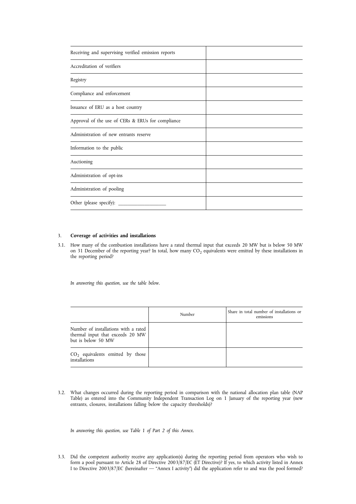| Receiving and supervising verified emission reports |  |
|-----------------------------------------------------|--|
| Accreditation of verifiers                          |  |
| Registry                                            |  |
| Compliance and enforcement                          |  |
| Issuance of ERU as a host country                   |  |
| Approval of the use of CERs & ERUs for compliance   |  |
| Administration of new entrants reserve              |  |
| Information to the public                           |  |
| Auctioning                                          |  |
| Administration of opt-ins                           |  |
| Administration of pooling                           |  |
|                                                     |  |

#### 3. **Coverage of activities and installations**

3.1. How many of the combustion installations have a rated thermal input that exceeds 20 MW but is below 50 MW on 31 December of the reporting year? In total, how many  $CO_2$  equivalents were emitted by these installations in the reporting period?

*In answering this question, use the table below.*

|                                                                                                | Number | Share in total number of installations or<br>emissions |
|------------------------------------------------------------------------------------------------|--------|--------------------------------------------------------|
| Number of installations with a rated<br>thermal input that exceeds 20 MW<br>but is below 50 MW |        |                                                        |
| $CO2$ equivalents emitted by those<br>installations                                            |        |                                                        |

3.2. What changes occurred during the reporting period in comparison with the national allocation plan table (NAP Table) as entered into the Community Independent Transaction Log on 1 January of the reporting year (new entrants, closures, installations falling below the capacity thresholds)?

*In answering this question, use Table 1 of Part 2 of this Annex.*

3.3. Did the competent authority receive any application(s) during the reporting period from operators who wish to form a pool pursuant to Article 28 of Directive 2003/87/EC (ET Directive)? If yes, to which activity listed in Annex I to Directive 2003/87/EC (hereinafter — "Annex I activity") did the application refer to and was the pool formed?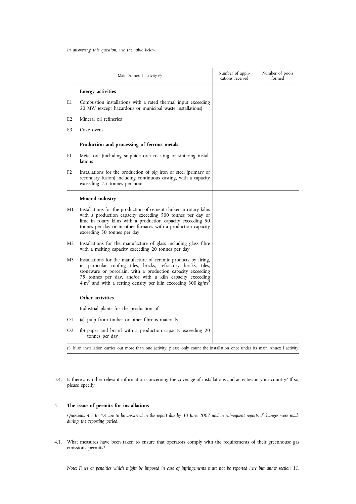*In answering this question, use the table below.*

|                | Main Annex I activity (a)                                                                                                                                                                                                                                                                                                                             | Number of appli-<br>cations received | Number of pools<br>formed |
|----------------|-------------------------------------------------------------------------------------------------------------------------------------------------------------------------------------------------------------------------------------------------------------------------------------------------------------------------------------------------------|--------------------------------------|---------------------------|
|                | <b>Energy activities</b>                                                                                                                                                                                                                                                                                                                              |                                      |                           |
| E1             | Combustion installations with a rated thermal input exceeding<br>20 MW (except hazardous or municipal waste installations)                                                                                                                                                                                                                            |                                      |                           |
| E <sub>2</sub> | Mineral oil refineries                                                                                                                                                                                                                                                                                                                                |                                      |                           |
| E3             | Coke ovens                                                                                                                                                                                                                                                                                                                                            |                                      |                           |
|                | Production and processing of ferrous metals                                                                                                                                                                                                                                                                                                           |                                      |                           |
| F1             | Metal ore (including sulphide ore) roasting or sintering instal-<br>lations                                                                                                                                                                                                                                                                           |                                      |                           |
| F <sub>2</sub> | Installations for the production of pig iron or steel (primary or<br>secondary fusion) including continuous casting, with a capacity<br>exceeding 2.5 tonnes per hour                                                                                                                                                                                 |                                      |                           |
|                | Mineral industry                                                                                                                                                                                                                                                                                                                                      |                                      |                           |
| M1             | Installations for the production of cement clinker in rotary kilns<br>with a production capacity exceeding 500 tonnes per day or<br>lime in rotary kilns with a production capacity exceeding 50<br>tonnes per day or in other furnaces with a production capacity<br>exceeding 50 tonnes per day                                                     |                                      |                           |
| M2             | Installations for the manufacture of glass including glass fibre<br>with a melting capacity exceeding 20 tonnes per day                                                                                                                                                                                                                               |                                      |                           |
| M3             | Installations for the manufacture of ceramic products by firing,<br>in particular roofing tiles, bricks, refractory bricks, tiles,<br>stoneware or porcelain, with a production capacity exceeding<br>75 tonnes per day, and/or with a kiln capacity exceeding<br>$4 \text{ m}^3$ and with a setting density per kiln exceeding 300 kg/m <sup>3</sup> |                                      |                           |
|                | Other activities                                                                                                                                                                                                                                                                                                                                      |                                      |                           |
|                | Industrial plants for the production of                                                                                                                                                                                                                                                                                                               |                                      |                           |
| O <sub>1</sub> | (a) pulp from timber or other fibrous materials                                                                                                                                                                                                                                                                                                       |                                      |                           |
| O <sub>2</sub> | (b) paper and board with a production capacity exceeding 20<br>tonnes per day                                                                                                                                                                                                                                                                         |                                      |                           |

3.4. Is there any other relevant information concerning the coverage of installations and activities in your country? If so, please specify.

#### 4. **The issue of permits for installations**

*Questions 4.1 to 4.4 are to be answered in the report due by 30 June 2007 and in subsequent reports if changes were made during the reporting period.*

4.1. What measures have been taken to ensure that operators comply with the requirements of their greenhouse gas emissions permits?

*Note: Fines or penalties which might be imposed in case of infringements must not be reported here but under section 11.*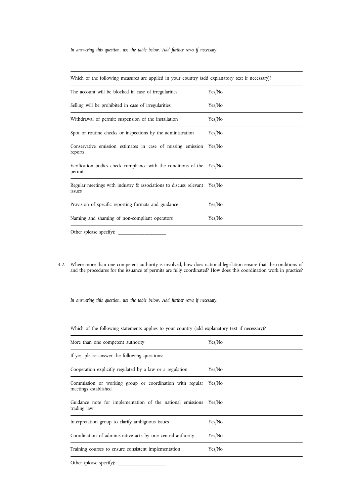*In answering this question, use the table below. Add further rows if necessary.*

| Which of the following measures are applied in your country (add explanatory text if necessary)? |  |  |  |
|--------------------------------------------------------------------------------------------------|--|--|--|
| Yes/No                                                                                           |  |  |  |
| Yes/No                                                                                           |  |  |  |
| Yes/No                                                                                           |  |  |  |
| Yes/No                                                                                           |  |  |  |
| Yes/No                                                                                           |  |  |  |
| Yes/No                                                                                           |  |  |  |
| Yes/No                                                                                           |  |  |  |
| Yes/No                                                                                           |  |  |  |
| Yes/No                                                                                           |  |  |  |
|                                                                                                  |  |  |  |
|                                                                                                  |  |  |  |

4.2. Where more than one competent authority is involved, how does national legislation ensure that the conditions of and the procedures for the issuance of permits are fully coordinated? How does this coordination work in practice?

*In answering this question, use the table below. Add further rows if necessary.*

| Which of the following statements applies to your country (add explanatory text if necessary)? |        |  |  |
|------------------------------------------------------------------------------------------------|--------|--|--|
| More than one competent authority                                                              | Yes/No |  |  |
| If yes, please answer the following questions:                                                 |        |  |  |
| Cooperation explicitly regulated by a law or a regulation                                      | Yes/No |  |  |
| Commission or working group or coordination with regular<br>meetings established               | Yes/No |  |  |
| Guidance note for implementation of the national emissions<br>trading law                      | Yes/No |  |  |
| Interpretation group to clarify ambiguous issues                                               | Yes/No |  |  |
| Coordination of administrative acts by one central authority                                   | Yes/No |  |  |
| Training courses to ensure consistent implementation                                           | Yes/No |  |  |
| Other (please specify):                                                                        |        |  |  |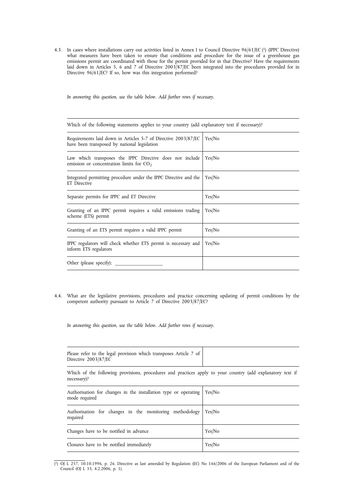4.3. In cases where installations carry out activities listed in Annex I to Council Directive 96/61/EC (1) (IPPC Directive) what measures have been taken to ensure that conditions and procedure for the issue of a greenhouse gas emissions permit are coordinated with those for the permit provided for in that Directive? Have the requirements laid down in Articles 5, 6 and 7 of Directive 2003/87/EC been integrated into the procedures provided for in Directive 96/61/EC? If so, how was this integration performed?

*In answering this question, use the table below. Add further rows if necessary.*

| Which of the following statements applies to your country (add explanatory text if necessary)?                 |        |  |  |
|----------------------------------------------------------------------------------------------------------------|--------|--|--|
| Requirements laid down in Articles 5-7 of Directive 2003/87/EC<br>have been transposed by national legislation | Yes/No |  |  |
| Law which transposes the IPPC Directive does not include<br>emission or concentration limits for $CO2$         | Yes/No |  |  |
| Integrated permitting procedure under the IPPC Directive and the<br>ET Directive                               | Yes/No |  |  |
| Separate permits for IPPC and ET Directive                                                                     | Yes/No |  |  |
| Granting of an IPPC permit requires a valid emissions trading<br>scheme (ETS) permit                           | Yes/No |  |  |
| Granting of an ETS permit requires a valid IPPC permit                                                         | Yes/No |  |  |
| IPPC regulators will check whether ETS permit is necessary and<br>inform ETS regulators                        | Yes/No |  |  |
| Other (please specify):                                                                                        |        |  |  |

4.4. What are the legislative provisions, procedures and practice concerning updating of permit conditions by the competent authority pursuant to Article 7 of Directive 2003/87/EC?

*In answering this question, use the table below. Add further rows if necessary.*

| Please refer to the legal provision which transposes Article 7 of<br>Directive 2003/87/EC                                 |        |  |  |
|---------------------------------------------------------------------------------------------------------------------------|--------|--|--|
| Which of the following provisions, procedures and practices apply to your country (add explanatory text if<br>necessary)? |        |  |  |
| Authorisation for changes in the installation type or operating<br>mode required                                          | Yes/No |  |  |
| Authorisation for changes in the monitoring methodology<br>required                                                       | Yes/No |  |  |
| Changes have to be notified in advance                                                                                    | Yes/No |  |  |
| Closures have to be notified immediately                                                                                  | Yes/No |  |  |

<sup>(</sup> 1) OJ L 257, 10.10.1996, p. 26. Directive as last amended by Regulation (EC) No 166/2006 of the European Parliament and of the Council (OJ L 33, 4.2.2006, p. 1).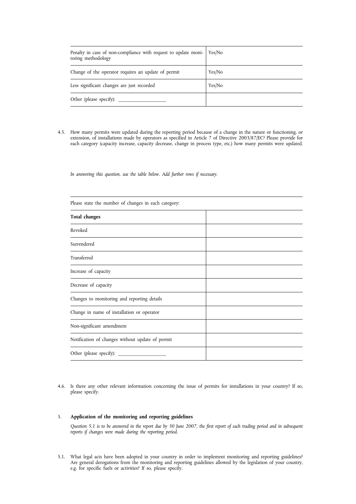| Penalty in case of non-compliance with request to update moni-<br>toring methodology | Yes/No |
|--------------------------------------------------------------------------------------|--------|
| Change of the operator requires an update of permit                                  | Yes/No |
| Less significant changes are just recorded                                           | Yes/No |
| Other (please specify):                                                              |        |

4.5. How many permits were updated during the reporting period because of a change in the nature or functioning, or extension, of installations made by operators as specified in Article 7 of Directive 2003/87/EC? Please provide for each category (capacity increase, capacity decrease, change in process type, etc.) how many permits were updated.

*In answering this question, use the table below. Add further rows if necessary.*

| Please state the number of changes in each category: |  |  |
|------------------------------------------------------|--|--|
| <b>Total changes</b>                                 |  |  |
| Revoked                                              |  |  |
| Surrendered                                          |  |  |
| Transferred                                          |  |  |
| Increase of capacity                                 |  |  |
| Decrease of capacity                                 |  |  |
| Changes to monitoring and reporting details          |  |  |
| Change in name of installation or operator           |  |  |
| Non-significant amendment                            |  |  |
| Notification of changes without update of permit     |  |  |
|                                                      |  |  |

Please state the number of changes in each category:

4.6. Is there any other relevant information concerning the issue of permits for installations in your country? If so, please specify.

#### 5. **Application of the monitoring and reporting guidelines**

*Question 5.1 is to be answered in the report due by 30 June 2007, the first report of each trading period and in subsequent reports if changes were made during the reporting period.*

5.1. What legal acts have been adopted in your country in order to implement monitoring and reporting guidelines? Are general derogations from the monitoring and reporting guidelines allowed by the legislation of your country, e.g. for specific fuels or activities? If so, please specify.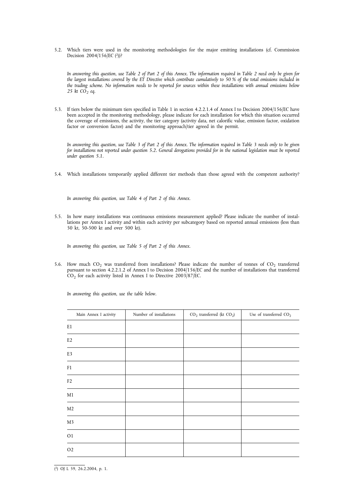5.2. Which tiers were used in the monitoring methodologies for the major emitting installations (cf. Commission Decision 2004/156/EC (2))?

*In answering this question, use Table 2 of Part 2 of this Annex. The information required in Table 2 need only be given for the largest installations covered by the ET Directive which contribute cumulatively to 50 % of the total emissions included in the trading scheme. No information needs to be reported for sources within these installations with annual emissions below* 25 kt  $CO<sub>2</sub>$  *eq.* 

5.3. If tiers below the minimum tiers specified in Table 1 in section 4.2.2.1.4 of Annex I to Decision 2004/156/EC have been accepted in the monitoring methodology, please indicate for each installation for which this situation occurred the coverage of emissions, the activity, the tier category (activity data, net calorific value, emission factor, oxidation factor or conversion factor) and the monitoring approach/tier agreed in the permit.

*In answering this question, use Table 3 of Part 2 of this Annex. The information required in Table 3 needs only to be given for installations not reported under question 5.2. General derogations provided for in the national legislation must be reported under question 5.1.*

5.4. Which installations temporarily applied different tier methods than those agreed with the competent authority?

*In answering this question, use Table 4 of Part 2 of this Annex.*

5.5. In how many installations was continuous emissions measurement applied? Please indicate the number of installations per Annex I activity and within each activity per subcategory based on reported annual emissions (less than 50 kt, 50-500 kt and over 500 kt).

*In answering this question, use Table 5 of Part 2 of this Annex.*

5.6. How much CO<sub>2</sub> was transferred from installations? Please indicate the number of tonnes of CO<sub>2</sub> transferred pursuant to section 4.2.2.1.2 of Annex I to Decision 2004/156/EC and the number of installations that transferred  $CO<sub>2</sub>$  for each activity listed in Annex I to Directive 2003/87/EC.

*In answering this question, use the table below.*

| Main Annex I activity  | Number of installations | $CO2$ transferred (kt $CO2$ ) | Use of transferred $CO2$ |
|------------------------|-------------------------|-------------------------------|--------------------------|
| E1                     |                         |                               |                          |
| $\mathop{\mathrm{E2}}$ |                         |                               |                          |
| E3                     |                         |                               |                          |
| ${\rm F}1$             |                         |                               |                          |
| ${\rm F2}$             |                         |                               |                          |
| M1                     |                         |                               |                          |
| M <sub>2</sub>         |                         |                               |                          |
| M3                     |                         |                               |                          |
| O <sub>1</sub>         |                         |                               |                          |
| O <sub>2</sub>         |                         |                               |                          |

( 2) OJ L 59, 26.2.2004, p. 1.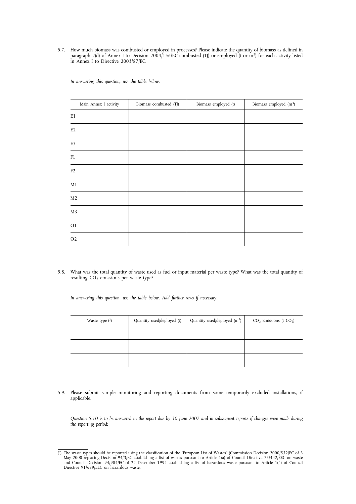5.7. How much biomass was combusted or employed in processes? Please indicate the quantity of biomass as defined in paragraph 2(d) of Annex I to Decision  $2004/156/EC$  combusted (TJ) or employed (t or m<sup>3</sup>) for each activity listed in Annex I to Directive 2003/87/EC.

| In answering this question, use the table below. |  |  |  |  |  |  |  |  |
|--------------------------------------------------|--|--|--|--|--|--|--|--|
|--------------------------------------------------|--|--|--|--|--|--|--|--|

| Main Annex I activity  | Biomass combusted (TJ) | Biomass employed (t) | Biomass employed (m <sup>3</sup> ) |
|------------------------|------------------------|----------------------|------------------------------------|
| E1                     |                        |                      |                                    |
| $\mathop{\mathrm{E2}}$ |                        |                      |                                    |
| E3                     |                        |                      |                                    |
| ${\rm F}1$             |                        |                      |                                    |
| F2                     |                        |                      |                                    |
| M1                     |                        |                      |                                    |
| M <sub>2</sub>         |                        |                      |                                    |
| M3                     |                        |                      |                                    |
| O <sub>1</sub>         |                        |                      |                                    |
| O <sub>2</sub>         |                        |                      |                                    |

5.8. What was the total quantity of waste used as fuel or input material per waste type? What was the total quantity of resulting CO<sub>2</sub> emissions per waste type?

*In answering this question, use the table below. Add further rows if necessary.*

| Waste type $(3)$ | Quantity used/deployed (t) | Quantity used/deployed (m <sup>3</sup> ) | $CO2$ Emissions (t $CO2$ ) |
|------------------|----------------------------|------------------------------------------|----------------------------|
|                  |                            |                                          |                            |
|                  |                            |                                          |                            |
|                  |                            |                                          |                            |

5.9. Please submit sample monitoring and reporting documents from some temporarily excluded installations, if applicable.

*Question 5.10 is to be answered in the report due by 30 June 2007 and in subsequent reports if changes were made during the reporting period:*

<sup>(&</sup>lt;sup>3</sup>) The waste types should be reported using the classification of the "European List of Wastes" (Commission Decision 2000/532/EC of 3 May 2000 replacing Decision 94/3/EC establishing a list of wastes pursuant to Article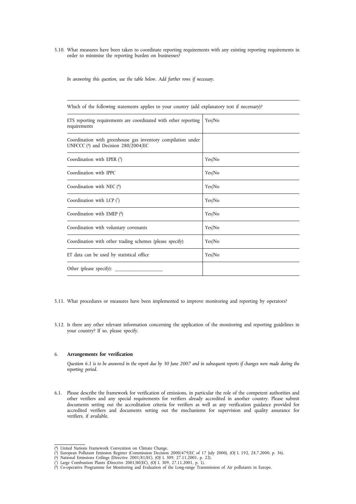5.10. What measures have been taken to coordinate reporting requirements with any existing reporting requirements in order to minimise the reporting burden on businesses?

*In answering this question, use the table below. Add further rows if necessary.*

| Which of the following statements applies to your country (add explanatory text if necessary)?      |        |
|-----------------------------------------------------------------------------------------------------|--------|
| ETS reporting requirements are coordinated with other reporting<br>requirements                     | Yes/No |
| Coordination with greenhouse gas inventory compilation under<br>UNFCCC (4) and Decision 280/2004/EC |        |
| Coordination with EPER $(5)$                                                                        | Yes/No |
| Coordination with IPPC                                                                              | Yes/No |
| Coordination with NEC $(6)$                                                                         | Yes/No |
| Coordination with LCP $(7)$                                                                         | Yes/No |
| Coordination with EMEP (8)                                                                          | Yes/No |
| Coordination with voluntary covenants                                                               | Yes/No |
| Coordination with other trading schemes (please specify)                                            | Yes/No |
| ET data can be used by statistical office                                                           | Yes/No |
| Other (please specify): _________                                                                   |        |

5.11. What procedures or measures have been implemented to improve monitoring and reporting by operators?

5.12. Is there any other relevant information concerning the application of the monitoring and reporting guidelines in your country? If so, please specify.

#### 6. **Arrangements for verification**

*Question 6.1 is to be answered in the report due by 30 June 2007 and in subsequent reports if changes were made during the reporting period.*

6.1. Please describe the framework for verification of emissions, in particular the role of the competent authorities and other verifiers and any special requirements for verifiers already accredited in another country. Please submit documents setting out the accreditation criteria for verifiers as well as any verification guidance provided for accredited verifiers and documents setting out the mechanisms for supervision and quality assurance for verifiers, if available.

<sup>(</sup> 4) United Nations Framework Convention on Climate Change.

<sup>(&</sup>lt;sup>5</sup>) European Pollutant Emission Register (Commission Decision 2000/479/EC of 17 July 2000), (OJ L 192, 28.7.2000, p. 36).<br>(<sup>6</sup>) National Emissions Ceilings (Directive 2001/81/EC), (OJ L 309, 27.11.2001, p. 22).<br>(<sup>7</sup>) Lar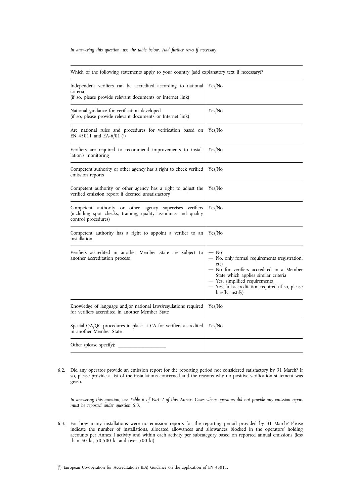*In answering this question, use the table below. Add further rows if necessary.*

Which of the following statements apply to your country (add explanatory text if necessary)?

| Independent verifiers can be accredited according to national<br>criteria<br>(if so, please provide relevant documents or Internet link)           | Yes/No                                                                                                                                                                                                                                                          |
|----------------------------------------------------------------------------------------------------------------------------------------------------|-----------------------------------------------------------------------------------------------------------------------------------------------------------------------------------------------------------------------------------------------------------------|
| National guidance for verification developed<br>(if so, please provide relevant documents or Internet link)                                        | Yes/No                                                                                                                                                                                                                                                          |
| Are national rules and procedures for verification based on<br>EN 45011 and EA-6/01 $(9)$                                                          | Yes/No                                                                                                                                                                                                                                                          |
| Verifiers are required to recommend improvements to instal-<br>lation's monitoring                                                                 | Yes/No                                                                                                                                                                                                                                                          |
| Competent authority or other agency has a right to check verified<br>emission reports                                                              | Yes/No                                                                                                                                                                                                                                                          |
| Competent authority or other agency has a right to adjust the<br>verified emission report if deemed unsatisfactory                                 | Yes/No                                                                                                                                                                                                                                                          |
| Competent authority or other agency supervises verifiers<br>(including spot checks, training, quality assurance and quality<br>control procedures) | Yes/No                                                                                                                                                                                                                                                          |
| Competent authority has a right to appoint a verifier to an<br>installation                                                                        | Yes/No                                                                                                                                                                                                                                                          |
| Verifiers accredited in another Member State are subject to<br>another accreditation process                                                       | $-$ No<br>- No, only formal requirements (registration,<br>etc)<br>- No for verifiers accredited in a Member<br>State which applies similar criteria<br>- Yes, simplified requirements<br>- Yes, full accreditation required (if so, please<br>briefly justify) |
| Knowledge of language and/or national laws/regulations required<br>for verifiers accredited in another Member State                                | Yes/No                                                                                                                                                                                                                                                          |
| Special QA/QC procedures in place at CA for verifiers accredited<br>in another Member State                                                        | Yes/No                                                                                                                                                                                                                                                          |
| Other (please specify):                                                                                                                            |                                                                                                                                                                                                                                                                 |

6.2. Did any operator provide an emission report for the reporting period not considered satisfactory by 31 March? If so, please provide a list of the installations concerned and the reasons why no positive verification statement was given.

*In answering this question, use Table 6 of Part 2 of this Annex. Cases where operators did not provide any emission report must be reported under question 6.3.*

6.3. For how many installations were no emission reports for the reporting period provided by 31 March? Please indicate the number of installations, allocated allowances and allowances blocked in the operators' holding accounts per Annex I activity and within each activity per subcategory based on reported annual emissions (less than 50 kt, 50-500 kt and over 500 kt).

<sup>(</sup> 9) European Co-operation for Accreditation's (EA) Guidance on the application of EN 45011.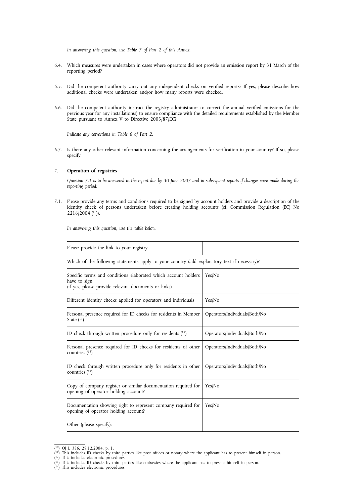*In answering this question, use Table 7 of Part 2 of this Annex.*

- 6.4. Which measures were undertaken in cases where operators did not provide an emission report by 31 March of the reporting period?
- 6.5. Did the competent authority carry out any independent checks on verified reports? If yes, please describe how additional checks were undertaken and/or how many reports were checked.
- 6.6. Did the competent authority instruct the registry administrator to correct the annual verified emissions for the previous year for any installation(s) to ensure compliance with the detailed requirements established by the Member State pursuant to Annex V to Directive 2003/87/EC?

*Indicate any corrections in Table 6 of Part 2.*

6.7. Is there any other relevant information concerning the arrangements for verification in your country? If so, please specify.

# 7. **Operation of registries**

*Question 7.1 is to be answered in the report due by 30 June 2007 and in subsequent reports if changes were made during the reporting period:*

7.1. Please provide any terms and conditions required to be signed by account holders and provide a description of the identity check of persons undertaken before creating holding accounts (cf. Commission Regulation (EC) No  $2216/2004$  (<sup>10</sup>)).

| Please provide the link to your registry                                                                                               |                               |
|----------------------------------------------------------------------------------------------------------------------------------------|-------------------------------|
| Which of the following statements apply to your country (add explanatory text if necessary)?                                           |                               |
| Specific terms and conditions elaborated which account holders<br>have to sign<br>(if yes, please provide relevant documents or links) | Yes/No                        |
| Different identity checks applied for operators and individuals                                                                        | Yes/No                        |
| Personal presence required for ID checks for residents in Member<br>State $(11)$                                                       | Operators/Individuals/Both/No |
| ID check through written procedure only for residents $(12)$                                                                           | Operators/Individuals/Both/No |
| Personal presence required for ID checks for residents of other<br>countries $(13)$                                                    | Operators/Individuals/Both/No |
| ID check through written procedure only for residents in other<br>countries $(14)$                                                     | Operators/Individuals/Both/No |
| Copy of company register or similar documentation required for<br>opening of operator holding account?                                 | Yes/No                        |
| Documentation showing right to represent company required for<br>opening of operator holding account?                                  | Yes/No                        |
| Other (please specify):                                                                                                                |                               |

 $(10)$ 10) OJ L 386, 29.12.2004, p. 1.

 $^{(11)}$  This includes ID checks by third parties like post offices or notary where the applicant has to present himself in person.<br> $^{(12)}$  This includes electronic procedures.<br> $^{(13)}$  This includes ID checks by third part

<sup>(</sup> 14) This includes electronic procedures.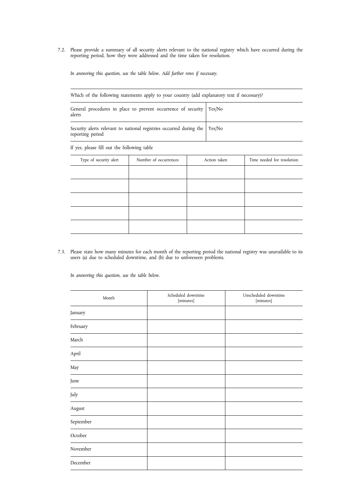7.2. Please provide a summary of all security alerts relevant to the national registry which have occurred during the reporting period, how they were addressed and the time taken for resolution.

*In answering this question, use the table below. Add further rows if necessary.*

Which of the following statements apply to your country (add explanatory text if necessary)?

| General procedures in place to prevent occurrence of security   Yes/No<br>alerts                 |  |
|--------------------------------------------------------------------------------------------------|--|
| Security alerts relevant to national registries occurred during the   Yes/No<br>reporting period |  |

If yes, please fill out the following table

| Type of security alert | Number of occurrences | Action taken | Time needed for resolution |
|------------------------|-----------------------|--------------|----------------------------|
|                        |                       |              |                            |
|                        |                       |              |                            |
|                        |                       |              |                            |
|                        |                       |              |                            |
|                        |                       |              |                            |

7.3. Please state how many minutes for each month of the reporting period the national registry was unavailable to its users (a) due to scheduled downtime, and (b) due to unforeseen problems.

| Month     | Scheduled downtime<br>[minutes] | Unscheduled downtime<br>[minutes] |
|-----------|---------------------------------|-----------------------------------|
| January   |                                 |                                   |
| February  |                                 |                                   |
| March     |                                 |                                   |
| April     |                                 |                                   |
| May       |                                 |                                   |
| June      |                                 |                                   |
| July      |                                 |                                   |
| August    |                                 |                                   |
| September |                                 |                                   |
| October   |                                 |                                   |
| November  |                                 |                                   |
| December  |                                 |                                   |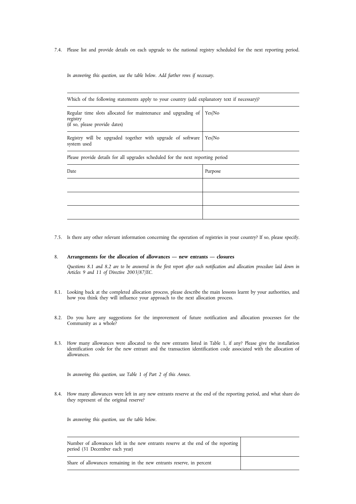7.4. Please list and provide details on each upgrade to the national registry scheduled for the next reporting period.

*In answering this question, use the table below. Add further rows if necessary.*

| Which of the following statements apply to your country (add explanatory text if necessary)?               |         |  |
|------------------------------------------------------------------------------------------------------------|---------|--|
| Regular time slots allocated for maintenance and upgrading of<br>registry<br>(if so, please provide dates) | Yes/No  |  |
| Registry will be upgraded together with upgrade of software<br>system used                                 | Yes/No  |  |
| Please provide details for all upgrades scheduled for the next reporting period                            |         |  |
| Date                                                                                                       | Purpose |  |
|                                                                                                            |         |  |
|                                                                                                            |         |  |
|                                                                                                            |         |  |

7.5. Is there any other relevant information concerning the operation of registries in your country? If so, please specify.

# 8. **Arrangements for the allocation of allowances — new entrants — closures**

*Questions 8.1 and 8.2 are to be answered in the first report after each notification and allocation procedure laid down in Articles 9 and 11 of Directive 2003/87/EC.*

- 8.1. Looking back at the completed allocation process, please describe the main lessons learnt by your authorities, and how you think they will influence your approach to the next allocation process.
- 8.2. Do you have any suggestions for the improvement of future notification and allocation processes for the Community as a whole?
- 8.3. How many allowances were allocated to the new entrants listed in Table 1, if any? Please give the installation identification code for the new entrant and the transaction identification code associated with the allocation of allowances.

*In answering this question, use Table 1 of Part 2 of this Annex.*

8.4. How many allowances were left in any new entrants reserve at the end of the reporting period, and what share do they represent of the original reserve?

| Number of allowances left in the new entrants reserve at the end of the reporting<br>period (31 December each year) |  |
|---------------------------------------------------------------------------------------------------------------------|--|
| Share of allowances remaining in the new entrants reserve, in percent                                               |  |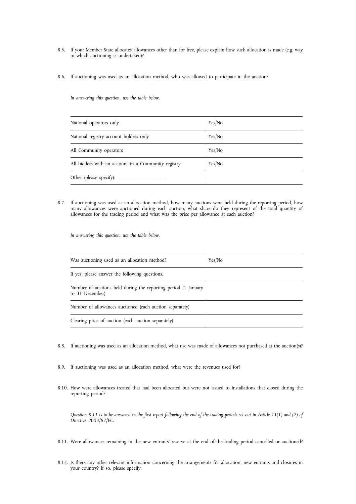- 8.5. If your Member State allocates allowances other than for free, please explain how such allocation is made (e.g. way in which auctioning is undertaken)?
- 8.6. If auctioning was used as an allocation method, who was allowed to participate in the auction?

*In answering this question, use the table below.*

| National operators only                             | Yes/No |
|-----------------------------------------------------|--------|
| National registry account holders only              | Yes/No |
| All Community operators                             | Yes/No |
| All bidders with an account in a Community registry | Yes/No |
| Other (please specify):                             |        |

8.7. If auctioning was used as an allocation method, how many auctions were held during the reporting period, how many allowances were auctioned during each auction, what share do they represent of the total quantity of allowances for the trading period and what was the price per allowance at each auction?

*In answering this question, use the table below.*

| Was auctioning used as an allocation method?                                      | Yes/No |  |
|-----------------------------------------------------------------------------------|--------|--|
| If yes, please answer the following questions.                                    |        |  |
| Number of auctions held during the reporting period (1 January<br>to 31 December) |        |  |
| Number of allowances auctioned (each auction separately)                          |        |  |
| Clearing price of auction (each auction separately)                               |        |  |

- 8.8. If auctioning was used as an allocation method, what use was made of allowances not purchased at the auction(s)?
- 8.9. If auctioning was used as an allocation method, what were the revenues used for?
- 8.10. How were allowances treated that had been allocated but were not issued to installations that closed during the reporting period?

*Question 8.11 is to be answered in the first report following the end of the trading periods set out in Article 11(1) and (2) of Directive 2003/87/EC.*

8.11. Were allowances remaining in the new entrants' reserve at the end of the trading period cancelled or auctioned?

8.12. Is there any other relevant information concerning the arrangements for allocation, new entrants and closures in your country? If so, please specify.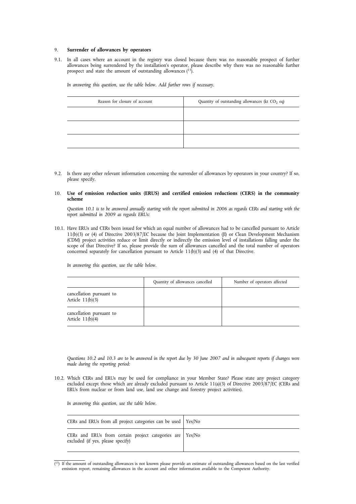### 9. **Surrender of allowances by operators**

9.1. In all cases where an account in the registry was closed because there was no reasonable prospect of further allowances being surrendered by the installation's operator, please describe why there was no reasonable further prospect and state the amount of outstanding allowances (15).

*In answering this question, use the table below. Add further rows if necessary.*

| Reason for closure of account | Quantity of outstanding allowances (kt CO <sub>2</sub> eq) |
|-------------------------------|------------------------------------------------------------|
|                               |                                                            |
|                               |                                                            |
|                               |                                                            |

9.2. Is there any other relevant information concerning the surrender of allowances by operators in your country? If so, please specify.

# 10. **Use of emission reduction units (ERUS) and certified emission reductions (CERS) in the community scheme**

*Question 10.1 is to be answered annually starting with the report submitted in 2006 as regards CERs and starting with the report submitted in 2009 as regards ERUs:*

10.1. Have ERUs and CERs been issued for which an equal number of allowances had to be cancelled pursuant to Article 11(b)(3) or (4) of Directive 2003/87/EC because the Joint Implementation (JI) or Clean Development Mechanism (CDM) project activities reduce or limit directly or indirectly the emission level of installations falling under the scope of that Directive? If so, please provide the sum of allowances cancelled and the total number of operators concerned separately for cancellation pursuant to Article 11(b)(3) and (4) of that Directive.

*In answering this question, use the table below.*

|                                                | Quantity of allowances cancelled | Number of operators affected |
|------------------------------------------------|----------------------------------|------------------------------|
| cancellation pursuant to<br>Article $11(b)(3)$ |                                  |                              |
| cancellation pursuant to<br>Article $11(b)(4)$ |                                  |                              |

*Questions 10.2 and 10.3 are to be answered in the report due by 30 June 2007 and in subsequent reports if changes were made during the reporting period:*

10.2. Which CERs and ERUs may be used for compliance in your Member State? Please state any project category excluded except those which are already excluded pursuant to Article 11(a)(3) of Directive 2003/87/EC (CERs and ERUs from nuclear or from land use, land use change and forestry project activities).

| CERs and ERUs from all project categories can be used   Yes/No                                |  |
|-----------------------------------------------------------------------------------------------|--|
| CERs and ERUs from certain project categories are Yes/No<br>excluded (if yes, please specify) |  |

<sup>&</sup>lt;sup>{15}</sup> If the amount of outstanding allowances is not known please provide an estimate of outstanding allowances based on the last verified emission report, remaining allowances in the account and other information availab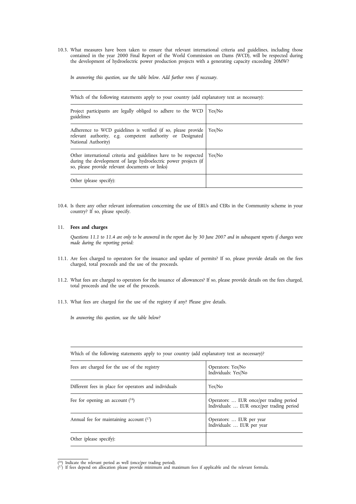10.3. What measures have been taken to ensure that relevant international criteria and guidelines, including those contained in the year 2000 Final Report of the World Commission on Dams (WCD), will be respected during the development of hydroelectric power production projects with a generating capacity exceeding 20MW?

*In answering this question, use the table below. Add further rows if necessary.*

| Which of the following statements apply to your country (add explanatory text as necessary):                                                                                            |        |
|-----------------------------------------------------------------------------------------------------------------------------------------------------------------------------------------|--------|
| Project participants are legally obliged to adhere to the WCD<br>guidelines                                                                                                             | Yes/No |
| Adherence to WCD guidelines is verified (if so, please provide<br>relevant authority, e.g. competent authority or Designated<br>National Authority)                                     | Yes/No |
| Other international criteria and guidelines have to be respected<br>during the development of large hydroelectric power projects (if<br>so, please provide relevant documents or links) | Yes/No |
| Other (please specify):                                                                                                                                                                 |        |

10.4. Is there any other relevant information concerning the use of ERUs and CERs in the Community scheme in your country? If so, please specify.

# 11. **Fees and charges**

*Questions 11.1 to 11.4 are only to be answered in the report due by 30 June 2007 and in subsequent reports if changes were made during the reporting period:*

- 11.1. Are fees charged to operators for the issuance and update of permits? If so, please provide details on the fees charged, total proceeds and the use of the proceeds.
- 11.2. What fees are charged to operators for the issuance of allowances? If so, please provide details on the fees charged, total proceeds and the use of the proceeds.
- 11.3. What fees are charged for the use of the registry if any? Please give details.

*In answering this question, use the table below?*

| which of the following statements apply to your country (add explanatory text as necessary)? |                                                                                      |
|----------------------------------------------------------------------------------------------|--------------------------------------------------------------------------------------|
| Fees are charged for the use of the registry                                                 | Operators: Yes/No<br>Individuals: Yes/No                                             |
| Different fees in place for operators and individuals                                        | Yes/No                                                                               |
| Fee for opening an account $(16)$                                                            | Operators:  EUR once/per trading period<br>Individuals:  EUR once/per trading period |
| Annual fee for maintaining account $(17)$                                                    | Operators:  EUR per year<br>Individuals:  EUR per year                               |
| Other (please specify):                                                                      |                                                                                      |

Which of the following statements apply to your country (add explanatory text as necessary)?

<sup>(</sup> 16) Indicate the relevant period as well (once/per trading period).

<sup>(</sup> 17) If fees depend on allocation please provide minimum and maximum fees if applicable and the relevant formula.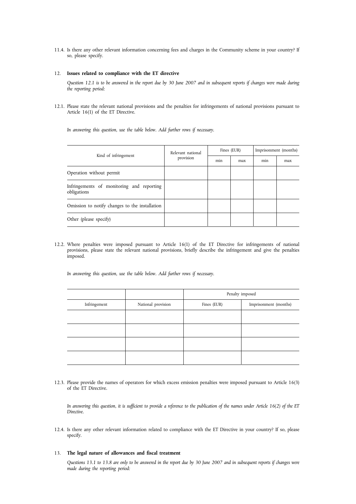11.4. Is there any other relevant information concerning fees and charges in the Community scheme in your country? If so, please specify.

## 12. **Issues related to compliance with the ET directive**

*Question 12.1 is to be answered in the report due by 30 June 2007 and in subsequent reports if changes were made during the reporting period:*

12.1. Please state the relevant national provisions and the penalties for infringements of national provisions pursuant to Article 16(1) of the ET Directive.

*In answering this question, use the table below. Add further rows if necessary.*

| Kind of infringement                                     | Relevant national | Fines (EUR) |     | Imprisonment (months) |     |
|----------------------------------------------------------|-------------------|-------------|-----|-----------------------|-----|
|                                                          | provision         | min         | max | min                   | max |
| Operation without permit                                 |                   |             |     |                       |     |
| Infringements of monitoring and reporting<br>obligations |                   |             |     |                       |     |
| Omission to notify changes to the installation           |                   |             |     |                       |     |
| Other (please specify)                                   |                   |             |     |                       |     |

12.2. Where penalties were imposed pursuant to Article 16(1) of the ET Directive for infringements of national provisions, please state the relevant national provisions, briefly describe the infringement and give the penalties imposed.

*In answering this question, use the table below. Add further rows if necessary.*

|              |                    | Penalty imposed |                       |
|--------------|--------------------|-----------------|-----------------------|
| Infringement | National provision | Fines (EUR)     | Imprisonment (months) |
|              |                    |                 |                       |
|              |                    |                 |                       |
|              |                    |                 |                       |
|              |                    |                 |                       |

12.3. Please provide the names of operators for which excess emission penalties were imposed pursuant to Article 16(3) of the ET Directive.

*In answering this question, it is sufficient to provide a reference to the publication of the names under Article 16(2) of the ET Directive.*

12.4. Is there any other relevant information related to compliance with the ET Directive in your country? If so, please specify.

### 13. **The legal nature of allowances and fiscal treatment**

*Questions 13.1 to 13.8 are only to be answered in the report due by 30 June 2007 and in subsequent reports if changes were made during the reporting period:*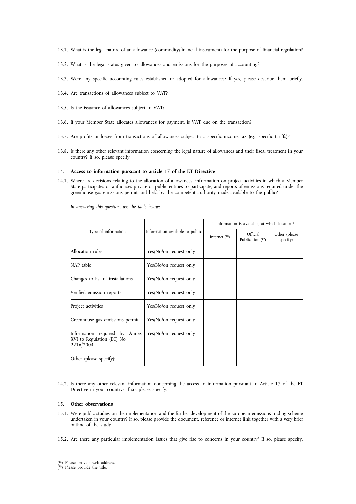- 13.1. What is the legal nature of an allowance (commodity/financial instrument) for the purpose of financial regulation?
- 13.2. What is the legal status given to allowances and emissions for the purposes of accounting?
- 13.3. Were any specific accounting rules established or adopted for allowances? If yes, please describe them briefly.
- 13.4. Are transactions of allowances subject to VAT?
- 13.5. Is the issuance of allowances subject to VAT?
- 13.6. If your Member State allocates allowances for payment, is VAT due on the transaction?
- 13.7. Are profits or losses from transactions of allowances subject to a specific income tax (e.g. specific tariffs)?
- 13.8. Is there any other relevant information concerning the legal nature of allowances and their fiscal treatment in your country? If so, please specify.

# 14. **Access to information pursuant to article 17 of the ET Directive**

14.1. Where are decisions relating to the allocation of allowances, information on project activities in which a Member State participates or authorises private or public entities to participate, and reports of emissions required under the greenhouse gas emissions permit and held by the competent authority made available to the public?

*In answering this question, use the table below:*

|                                                                         |                                 |                    | If information is available, at which location? |                           |
|-------------------------------------------------------------------------|---------------------------------|--------------------|-------------------------------------------------|---------------------------|
| Type of information                                                     | Information available to public | Internet $(^{18})$ | Official<br>Publication $(19)$                  | Other (please<br>specify) |
| Allocation rules                                                        | Yes/No/on request only          |                    |                                                 |                           |
| NAP table                                                               | Yes/No/on request only          |                    |                                                 |                           |
| Changes to list of installations                                        | Yes/No/on request only          |                    |                                                 |                           |
| Verified emission reports                                               | Yes/No/on request only          |                    |                                                 |                           |
| Project activities                                                      | Yes/No/on request only          |                    |                                                 |                           |
| Greenhouse gas emissions permit                                         | Yes/No/on request only          |                    |                                                 |                           |
| Information required by Annex<br>XVI to Regulation (EC) No<br>2216/2004 | Yes/No/on request only          |                    |                                                 |                           |
| Other (please specify):                                                 |                                 |                    |                                                 |                           |

14.2. Is there any other relevant information concerning the access to information pursuant to Article 17 of the ET Directive in your country? If so, please specify.

# 15. **Other observations**

- 15.1. Were public studies on the implementation and the further development of the European emissions trading scheme undertaken in your country? If so, please provide the document, reference or internet link together with a very brief outline of the study.
- 15.2. Are there any particular implementation issues that give rise to concerns in your country? If so, please specify.

<sup>(</sup> 18) Please provide web address.

<sup>(</sup> 19) Please provide the title.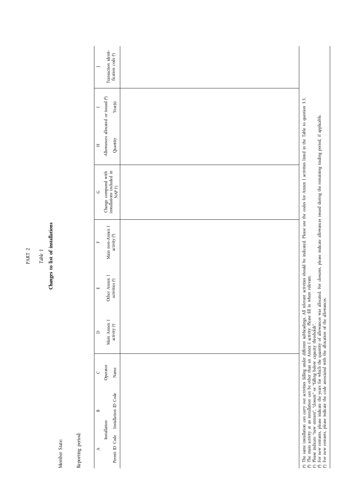PART <sup>2</sup> *Table <sup>1</sup>*

Changes to list of installations **Changes to list of installations**

Member State:

c) Please indicate "new entrant", "closure" or "falling below capacity thresholds".

 $\tilde{\phantom{a}}$ d) For new entrants, please indicate the years for which the quantity of allowances was allocated. For closures, please indicate allowances issued during the remaining trading period, if applicable. e) For new entrants, please indicate the code associated with the allocation of the allowances.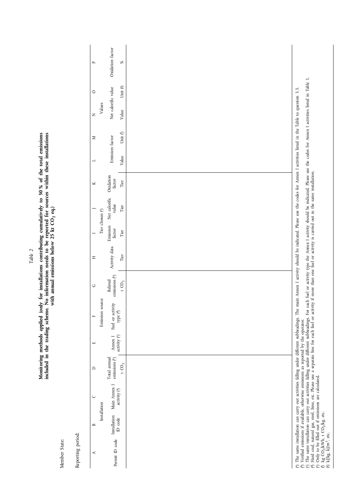Monitoring methods applied (only for installations contributing cumulatively to 50% of the total emissions included in the trading scheme. No information needs to be reported for sources within these installations with wi Monitoring methods applied (only for installations contributing cumulatively to 50 % of the total emissions<br>included in the trading scheme. No information needs to be reported for sources within these installations<br>with an

Member State:

|               |                   | $\mathbf{L}$               |                 | Oxidation factor                                                                                                                                   | $\%$                 |  |
|---------------|-------------------|----------------------------|-----------------|----------------------------------------------------------------------------------------------------------------------------------------------------|----------------------|--|
|               |                   | $\circ$                    |                 | Net calorific value                                                                                                                                | Unit $(8)$           |  |
|               |                   | $\mathsf{z}$               | Values          |                                                                                                                                                    | Value                |  |
|               |                   | $\geq$                     |                 |                                                                                                                                                    | Unit $(\mathfrak{h}$ |  |
|               |                   | $\overline{\phantom{a}}$   |                 | Emission factor                                                                                                                                    | Value                |  |
|               |                   | $\bowtie$                  |                 | Oxidation<br>factor                                                                                                                                | $\mbox{Tier}$        |  |
|               |                   |                            |                 | value                                                                                                                                              | Tier                 |  |
|               |                   |                            | Tier chosen (e) | Emission Net calorific<br>factor                                                                                                                   | Tier                 |  |
|               |                   | $\mathbb{H}$               |                 | Activity data                                                                                                                                      | Tier                 |  |
|               |                   | $\circ$                    |                 | $\begin{array}{c} \text{Related} \\ \text{emissions (^b)} \end{array}$                                                                             | t CO <sub>2</sub>    |  |
|               |                   | $\mu$                      | Emission source | Fuel or activity type $\stackrel{(d)}{=}$                                                                                                          |                      |  |
|               |                   | $\mathbf{\underline{\mu}}$ |                 | $\begin{array}{ll} \text{Annex}\ 1 \\ \text{activity}\ (\hat{ }\!) \end{array}$                                                                    |                      |  |
|               |                   | $\hfill \Box$              |                 | Total annual emissions $(^{\rm b})$                                                                                                                | t CO <sub>2</sub>    |  |
|               |                   | $\cup$                     |                 |                                                                                                                                                    |                      |  |
|               |                   | $\mathbf{D}$               | Installation    | $\begin{tabular}{ll} \bf{Installation} & \bf{Main \text{ } Annex \text{ } I} \\ \bf{ID} \ \bf{code} & \text{activity } (^\theta) \\ \end{tabular}$ |                      |  |
| Member State: | Reporting period: | $\blacktriangleleft$       |                 | Permit ID code                                                                                                                                     |                      |  |

a) The same installation can carry out activities falling under different subheadings. The main Annex I activity should be indicated. Please use the codes for Annex I activities listed in the Table to question 3.3.

b) Verified emissions if available, otherwise emissions as reported by the operator.

----c) The same installation can carry out activities falling under different subheadings. For each fuel or activity type the Annex I activity should be indicated. Please use the codes for Annex I activities listed in Table 1.

d) Hard coal, natural gas, steel, lime, etc. Please use a separate line for each fuel or activity if more than one fuel or activity is carried out in the same installation.

e) Only to be filled out if emissions are calculated.

f) kg  $CO_2/kWh$ , t  $CO_2/kg$ , etc. g) kJ/kg, kJ/m3, etc.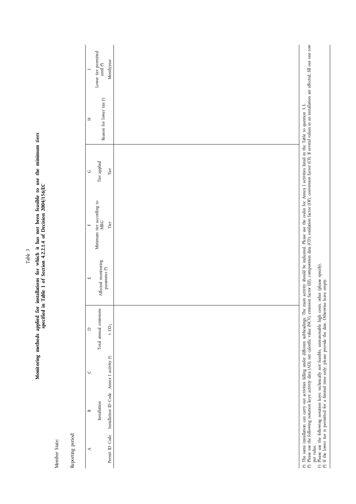| Member State:     |                                                                                                                                                                                                                 |                        |                                                                                                                                                |                                         |              |                           |                                              |
|-------------------|-----------------------------------------------------------------------------------------------------------------------------------------------------------------------------------------------------------------|------------------------|------------------------------------------------------------------------------------------------------------------------------------------------|-----------------------------------------|--------------|---------------------------|----------------------------------------------|
| Reporting period: |                                                                                                                                                                                                                 |                        |                                                                                                                                                |                                         |              |                           |                                              |
| $\prec$           | $\cup$<br>$\mathbf{r}$                                                                                                                                                                                          | $\qquad \qquad \Box$   | $\mu$                                                                                                                                          | $\mu$                                   | $\circ$      | $\pm$                     |                                              |
|                   | Installation                                                                                                                                                                                                    | Total annual emissions | $\begin{array}{c} \textrm{Affect}\footnotesize \textrm{ monitoring} \\ \textrm{parameter}\footnotesize \left(^{\textrm{b}}\right) \end{array}$ | Minimum tier according to<br><b>MRG</b> | Tier applied | Reason for lower tier (°) | Lower tier permitted<br>until $\binom{d}{j}$ |
| Permit ID Code    | Installation ID Code Annex I activity ( <sup>a</sup> )                                                                                                                                                          | t CO $\!2$             |                                                                                                                                                | Tier                                    | Tier         |                           | Month/year                                   |
|                   |                                                                                                                                                                                                                 |                        |                                                                                                                                                |                                         |              |                           |                                              |
|                   | (*) The same installation can carry out activities falling under different subheadings. The main activity should be indicated. Please use the codes for Annex I activities listed in the Table to question 3.3. |                        |                                                                                                                                                |                                         |              |                           |                                              |

Monitoring methods applied for installations for which it has not been feasible to use the minimum tiers<br>specified in Table 1 of Section 4.2.2.1.4 of Decision 2004/156/EC Monitoring methods applied for installations for which it has not been feasible to use the minimum tiers<br>specified in Table 1 of Section 4.2.2.1.4 of Decision 2004/156/EC

Member State:

*Table 3*

 $\check{\,}$ <sup>b</sup>) Please use the following notation keys: activity data (AD), net calorific value (NCV), emission factor (ED), composition data (CD), oxidation factor (OB), conversion factor (CP). If several values in an installation a per value.

c) Please use the following notation keys: technically not feasible, unreasonable high costs, other (please specify).

 $\check{\,}$ 

d) If the lower tier is permitted for a limited time only, please provide the date. Otherwise leave empty.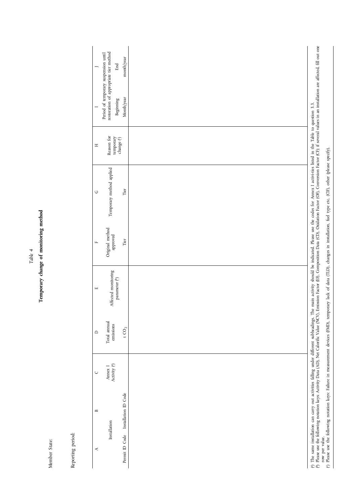| Reporting period:<br>Member State:                            |                                    |                           |                                               |                             |                          |                                                     |                                                                                             |            |
|---------------------------------------------------------------|------------------------------------|---------------------------|-----------------------------------------------|-----------------------------|--------------------------|-----------------------------------------------------|---------------------------------------------------------------------------------------------|------------|
|                                                               |                                    |                           |                                               |                             |                          |                                                     |                                                                                             |            |
| $\mathbf{r}$<br>$\prec$                                       | $\cup$                             | $\qquad \qquad \Box$      | $\mathbf{L}$                                  | $\mathbf{L}$                | $\circ$                  | $\equiv$                                            |                                                                                             |            |
| $\label{eq:1} \begin{array}{ll} \text{Instation} \end{array}$ | Annex I<br>Activity $\binom{a}{j}$ | Total annual<br>emissions | Affected monitoring<br>parameter $(^{\rm b})$ | Original method<br>approved | Temporary method applied | Reason for temporary change $\left(^{\circ}\right)$ | Period of temporary suspension until<br>restoration of appropriate tier method<br>Beginning | End        |
| Permit ID Code Installation ID Code                           |                                    | t CO $\!$                 |                                               | Tier                        | Tier                     |                                                     | Month/year                                                                                  | month/year |
|                                                               |                                    |                           |                                               |                             |                          |                                                     |                                                                                             |            |

<sup>b</sup>) Please use the following notation keys: Activity Data (AD), Net Calorific Value (NCV), Emission Factor (EP), Composition Data (CD), Oxidation Factor (OF), Conversion Factor (CP); if several values in an installation a row per value.

a) The same installation can carry out activities falling under different subheadings. The main activity should be indicated. Please use the codes for Annex I activi-ties listed in the Table to question 3.3.

 $\sim$   $\sim$ 

c) Please use the following notation keys: Failure in measurement devices (FMD), temporary lack of data (TLD), changes in installation, fuel type etc. (CIF), other (please specify).

**Temporary change of monitoring method**

Member State: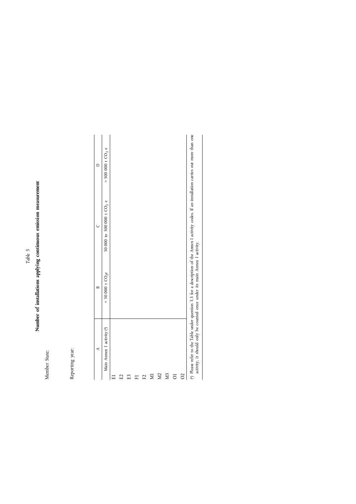# Number of installations applying continuous emission measurement **Number of installations applying continuous emission measurement**

Member State:<br>
Reporting year:<br>  $\begin{array}{c|c}\n\text{A} & \text{A} & \text{B} & \text{C} \\
\hline\n\text{Mah Ament 1 atrbdry} & \text{A} & \text{A} & \text{A} & \text{A} & \text{B} \\
\hline\n\text{E1} & \text{B1} & \text{C2} & \text{A} & \text{B} & \text{B} \\
\text{E2} & \text{B3} & \text{A1} & \text{A2} & \text{A1} & \text{A2} \\
\text{M1} & \text{M2} & \text{A2}$  $\tilde{}$ a) Please refer to the Table under question 3.3 for a description of the Annex I activity codes. If an installation carries out more than one

activity, it should only be counted once under its main Annex I activity.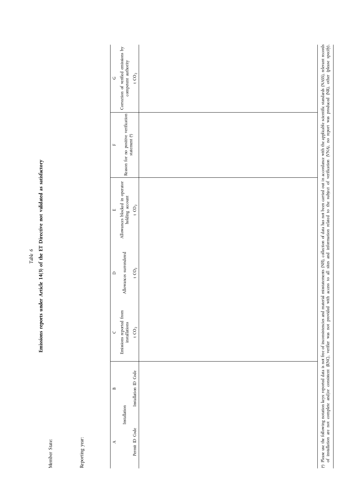Emissions reports under Article 14(3) of the ET Directive not validated as satisfactory Emissions reports under Article 14(3) of the ET Directive not validated as satisfactory

|               |                 | Correction of verified emissions by<br>competent authority<br>t CO <sub>2</sub><br>$\circ$<br>Reason for no positive verification statement $\binom{6}{7}$<br>$\mathbf{L}$ | (*) Please use the following notation keys: reported data is not free of inconsistencies and material misstatements (NFI), collection of data has not been carried out in accordance with the applicable scientific standards |
|---------------|-----------------|----------------------------------------------------------------------------------------------------------------------------------------------------------------------------|-------------------------------------------------------------------------------------------------------------------------------------------------------------------------------------------------------------------------------|
|               |                 | Allowances blocked in operator<br>holding account<br>t CO $\!2$<br>$\mu$                                                                                                   |                                                                                                                                                                                                                               |
|               |                 | Allowances surrendered<br>t CO <sub>2</sub><br>$\Box$                                                                                                                      |                                                                                                                                                                                                                               |
|               |                 | Emissions reported from<br>installations<br>t CO <sub>2</sub><br>$\cup$                                                                                                    |                                                                                                                                                                                                                               |
|               |                 | Installation ID Code<br>$\mathbf{m}$<br>Installation                                                                                                                       |                                                                                                                                                                                                                               |
| Member State: | Reporting year: | Permit ID Code<br>$\blacktriangleleft$                                                                                                                                     |                                                                                                                                                                                                                               |

of installation are not complete and/or consistent (RNC), verifier was not provided with access to all sites and information related to the subject of verification (VNA), no report was produced (RN), other (please specify) of installation are not complete and/or consistent (RNC), verifier was not provided with access to all sites and information related to the subject of verification (VNA), no report was produced (NR), other (please specify).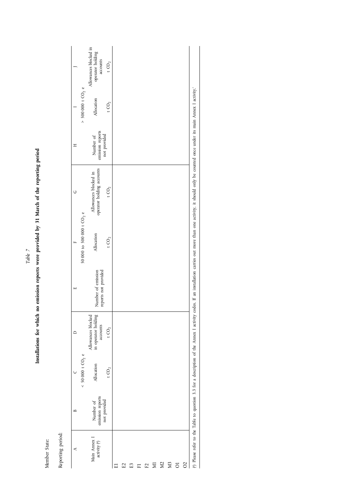| Member State:                           |                               |                               |                                                                                         |                                            |                                       |                                                                                                                                |                               |                               |                                                       |
|-----------------------------------------|-------------------------------|-------------------------------|-----------------------------------------------------------------------------------------|--------------------------------------------|---------------------------------------|--------------------------------------------------------------------------------------------------------------------------------|-------------------------------|-------------------------------|-------------------------------------------------------|
| Reporting period:                       |                               |                               |                                                                                         |                                            |                                       |                                                                                                                                |                               |                               |                                                       |
| ⋖                                       | $\mathbf{B}$                  |                               | $\Box$                                                                                  | Щ                                          |                                       | U                                                                                                                              | Ξ                             |                               |                                                       |
|                                         |                               | $< 50000$ t CO <sub>2</sub> e |                                                                                         |                                            | 50 000 to 500 000 t CO <sub>2</sub> e |                                                                                                                                |                               | $>$ 500 000 t CO $_{\rm 2}$ e |                                                       |
| Main Annex 1<br>activity <sup>(a)</sup> | emission reports<br>Number of | Allocation                    | Allowances blocked<br>in operator holding<br>accounts                                   | reports not provided<br>Number of emission | Allocation                            | operator holding accounts<br>Allowances blocked in                                                                             | emission reports<br>Number of | Allocation                    | Allowances blocked in<br>operator holding<br>accounts |
|                                         | not provided                  | t CO <sub>2</sub>             | t CO $_{\rm 2}$                                                                         |                                            | t CO <sub>2</sub>                     | t CO <sub>2</sub>                                                                                                              | not provided                  | t CO <sub>2</sub>             | t CO $_{\rm 2}$                                       |
| 冨                                       |                               |                               |                                                                                         |                                            |                                       |                                                                                                                                |                               |                               |                                                       |
| E2                                      |                               |                               |                                                                                         |                                            |                                       |                                                                                                                                |                               |                               |                                                       |
| E <sub>3</sub>                          |                               |                               |                                                                                         |                                            |                                       |                                                                                                                                |                               |                               |                                                       |
| 匸                                       |                               |                               |                                                                                         |                                            |                                       |                                                                                                                                |                               |                               |                                                       |
| E                                       |                               |                               |                                                                                         |                                            |                                       |                                                                                                                                |                               |                               |                                                       |
| Σ                                       |                               |                               |                                                                                         |                                            |                                       |                                                                                                                                |                               |                               |                                                       |
| $\Sigma$                                |                               |                               |                                                                                         |                                            |                                       |                                                                                                                                |                               |                               |                                                       |
| X <sub>3</sub>                          |                               |                               |                                                                                         |                                            |                                       |                                                                                                                                |                               |                               |                                                       |
| $\overline{\circ}$                      |                               |                               |                                                                                         |                                            |                                       |                                                                                                                                |                               |                               |                                                       |
| $\overline{O}$                          |                               |                               |                                                                                         |                                            |                                       |                                                                                                                                |                               |                               |                                                       |
|                                         |                               |                               | (4) Please refer to the Table to question 3.3 for a description of the Annex I activity |                                            |                                       | codes. If an installation carries out more than one activity, it should only be counted once under its main Annex I activity.' |                               |                               |                                                       |

Installations for which no emission reports were provided by 31 March of the reporting period Installations for which no emission reports were provided by 31 March of the reporting period

Member State: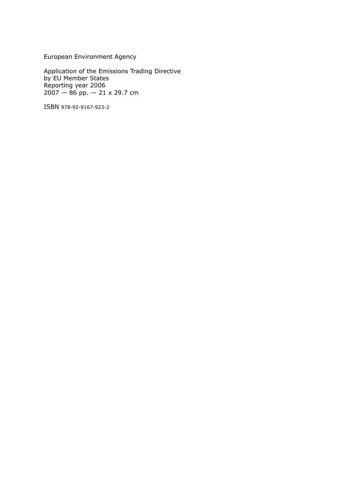European Environment Agency

Application of the Emissions Trading Directive by EU Member States Reporting year 2006 2007 — 86 pp. — 21 x 29.7 cm

ISBN 978-92-9167-923-2